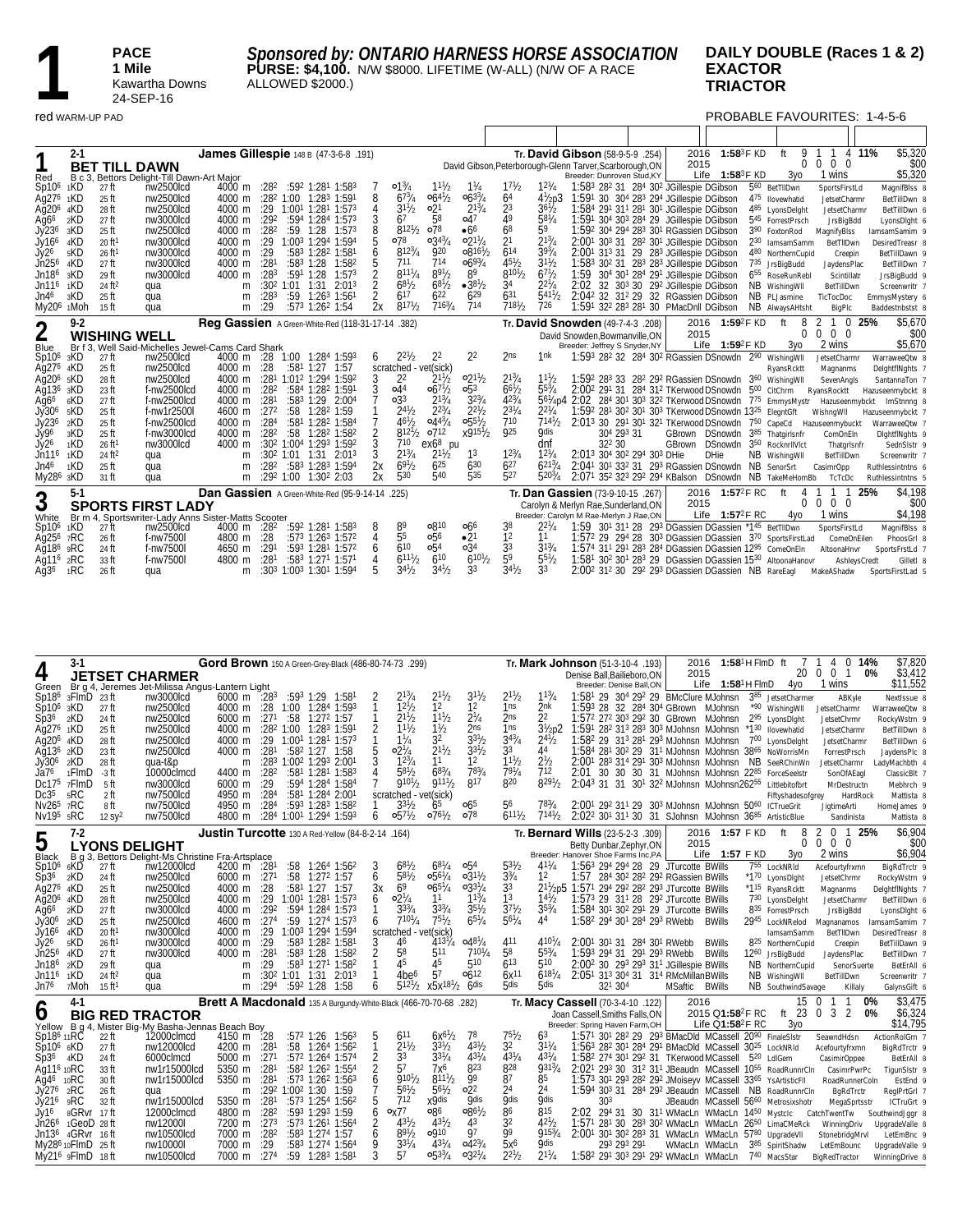PACE<br>
1 **Mile**<br>
Kawart<br>
24-SEF **1 Mile** Kawartha Downs 24-SEP-16

*Sponsored by: ONTARIO HARNESS HORSE ASSOCIATION* **PURSE: \$4,100.** N/W \$8000. LIFETIME (W-ALL) (N/W OF A RACE ALLOWED \$2000.)

#### **DAILY DOUBLE (Races 1 & 2) EXACTOR TRIACTOR**

#### red WARM-UP PAD PROBABLE FAVOURITES: 1-4-5-6

|                                            | $2 - 1$         |                             |                                                     | James Gillespie 148 B (47-3-6-8 .191)              |                  |                          |                                                     |    |                                         |                 |                            |                                 |                                             | Tr. David Gibson (58-9-5-9 .254)                                                                         | 2016 | 1:58 $3F$ KD                    | 9<br>ft                        |                            | 4 11%        | \$5,320                           |
|--------------------------------------------|-----------------|-----------------------------|-----------------------------------------------------|----------------------------------------------------|------------------|--------------------------|-----------------------------------------------------|----|-----------------------------------------|-----------------|----------------------------|---------------------------------|---------------------------------------------|----------------------------------------------------------------------------------------------------------|------|---------------------------------|--------------------------------|----------------------------|--------------|-----------------------------------|
| 1                                          |                 |                             | <b>BET TILL DAWN</b>                                |                                                    |                  |                          |                                                     |    |                                         |                 |                            |                                 |                                             | David Gibson, Peterborough-Glenn Tarver, Scarborough, ON                                                 | 2015 |                                 | $\Omega$                       | 0 <sub>0</sub><br>$\Omega$ |              | \$00                              |
| Red                                        |                 |                             | B c 3, Bettors Delight-Till Dawn-Art Major          |                                                    |                  |                          |                                                     |    |                                         |                 |                            |                                 |                                             | Breeder: Dunroven Stud, KY                                                                               |      | Life $1:58^3$ F KD              | 3y <sub>0</sub>                | 1 wins                     |              | \$5,320                           |
| Sp10 <sup>6</sup>                          | 1KD             | 27 ft                       | nw2500lcd                                           | 4000 m                                             |                  |                          | $:28^2$ $:59^2$ 1:28 <sup>1</sup> 1:58 <sup>3</sup> |    | $01\frac{3}{4}$                         | $11\frac{1}{2}$ | $1\frac{1}{4}$             | 17h                             | $12^{1}/4$                                  | 1:583 282 31 284 302 JGillespie DGibson                                                                  |      |                                 | 560 BetTIIDwn                  | SportsFirstLd              |              | MagnifBlss 8                      |
| Ag27 <sup>6</sup>                          | 1KD             | $25$ ft                     | nw2500lcd                                           | 4000 m                                             |                  |                          | $:28^2$ 1:00 1:28 <sup>3</sup> 1:591                |    | $6^{73}/4$                              | $06^{41}/2$     | $06^{33}/4$                | 6 <sup>4</sup>                  | $4\frac{1}{2}p3$                            | 1:591 30 304 283 294 JGillespie DGibson                                                                  |      |                                 | 475 Ilovewhatid                | JetsetCharmr               |              | BetTillDwn 8                      |
| $A\tilde{q}$ 20 <sup>6</sup>               | 4KD             | 28 ft                       | nw2500lcd                                           | 4000 m                                             | :29              |                          | 1:001 1:281 1:573                                   |    | $3^{11}/2$                              | 0 <sup>21</sup> | $2^{13}/4$                 | 23                              | $36\frac{1}{2}$                             | 1:584 291 311 281 301 JGillespie DGibson                                                                 |      |                                 | 485 LyonsDelght                | JetsetCharmr               |              | BetTillDwn 6                      |
| Ag <sub>66</sub>                           | 2KD             | $27$ ft                     | nw3000lcd                                           | 4000 m                                             | :29 <sup>2</sup> |                          | :594 1:284 1:573                                    |    | 67                                      | 58              | 047                        | 49                              | $58^{1}/4$                                  | 1:591 304 303 284 29 JGillespie DGibson                                                                  |      |                                 | 545 ForrestPrsch               | JrsBigBdd                  |              | LyonsDlght 6                      |
| Jy236                                      | 3KD             | $25$ ft                     | nw2500lcd                                           | 4000 m                                             | :28 <sup>2</sup> | $:59$ 1:28               | 1:57 <sup>3</sup>                                   |    | $8^{121}/2$                             | o78             | •6 <sup>6</sup>            | 6 <sup>8</sup>                  | 59                                          | 1:592 304 294 283 301 RGassien DGibson                                                                   |      |                                 | 3 <sup>90</sup> FoxtonRod      | MagnifyBlss                |              | lamsamSamim 9                     |
| Jy166                                      | 4KD             | 20 ft <sup>1</sup>          | nw3000lcd                                           | 4000 m                                             | :29              |                          | 1:003 1:294 1:594                                   |    | 078                                     | $0.34^{3}/4$    | $02^{17}/4$                | 2 <sup>1</sup>                  | $2^{13}/4$                                  | 2:001 303 31 282 301 JGillespie DGibson                                                                  |      |                                 | 230 lamsamSamm                 | BetTIIDwn                  |              | DesiredTreasr 8                   |
| Jy26                                       | 5KD             | 26 ft <sup>1</sup>          | nw3000lcd                                           | 4000 m                                             | :29              |                          | :583 1:282 1:581                                    |    | $812^{3}/4$                             | 920<br>714      | $0.816^{1}/2$              | 614                             | $39^{3}/4$                                  | 2:001 313 31 29 283 JGillespie DGibson                                                                   |      |                                 | 480 NorthernCupid              | Creepin                    |              | BetTillDawn 9                     |
| Jn25 <sup>6</sup>                          | 4KD             | $27$ ft                     | nw3000lcd                                           | 4000 m                                             | :281             |                          | $:58^3$ 1:28<br>1:582                               |    | 711<br>$811^{1}/_{4}$                   | $89^{1}/2$      | $06^{93}/4$<br>89          | $45^{1}/_{2}$<br>$810^{1}/_{2}$ | $3^{11}h$<br>67 <sup>1</sup> / <sub>2</sub> | 1:583 302 31 283 283 JGillespie DGibson                                                                  |      |                                 | 735 JrsBigBudd                 | JaydensPlac                |              | BetTillDwn 7                      |
| Jn18 <sup>6</sup>                          | 3KD<br>1KD      | 29 ft<br>24 ft <sup>2</sup> | nw3000lcd                                           | 4000 m                                             | :283             | $:591$ 1:28              | 1:57 <sup>3</sup>                                   |    | $68^{1}/2$                              | $68^{1/2}$      | $•38^{1}/2$                | 34                              | $2^{2^{1}/4}$                               | 1:59 304 301 284 291 JGillespie DGibson                                                                  |      |                                 | 6 <sup>55</sup> RoseRunRebl    | Scintillatr                |              | JrsBigBudd 9                      |
| Jn11 <sup>6</sup><br>Jn4 <sup>6</sup>      | 3KD             | $25$ ft                     | qua                                                 | m                                                  | :283             | $:30^2$ 1:01 1:31<br>:59 | 2:01 <sup>3</sup><br>$1:26^3$ 1:56                  |    | 617                                     | 622             | 629                        | 631                             | $541\frac{1}{2}$                            | 2:02 32 303 30 292 JGillespie DGibson<br>2:042 32 312 29 32 RGassien DGibson                             |      |                                 | NB Wishing WII<br>NB PLJasmine | BetTillDwn                 |              | Screenwritr 7                     |
| My20 <sup>6</sup> 1Moh                     |                 | 15 ft                       | qua<br>qua                                          | m<br>m                                             | :29              |                          | :573 1:262 1:54                                     | 2х | $817^{1}/2$                             | $716^{3}/_{4}$  | 714                        | $7^{181}/2$                     | 726                                         | 1:591 322 283 281 30 PMacDnll DGibson                                                                    |      |                                 | NB Always AHtsht               | TicTocDoc<br>BigPlc        |              | EmmysMystery 6<br>Baddestnbstst 8 |
|                                            |                 |                             |                                                     |                                                    |                  |                          |                                                     |    |                                         |                 |                            |                                 |                                             |                                                                                                          |      |                                 |                                |                            |              |                                   |
| $\overline{2}$                             | $9 - 2$         |                             |                                                     | <b>Reg Gassien</b> A Green-White-Red (118-31-17-14 |                  |                          |                                                     |    | .382)                                   |                 |                            |                                 |                                             | Tr. David Snowden (49-7-4-3 .208)                                                                        | 2016 | $1:59^2$ F KD                   | ft<br>8                        |                            | 0.25%        | \$5.670                           |
|                                            |                 |                             | <b>WISHING WELL</b>                                 |                                                    |                  |                          |                                                     |    |                                         |                 |                            |                                 |                                             | David Snowden, Bowmanville, ON                                                                           | 2015 |                                 | $\Omega$                       | $0\quad 0$<br>$\Omega$     |              | \$00                              |
| Blue                                       |                 |                             | Br f 3. Well Said-Michelles Jewel-Cams Card Shark   |                                                    |                  |                          |                                                     |    |                                         |                 |                            |                                 |                                             | Breeder: Jeffrey S Snyder, NY                                                                            |      | 1:59 <sup>2</sup> F KD<br>Life  | 3y <sub>0</sub>                | 2 wins                     |              | \$5,670                           |
| Sp10 <sup>6</sup>                          | 3KD             | 27 ft                       | nw2500lcd                                           | 4000 m                                             | :28              |                          | 1:00 1:284 1:593                                    | 6  | $2^{2^{1}}b$                            | 22              | 2 <sup>2</sup>             | 2 <sub>ns</sub>                 | 1 <sub>nk</sub>                             | 1:593 282 32 284 302 RGassien DSnowdn 290                                                                |      |                                 | WishingWll                     | JetsetCharmr               |              | WarraweeQtw 8                     |
| Ag27 <sup>6</sup><br>Ag20 <sup>6</sup> 5KD | 4KD             | $25$ ft<br>28 ft            | nw2500lcd<br>nw2500lcd                              | 4000 m<br>4000 m                                   | :28              | :58 <sup>1</sup> 1:27    | 1:57<br>:281 1:012 1:294 1:592                      |    | scratched - vet(sick)<br>2 <sup>2</sup> | $2^{11/2}$      | $02^{11}/2$                | $2^{13}/4$                      | $11^{1}$ b                                  | 1:592 283 33 282 292 RGassien DSnowdn 360 Wishing WII                                                    |      |                                 | RyansRcktt                     | Magnanms                   |              | DeightflNghts 7                   |
| Ag13 <sup>6</sup>                          | зKD             | $23$ ft                     | f-nw2500lcd                                         | 4000 m                                             | :282             |                          | :584 1:282 1:591                                    |    | $\circ$ 44                              | $06^{71}/2$     | 0 <sub>5<sub>3</sub></sub> | $66^{1}/2$                      | $55^{3}/4$                                  | 2:002 291 31 284 312 TKerwood DSnowdn 500 CitChrm                                                        |      |                                 |                                | SevenAngls<br>RvansRocktt  |              | SantannaTon 7<br>Hazuseenmybckt & |
| Ag <sub>6</sub> <sup>6</sup>               | 6KD             | $27$ ft                     | f-nw2500lcd                                         | 4000 m                                             | :281             |                          | $:58^3$ 1:29 2:00 <sup>4</sup>                      |    | $\circ$ 33                              | $2^{13}$ /      | $3^{23}/4$                 | $4^{23}$ /4                     |                                             | 561/4p4 2:02 284 301 303 322 TKerwood DSnowdn 775 EmmysMystr Hazuseenmybckt ImStnnng 8                   |      |                                 |                                |                            |              |                                   |
| $J\tilde{V}30^6$                           | <sub>5</sub> KD | $25$ ft                     | f-nw1r2500l                                         | 4600 m                                             | :272             |                          | $:58$ 1:28 <sup>2</sup> 1:59                        |    | $2^{4^{1}}h$                            | $2^{23}$ /4     | $2^{2^{1}}$                | $2^{31}$ /4                     | $2^{21}/4$                                  | 1:592 281 302 301 303 TKerwood DSnowdn 1325 ElegntGft                                                    |      |                                 |                                | WishngWll                  |              | Hazuseenmybckt 7                  |
| Jy236                                      | 2KD             | 25 ft                       | f-nw2500lcd                                         | 4000 m                                             | :284             |                          | :581 1:282 1:584                                    |    | $46^{1}/_{2}$                           | $0.44^{3}/4$    | $0.55^{1}/2$               | 710                             | $714^{1}/2$                                 | 2:013 30 291 301 321 TKerwood DSnowdn 750 CapeCd Hazuseenmybuckt                                         |      |                                 |                                |                            |              | WarraweeQtw 7                     |
| Jy96                                       | 3KD             | $25$ ft                     | f-nw3000lcd                                         | $4000 \; \text{m}$                                 | :28 <sup>2</sup> | :58                      | 1:28 <sup>2</sup> 1:58 <sup>2</sup>                 |    | $8^{121}/2$                             | 0712            | $x915^{1}/x$               | <b>925</b>                      | <b>O</b> dis                                | 304 293 31                                                                                               |      | GBrown DSnowdn 385 Thatgirlsnfr |                                | ComOnEln                   |              | DightflNghts 9                    |
| Jy26                                       | 1KD             | 26 ft <sup>1</sup>          | nw3000lcd                                           | 4000 m                                             |                  |                          | :302 1:004 1:293 1:592                              |    | 710                                     | ex68<br>pu      |                            |                                 | dnf                                         | 322 30                                                                                                   |      | GBrown DSnowdn 350 RocknrilVict |                                | ThatgrIsnfr                |              | SednSlstr 9                       |
| Jn11 <sup>6</sup>                          | 1KD             | 24 ft <sup>2</sup>          | qua                                                 | m                                                  |                  |                          | :30 <sup>2</sup> 1:01 1:31 2:01 <sup>3</sup>        |    | $2^{13}/4$                              | $2^{11}/2$      | 13                         | $12^{3}/4$                      | $12^{1}/4$                                  | 2:013 304 302 294 303 DHie                                                                               |      | <b>DHie</b>                     | NB Wishing WII                 | BetTillDwn                 |              | Screenwritr 7                     |
| Jn4 <sup>6</sup>                           | 1KD             | $25$ ft                     | qua                                                 | m                                                  | :282             |                          | $:58^3$ 1:28 <sup>3</sup> 1:59 <sup>4</sup>         | 2х | $6^{91}/2$                              | $6^{25}$        | 630                        | $6^{27}$                        | $6^{213}$ /                                 | 2:041 301 332 31 293 RGassien DSnowdn NB SenorSrt                                                        |      |                                 |                                | CasimrOpp                  |              | Ruthlessintntns 6                 |
| My28 <sup>6</sup> 3KD                      |                 | 31 ft                       | qua                                                 | m                                                  |                  |                          | :292 1:00 1:302 2:03                                | 2x | 530                                     | 540             | 535                        | 527                             | $520^{3}/_{4}$                              | 2:071 352 323 292 294 KBalson DSnowdn NB TakeMeHomBb                                                     |      |                                 |                                | TcTcDc                     |              | Ruthlessintntns 5                 |
|                                            | $5-1$           |                             |                                                     | Dan Gassien A Green-White-Red (95-9-14-14 .225)    |                  |                          |                                                     |    |                                         |                 |                            |                                 |                                             | Tr. Dan Gassien (73-9-10-15 .267)                                                                        |      | 2016 1:57 <sup>2</sup> F RC     | ft<br>4                        |                            | 25%          | \$4,198                           |
| 3                                          |                 |                             | <b>SPORTS FIRST LADY</b>                            |                                                    |                  |                          |                                                     |    |                                         |                 |                            |                                 |                                             | Carolyn & Merlyn Rae, Sunderland, ON                                                                     | 2015 |                                 | $\Omega$                       | $0\quad 0$<br>$\Omega$     |              | \$00                              |
| White                                      |                 |                             | Br m 4, Sportswriter-Lady Anns Sister-Matts Scooter |                                                    |                  |                          |                                                     |    |                                         |                 |                            |                                 |                                             | Breeder: Carolyn M Rae-Merlyn J Rae,ON                                                                   |      | Life $1:57^2$ F RC              | 4yo                            | 1 wins                     |              | \$4,198                           |
| Sp10 <sup>6</sup>                          | 1KD             | 27 ft                       | nw2500lcd                                           | 4000 m :28 <sup>2</sup>                            |                  |                          | :592 1:281 1:583                                    | 8  | 89                                      | 0810            | 066                        | 38                              | $2^{2'}/4$                                  | 1:59 301 311 28 293 DGassien DGassien *145 BetTIIDwn                                                     |      |                                 |                                | SportsFirstLd              |              | MagnifBlss 8                      |
| Aq25 <sup>6</sup>                          | 7RC             | 26 ft                       | f-nw7500l                                           | 4800 m                                             | :28              |                          | $:573$ 1:26 <sup>3</sup> 1:57 <sup>2</sup>          |    | 55                                      | 0.56            | •2 <sup>1</sup>            | 12                              | 11                                          | 1:57 <sup>2</sup> 29 29 <sup>4</sup> 28 30 <sup>3</sup> DGassien DGassien 3 <sup>70</sup> SportsFirstLad |      |                                 |                                | ComeOnEilen                |              | PhoosGrl 8                        |
| Ag18 <sup>6</sup>                          | 9RC             | 24 ft                       | f-nw7500l                                           | 4650 m                                             | :291             |                          | :593 1:281 1:572                                    |    | 610                                     | $\circ$ 54      | $\circ$ 34                 | 33                              | $31^{3}/4$                                  | 1:574 311 291 283 284 DGassien DGassien 1295 ComeOnEln                                                   |      |                                 |                                | AltoonaHnvr                |              | SportsFrstLd 7                    |
| Ag11 <sup>6</sup>                          | 2RC             | 33 ft                       | f-nw7500l                                           | 4800 m                                             | :281             |                          | :583 1:271 1:571                                    |    | 611 <sup>1</sup> b                      | 610             | $6^{101}/2$                | 59                              | $55\frac{1}{2}$                             | 1:581 302 301 283 29 DGassien DGassien 1530 AltoonaHanovr                                                |      |                                 |                                |                            | AshleysCredt | GilletI 8                         |
| Aq36                                       | 1RC             | 26 ft                       | qua                                                 | m                                                  |                  |                          | :303 1:003 1:301 1:594                              |    | $3^{41}/2$                              | $3^{41}/2$      | 33                         | $3^{41}/2$                      | 33                                          | 2:00 <sup>2</sup> 31 <sup>2</sup> 30 29 <sup>2</sup> 29 <sup>3</sup> DGassien DGassien NB RareEagl       |      |                                 |                                | MakeAShadw                 |              | SportsFirstLad 5                  |

|                        | $3-1$                        |                      |                                                    |                                                  |                  | Gord Brown 150 A Green-Grey-Black (486-80-74-73 .299)            |        |                                  |                                      |                               |                               |                       | Tr. <b>Mark Johnson</b> (51-3-10-4 .193)                                                                                     |         | 2016 1:58 <sup>1</sup> H FlmD ft | 71                                              | 4 0 14%                                      | \$7.820                         |
|------------------------|------------------------------|----------------------|----------------------------------------------------|--------------------------------------------------|------------------|------------------------------------------------------------------|--------|----------------------------------|--------------------------------------|-------------------------------|-------------------------------|-----------------------|------------------------------------------------------------------------------------------------------------------------------|---------|----------------------------------|-------------------------------------------------|----------------------------------------------|---------------------------------|
| 4                      |                              |                      | <b>JETSET CHARMER</b>                              |                                                  |                  |                                                                  |        |                                  |                                      |                               |                               |                       | Denise Ball.Bailieboro.ON                                                                                                    | 2015    |                                  | 20                                              | 0 <sub>1</sub><br>$\Omega$                   | \$3,412<br>0%                   |
| Green                  |                              |                      | Br g 4, Jeremes Jet-Milissa Angus-Lantern Light    |                                                  |                  |                                                                  |        |                                  |                                      |                               |                               |                       | Breeder: Denise Ball.ON                                                                                                      |         | Life $1:58^1$ H FlmD             | 4γο                                             | 1 wins                                       | \$11,552                        |
|                        | $Sp186$ 3FlmD 23ft           |                      | nw3000lcd                                          | $6000 \text{ m}$ :283                            |                  | :593 1:29 1:581                                                  | 2      | $2^{13}/4$                       | $2^{11}/2$                           | $3^{11}/2$                    | $2^{11}/2$                    | $11^{3}/_{4}$         | 1:581 29 304 292 29 BMcClure MJohnsn                                                                                         |         |                                  | 385 JetsetCharmer                               | ABKyle                                       | Nextlssue 8                     |
| $Sp106$ 3KD            |                              | 27 ft                | nw2500lcd                                          | 4000 m                                           |                  | $: 28$ 1:00 1:28 <sup>4</sup> 1:59 <sup>3</sup>                  |        | $1^{2^{1}}h$                     | 1 <sup>2</sup>                       | 1 <sup>2</sup>                | 1 <sub>ns</sub>               | 2nk                   | 1:593 28 32 284 304 GBrown MJohnsn                                                                                           |         |                                  | *90 Wishing WII                                 | JetsetCharmr                                 | WarraweeQtw 8                   |
| $Sp36 \t2KD$           |                              | 24 ft                | nw2500lcd                                          | 6000 m                                           |                  | $:27^1$ $:58$ 1:27 <sup>2</sup> 1:57                             |        | 211/2                            | 111/2                                | $2^{1/4}$                     | 2 <sub>ns</sub>               | 2 <sup>2</sup>        | 1:572 272 303 292 30 GBrown MJohnsn                                                                                          |         |                                  | 295 LyonsDlght                                  | JetsetChrmr                                  | RockyWstrn 9                    |
| Ag276 1KD              |                              | 25 ft                | nw2500lcd                                          |                                                  |                  | 4000 m :282 1:00 1:283 1:591                                     | 2      | $11^{1}/$                        | 1 <sup>1</sup> b                     | 2 <sub>ns</sub>               | 1 <sub>ns</sub><br>$3^{43}/4$ | $31$ / <sub>2</sub>   | 1:591 282 313 283 303 MJohnsn MJohnsn *130 Ilovewhatid                                                                       |         |                                  |                                                 | JetsetCharmr                                 | BetTillDwn 8                    |
| Ag20 <sup>6</sup> 4KD  |                              | 28 ft                | nw2500lcd                                          | 4000 m                                           |                  | $:29$ 1:00 <sup>1</sup> 1:28 <sup>1</sup> 1:57 <sup>3</sup>      |        | $1\frac{1}{4}$                   | 32<br>211/2                          | $3^{31/2}$<br>$33\frac{1}{2}$ | 33                            | $2^{4^{1}/2}$<br>44   | 1:58 <sup>2</sup> 29 31 <sup>3</sup> 28 <sup>1</sup> 29 <sup>3</sup> MJohnsn MJohnsn                                         |         |                                  | 7 <sup>00</sup> LvonsDelaht                     | JetsetCharmr                                 | BetTillDwn 6                    |
| Ağ136 2KD              |                              | 23 ft<br>28 ft       | nw2500lcd                                          | 4000 m                                           | :281             | :582 1:27 1:58<br>:283 1:002 1:293 2:001                         |        | $02\frac{1}{4}$<br>$12^{3}/_{4}$ | 11                                   | 12                            | $11^{1}/_{2}$                 | $2^{1/2}$             | 1:584 281 302 29 311 MJohnsn MJohnsn 3865 NoWorrisMn                                                                         |         |                                  |                                                 | ForrestPrsch                                 | JaydensPlc 8                    |
| Jy306<br>Ja76          | 2KD<br>1FlmD                 | -3 ft                | qua-t&p<br>10000clmcd                              | m<br>4400 m                                      | :28 <sup>2</sup> | :58 <sup>1</sup> 1:28 <sup>1</sup> 1:58 <sup>3</sup>             |        | $5^{81}$                         | $6^{83}/4$                           | 783/4                         | $79^{1}/4$                    | 712                   | 2:001 283 314 291 303 MJohnsn MJohnsn NB SeeRChinWn<br>2:01 30 30 30 31 MJohnsn MJohnsn 2285 ForceSeelstr                    |         |                                  |                                                 | JetsetCharmr                                 | LadyMachbth 4                   |
|                        | $Dc175$ $7F$ ImD             | 5 ft                 | nw3000lcd                                          | 6000 m                                           | :29              | :594 1:284 1:584                                                 |        | $910^{1}/_{2}$                   | 9111/2                               | 817                           | 820                           | 8291/2                | 2:043 31 31 301 322 MJohnsn MJohnsn 26255 Littlebitofbrt                                                                     |         |                                  |                                                 | SonOfAEagl<br>MrDestructn                    | ClassicBlt 7<br>Mebhrch 9       |
| Dc35                   | 5RC                          | 2 ft                 | nw7500lcd                                          | 4950 m                                           | :284             | :581 1:284 2:001                                                 |        | scratched - vet(sick)            |                                      |                               |                               |                       |                                                                                                                              |         |                                  | Fiftyshadesofgrey                               | HardRock                                     | Mattista &                      |
| Nv265 7RC              |                              | 8 ft                 | nw7500lcd                                          | 4950 m                                           | :28 <sup>4</sup> | $:59^3$ 1:28 <sup>3</sup> 1:58 <sup>2</sup>                      |        | $3^{31}$ / <sub>2</sub>          | 65                                   | 06 <sup>5</sup>               | 56                            | $7^{83}/_4$           | 2:001 292 311 29 303 MJohnsn MJohnsn 5060 ICTrueGrit                                                                         |         |                                  |                                                 | JiatimeArti                                  | HomeJames 9                     |
| Nv195 5RC              |                              | $12 \text{ SY}^2$    | nw7500lcd                                          | 4800 m                                           |                  | :284 1:001 1:294 1:593                                           | 6      | $0.57\frac{1}{2}$                | $076^{1/2}$                          | o78                           | 6111/2                        | 7141/2                | 2:022 301 311 30 31 SJohnsn MJohnsn 3685 ArtisticBlue                                                                        |         |                                  |                                                 | Sandinista                                   | Mattista &                      |
|                        |                              |                      |                                                    |                                                  |                  |                                                                  |        |                                  |                                      |                               |                               |                       |                                                                                                                              |         |                                  |                                                 |                                              |                                 |
| 5                      | $7-2$                        |                      |                                                    |                                                  |                  | Justin Turcotte 130 A Red-Yellow (84-8-2-14 .164)                |        |                                  |                                      |                               |                               |                       | Tr. Bernard Wills (23-5-2-3 .309)                                                                                            |         | 2016 1:57 F KD                   | 8<br>ft                                         | $0 \t1 \t25%$<br>2<br>$\Omega$<br>$0\quad 0$ | \$6.904                         |
|                        |                              |                      | <b>LYONS DELIGHT</b>                               |                                                  |                  |                                                                  |        |                                  |                                      |                               |                               |                       | Betty Dunbar, Zephyr, ON                                                                                                     | 2015    | Life $1:57$ F KD                 | 0                                               | 2 wins                                       | \$00<br>\$6.904                 |
| <b>Black</b>           |                              |                      | B q 3, Bettors Delight-Ms Christine Fra-Artsplace  |                                                  |                  |                                                                  |        | $68^{1}/2$                       | $68^{1}/4$                           | 0.54                          | $53^{1}/2$                    | $41^{1}/_{4}$         | Breeder: Hanover Shoe Farms Inc, PA                                                                                          |         |                                  | 3y <sub>0</sub>                                 |                                              |                                 |
| Sp10 <sup>6</sup>      | 6KD                          | 27 ft                | nw12000lcd<br>nw2500lcd                            | 4200 m :281<br>$6000 \text{ m}$ :27 <sup>1</sup> |                  | :58 1:264 1:562<br>$:58$ 1:27 <sup>2</sup> 1:57                  | 3<br>6 | $5^{81}$ / <sub>2</sub>          | $0.56^{1}/4$                         | $0.31\frac{1}{2}$             | $3^{3}/4$                     | 12                    | 1:563 294 294 28 29 JTurcotte BWills<br>1:57 284 30 <sup>2</sup> 28 <sup>2</sup> 29 <sup>2</sup> RGassien BWills             |         |                                  | 755 LockNRld<br>*170 LyonsDight                 | Acefourtyfrxmn                               | BigRdTrctr 9                    |
| Sp36<br>Ag276 4KD      | 2KD                          | 24 ft<br>25 ft       | nw2500lcd                                          | 4000 m                                           | :28              | :581 1:27 1:57                                                   | Зχ     | 69                               | $0.65^{1}/4$                         | $0.33\frac{1}{4}$             | 33                            |                       | 211/2p5 1:571 294 292 282 293 JTurcotte BWills                                                                               |         |                                  | *1 <sup>15</sup> RyansRcktt                     | JetsetChrmr                                  | RockyWstrn 9<br>DelghtflNghts 7 |
| Ag20 <sup>6</sup> 4KD  |                              | 28 ft                | nw2500lcd                                          | 4000 m :29                                       |                  | 1:001 1:281 1:573                                                | 6      | $02^{1/4}$                       | 11                                   | $11^{3}/_{4}$                 | 1 <sup>3</sup>                | $14^{1}/_{2}$         | 1:573 29 311 28 292 JTurcotte BWills                                                                                         |         |                                  | 730 LyonsDelght                                 | Magnanms<br>JetsetCharmr                     | BetTillDwn 6                    |
| Ag6 <sup>6</sup>       | 2KD                          | $27$ ft              | nw3000lcd                                          | 4000 m                                           | :29 <sup>2</sup> | :594 1:284 1:573                                                 |        | $3^{3/4}$                        | $3^{3}_{4}$                          | $35\frac{1}{2}$               | $3^{71}h$                     | $35^{3}/4$            | 1:584 301 302 291 29 JTurcotte BWills                                                                                        |         |                                  | 835 ForrestPrsch                                | JrsBigBdd                                    | LyonsDlght 6                    |
| Jv306                  | 2KD                          | 25 ft                | nw2500lcd                                          | 4600 m                                           |                  | $:274$ $:59$ 1:274 1:573                                         | 6      | $710^{1}/_{4}$                   | $75\frac{1}{2}$                      | $65^{1}/4$                    | $56^{1}/4$                    | 44                    | 1:582 294 301 284 293 RWebb                                                                                                  |         | BWills                           |                                                 | 2945 LockNRelod Magnanamos                   | lamsamSamim 7                   |
| Jy166                  | 4KD                          | 20 ft <sup>1</sup>   | nw3000lcd                                          | 4000 m                                           | :29              | 1:003 1:294 1:594                                                |        | scratched - vet(sick)            |                                      |                               |                               |                       |                                                                                                                              |         |                                  | lamsamSamm                                      | BetTIIDwn                                    | DesiredTreasr 8                 |
| $Jv2^6$                | <sub>5</sub> KD              | $26$ ft <sup>1</sup> | nw3000lcd                                          | 4000 m                                           | :29              | :583 1:282 1:581                                                 |        | 46                               | $413^{17}$                           | $0.48^{1}/4$                  | 411                           | $4^{10}$ <sup>1</sup> | 2:001 301 31 284 301 RWebb                                                                                                   |         | <b>BWills</b>                    | 8 <sup>25</sup> NorthernCupid                   | Creepin                                      | BetTillDawn 9                   |
| Jn256                  | 4KD                          | $27$ ft              | nw3000lcd                                          | 4000 m                                           | :281             | $:583$ 1:28 1:58 <sup>2</sup>                                    |        | 58                               | 511                                  | $710^{11}$                    | 58                            | $55^{3}/4$            | 1:593 294 31 291 293 RWebb                                                                                                   |         | <b>BWills</b>                    | 12 <sup>60</sup> JrsBigBudd                     | JaydensPlac                                  | BetTillDwn 7                    |
| Jn18 <sup>6</sup>      | 2KD                          | 29 ft                | qua                                                | m                                                | :29              | :583 1:271 1:582                                                 |        | 45                               | 45                                   | 510                           | 613                           | 510                   | 2:002 30 293 293 311 JGillespie BWills                                                                                       |         |                                  | NB NorthernCupid                                | SenorSuerte                                  | BetErAll 6                      |
| Jn11 <sup>6</sup>      | 1KD                          | $24$ ft <sup>2</sup> | qua                                                | m                                                |                  | $:30^2$ 1:01 1:31 2:01 <sup>3</sup>                              |        | $4$ be <sup>6</sup>              | 57                                   | $06^{12}$                     | $6x^{11}$                     | $6^{181}/4$           | 2:051 313 304 31 314 RMcMillanBWills                                                                                         |         |                                  | NB Wishing WII                                  | BetTillDwn                                   | Screenwritr 7                   |
| Jn76                   | 7Moh                         | $15$ ft <sup>1</sup> | aua                                                | m                                                | :294             | :592 1:28<br>1:58                                                | 6      | 5121/2                           | $x5x^{181}/2$                        | 6 <sup>dis</sup>              | 5 <sub>dis</sub>              | 5dis                  | 321 304                                                                                                                      | MSaftic | BWills                           | NB SouthwindSavage                              | Killalv                                      | GalynsGift 6                    |
|                        | $4-1$                        |                      |                                                    |                                                  |                  | Brett A Macdonald 135 A Burgundy-White-Black (466-70-70-68 .282) |        |                                  |                                      |                               |                               |                       | Tr. Macy Cassell (70-3-4-10 .122)                                                                                            | 2016    |                                  | 150                                             | -1                                           | \$3.475<br>0%                   |
| 6                      |                              |                      | <b>BIG RED TRACTOR</b>                             |                                                  |                  |                                                                  |        |                                  |                                      |                               |                               |                       | Joan Cassell. Smiths Falls. ON                                                                                               |         | 2015 Q1:58 <sup>2</sup> F RC     | ft $23 \t0 \t3$                                 | 2                                            | \$6.324<br>0%                   |
|                        |                              |                      | Yellow B g 4, Mister Big-My Basha-Jennas Beach Boy |                                                  |                  |                                                                  |        |                                  |                                      |                               |                               |                       | Breeder: Spring Haven Farm, OH                                                                                               |         | Life $Q1:58^2F$ RC               | 3 <sub>vo</sub>                                 |                                              | \$14,795                        |
| Sp18 <sup>6</sup> 11RC |                              | 22 ft                | 12000clmcd                                         | 4150 m                                           | :28              | :57 <sup>2</sup> 1:26 1:56 <sup>3</sup>                          | 5      | 611                              | $6x^{6}$ <sup>1</sup> / <sub>2</sub> | 78                            | $75^{1}/2$                    | 63                    | 1:571 301 282 29 293 BMacDld MCassell 2090 FinaleSistr                                                                       |         |                                  |                                                 | SeawndHdsn                                   | ActionRolGrn 7                  |
| Sp10 <sup>6</sup> 6KD  |                              | 27 ft                | nw12000lcd                                         | 4200 m                                           | :281             | $:58$ 1:26 <sup>4</sup> 1:56 <sup>2</sup>                        |        | $2^{11}h$                        | $3^{31}/2$                           | $43^{1/2}$                    | 32                            | $3^{11}/4$            | 1:56 <sup>3</sup> 28 <sup>2</sup> 30 <sup>1</sup> 28 <sup>4</sup> 29 <sup>1</sup> BMacDld MCassell 30 <sup>25</sup> LockNRId |         |                                  |                                                 | Acefourtvfrxmn                               | BigRdTrctr 9                    |
| $Sp36$ $4KD$           |                              | 24 ft                | 6000clmcd                                          | 5000 m                                           | :271             | :572 1:264 1:574                                                 | 2      | 33                               | $3^{31}/4$                           | $43^{1}/4$                    | $43^{1}/4$                    | $43^{1}/_{4}$         | 1:582 274 301 292 31 TKerwood MCassell                                                                                       |         |                                  | 5 <sup>20</sup> LdIGem                          | CasimirOppee                                 | BetErAll &                      |
| Ag116 10RC             |                              | 33 ft                | nw1r15000lcd                                       | 5350 m                                           | :281             | :582 1:262 1:554                                                 |        | 57                               | 7x <sub>6</sub>                      | 823                           | 828                           | $931^{3}/4$           | 2:021 293 30 312 311 JBeaudn MCassell 1055 RoadRunnrCln                                                                      |         |                                  |                                                 | CasimrPwrPc                                  | TigunSIstr 9                    |
| $Aq46$ 10RC            |                              | 30 ft                | nw1r15000lcd                                       | 5350 m                                           | :281             | $:57^3$ 1:26 <sup>2</sup> 1:56 <sup>3</sup>                      |        | $910^{1}/_{2}$                   | $8^{111}/2$                          | <b>99</b>                     | 87                            | 85                    | 1:573 301 293 282 292 JMoiseyv MCassell 3365 YsArtisticFII                                                                   |         |                                  |                                                 | <b>RoadRunnerColn</b>                        | EstEnd 9                        |
| Jy276 2RC              |                              | 26 ft                | qua                                                | m                                                |                  | $:292$ 1:00 <sup>2</sup> 1:30 1:59                               |        | $56^{1}/2$                       | $56\frac{1}{2}$                      | 02 <sup>2</sup>               | 24                            | 24                    | 1:594 303 31 284 292 JBeaudn MCassell NB RoadRunnrCln                                                                        |         |                                  |                                                 | BgRdTrctr                                    | ReglPrtGrl 7                    |
| Jy216                  | 9RC                          | 32 ft                | nw1r15000lcd                                       | 5350 m                                           | :281             | :573 1:254 1:562                                                 |        | 712                              | x9dis                                | <b>9dis</b>                   | <b>9dis</b>                   | <b>Qdis</b>           | 30 <sup>3</sup>                                                                                                              |         |                                  | JBeaudn MCassell 56 <sup>60</sup> Metrosixshotr | MegaSprtsstr                                 | ICTruGrt 9                      |
| Jy16                   | 8GRvr 17ft                   |                      | 12000clmcd                                         | 4800 m                                           | :28 <sup>2</sup> | :593 1:293 1:59                                                  | 6      | $\circ x77$                      | 086                                  | $0.86^{1/2}$                  | 86                            | 815                   | 2:02 294 31 30 311 WMacLn WMacLn 1450 Mystclc CatchTwentTw                                                                   |         |                                  |                                                 |                                              | SouthwindJggr 8                 |
| Jn266                  | 1GeoD 28 ft                  |                      | nw12000l                                           | 7200 m                                           | :273             | :573 1:261 1:564                                                 |        | $43^{1}/2$                       | 431/2                                | 43                            | 32                            | $42^{1}/2$            | 1:571 281 30 283 302 WMacLn WMacLn 2650 LimaCMeRck                                                                           |         |                                  |                                                 | WinningDriv                                  | UpgradeValle 8                  |
|                        | Jn13 <sup>6</sup> 4GRvr 16ft |                      | nw10500lcd                                         | 7000 m                                           | :282             | $:583$ 1:274 1:57                                                |        | $89^{1}/$                        | OQ10                                 | 97                            | 99                            | $915\frac{3}{4}$      | 2:001 301 302 283 31 WMacLn WMacLn 5780 UpgradeVII                                                                           |         |                                  |                                                 | StonebridgMrvl                               | LetEmBnc 9                      |
|                        | $Mv28610$ FlmD 25 ft         |                      | nw10000l                                           | 7000 m                                           | :29              | $:583$ 1:27 <sup>4</sup> 1:56 <sup>4</sup>                       | 9<br>3 | $3^{31}/4$                       | $4^{31}/4$                           | $0.42^{3}/_{4}$               | 5x <sup>6</sup>               | Qdis                  | 293 293 291                                                                                                                  |         |                                  | WMacLn WMacLn 385 SpiritShadw                   | LetEmBounc                                   | UpgradeValle 9                  |
|                        | $My216$ $9$ FlmD 18ft        |                      | nw10500lcd                                         | 7000 m                                           | :274             | $:59$ 1:28 <sup>3</sup> 1:581                                    |        | 57                               | $0.53^{3}/4$                         | $0.32\frac{1}{4}$             | $2^{21}$                      | $21^{1}/4$            | 1:582 291 303 291 292 WMacLn WMacLn 740 MacsStar                                                                             |         |                                  |                                                 | BigRedTractor                                | WinningDrive 8                  |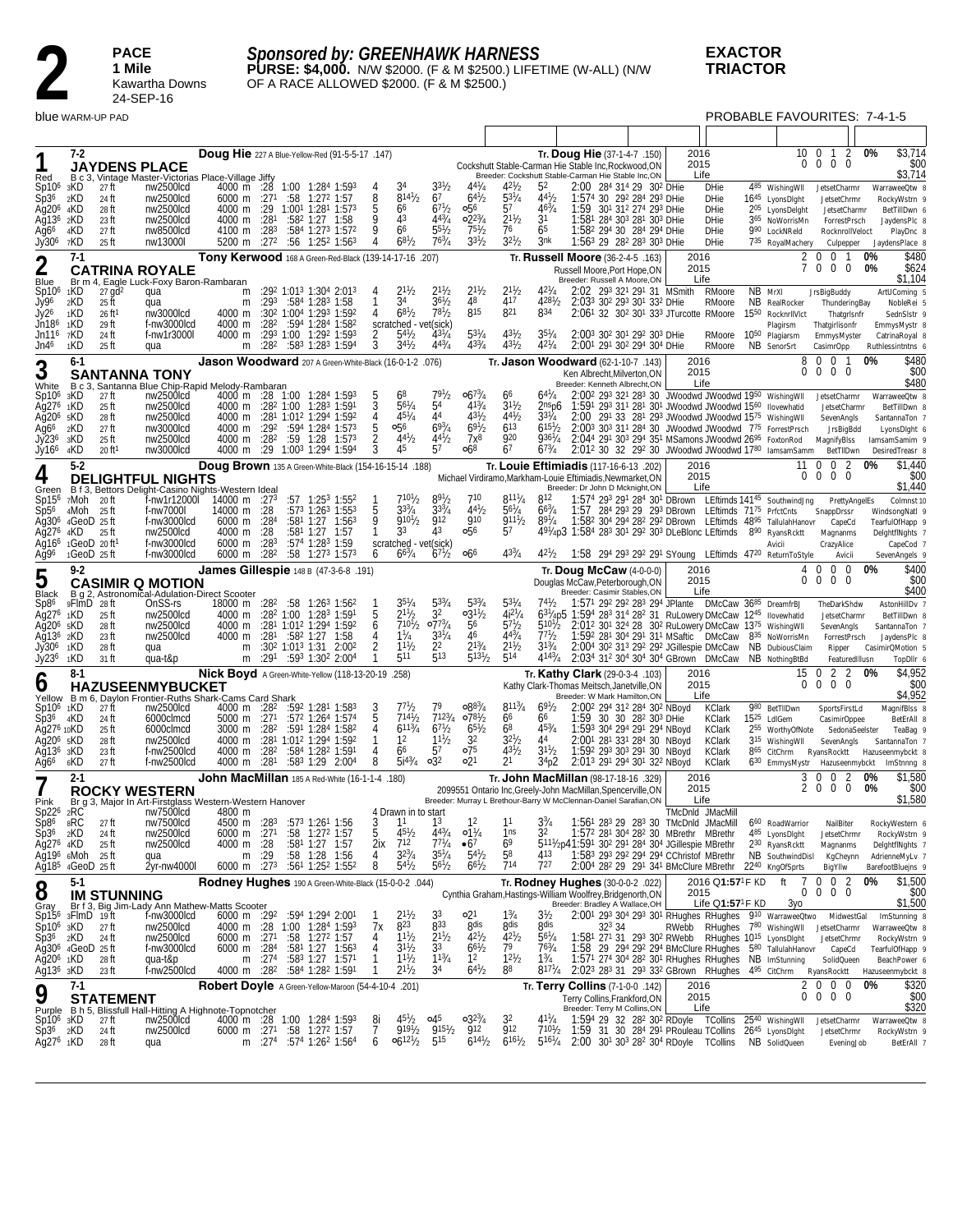PACE<br>
1 Mile<br>
Kawart<br>
24-SEF **1 Mile** Kawartha Downs 24-SEP-16

# *Sponsored by: GREENHAWK HARNESS*

**PURSE: \$4,000.** N/W \$2000. (F & M \$2500.) LIFETIME (W-ALL) (N/W OF A RACE ALLOWED \$2000. (F & M \$2500.)

blue WARM-UP PAD PROBABLE FAVOURITES: 7-4-1-5

| Red                                                                                                                      | 7-2                                              |                                                                                        | <b>JAYDENS PLACE</b><br>B c 3, Vintage Master-Victorias Place-Village Jiffy                                                                                     |                                                                      |                                                             |                 | Doug Hie 227 A Blue-Yellow-Red (91-5-5-17 .147)                                                                                                                                                                                            |                                   |                                                                                                 |                                                                                     |                                                                                      |                                                                                |                                                                                                                             | Tr. Doug Hie (37-1-4-7 .150)<br>Cockshutt Stable-Carman Hie Stable Inc, Rockwood, ON<br>Breeder: Cockshutt Stable-Carman Hie Stable Inc,ON                                                                                                                                         |                                                                                                                                                                                                                                                                                                                                                                                                                       | 2016<br>2015<br>Life |                                                                                                            |                 | 10<br>$\Omega$                                                                                                                                                                           | - 0<br>1<br>$\overline{0}$<br>$0\quad 0$                                                                  | 2             | 0%<br>\$3,714<br>\$00<br>\$3,714                                                                                |
|--------------------------------------------------------------------------------------------------------------------------|--------------------------------------------------|----------------------------------------------------------------------------------------|-----------------------------------------------------------------------------------------------------------------------------------------------------------------|----------------------------------------------------------------------|-------------------------------------------------------------|-----------------|--------------------------------------------------------------------------------------------------------------------------------------------------------------------------------------------------------------------------------------------|-----------------------------------|-------------------------------------------------------------------------------------------------|-------------------------------------------------------------------------------------|--------------------------------------------------------------------------------------|--------------------------------------------------------------------------------|-----------------------------------------------------------------------------------------------------------------------------|------------------------------------------------------------------------------------------------------------------------------------------------------------------------------------------------------------------------------------------------------------------------------------|-----------------------------------------------------------------------------------------------------------------------------------------------------------------------------------------------------------------------------------------------------------------------------------------------------------------------------------------------------------------------------------------------------------------------|----------------------|------------------------------------------------------------------------------------------------------------|-----------------|------------------------------------------------------------------------------------------------------------------------------------------------------------------------------------------|-----------------------------------------------------------------------------------------------------------|---------------|-----------------------------------------------------------------------------------------------------------------|
| Sp10 <sup>6</sup><br>Sp3 <sup>6</sup><br>Ag20 <sup>6</sup><br>Ağ136<br>Ag6 <sup>6</sup><br>Jy306                         | 3KD<br>2KD<br>4KD<br>2KD<br>4KD<br>7KD           | 27 ft<br>24 ft<br>28 ft<br>23 ft<br>27 ft<br>25 ft                                     | nw2500lcd<br>nw2500lcd<br>nw2500lcd<br>nw2500lcd<br>nw8500lcd<br>nw13000l                                                                                       | 4000 m :28<br>6000 m<br>4000 m<br>4000 m<br>4100 m<br>5200 m         | :271<br>:29<br>:281<br>:28 <sup>3</sup><br>:27 <sup>2</sup> |                 | 1:00 1:284 1:593<br>$:58$ 1:27 <sup>2</sup> 1:57<br>1:001 1:281 1:573<br>$:58^2$ 1:27 1:58<br>$:584$ 1:27 <sup>3</sup> 1:57 <sup>2</sup><br>$:56$ 1:25 <sup>2</sup> 1:56 <sup>3</sup>                                                      | 8<br>5<br>9<br>9<br>4             | 34<br>$8^{141}/2$<br>66<br>43<br>66<br>$68^{1}/2$                                               | $3^{31}/2$<br>67<br>$67^{1}/2$<br>$44^{3}/_{4}$<br>$55\frac{1}{2}$<br>$76^{3}/_{4}$ | $44\frac{1}{4}$<br>$6^{41}/2$<br>056<br>$02^{23}/4$<br>$75\frac{1}{2}$<br>$3^{31}/2$ | $42\frac{1}{2}$<br>$5^{31}/4$<br>57<br>$2^{11}/2$<br>76<br>$32^{1}/2$          | 52<br>$4^{4^{1}}/2$<br>$46^{3}/_{4}$<br>31<br>65<br>3nk                                                                     | 1:59                                                                                                                                                                                                                                                                               | 2:00 284 314 29 302 DHie<br>1:574 30 29 <sup>2</sup> 28 <sup>4</sup> 29 <sup>3</sup> DHie<br>301 312 274 293 DHie<br>1:581 284 303 281 303 DHie<br>1:58 <sup>2</sup> 29 <sup>4</sup> 30 28 <sup>4</sup> 29 <sup>4</sup> DHie<br>1:563 29 282 283 303 DHie                                                                                                                                                             |                      | <b>DHie</b><br><b>DHie</b><br><b>DHie</b><br><b>DHie</b><br><b>DHie</b><br><b>DHie</b>                     |                 | 485 Wishing WII<br>1645 LyonsDight<br>205 LyonsDelght<br>365 NoWorrisMn<br>990 LockNReld<br>735 RoyalMachery                                                                             | JetsetCharmr<br>JetsetChrmr<br>JetsetCharmr<br>ForrestPrsch<br>RocknrollVeloct<br>Culpepper               |               | WarraweeQtw 8<br>RockyWstrn 9<br>BetTillDwn 6<br>JaydensPIc 8<br>PlayDnc &<br>JaydensPlace 8                    |
| $\overline{2}$                                                                                                           | $7-1$                                            |                                                                                        |                                                                                                                                                                 |                                                                      |                                                             |                 | Tony Kerwood 168 A Green-Red-Black (139-14-17-16 .207)                                                                                                                                                                                     |                                   |                                                                                                 |                                                                                     |                                                                                      |                                                                                |                                                                                                                             | Tr. Russell Moore (36-2-4-5 .163)                                                                                                                                                                                                                                                  |                                                                                                                                                                                                                                                                                                                                                                                                                       | 2016<br>2015         |                                                                                                            |                 | 2<br>7                                                                                                                                                                                   | $\mathbf 0$<br>$\mathbf 0$<br>$\mathbf 0$<br>$0\quad 0$                                                   | $\mathbf{1}$  | 0%<br>\$480<br>0%<br>\$624                                                                                      |
| Blue<br>Sp10 <sup>6</sup><br>Jy96<br>Jy2 <sup>6</sup><br>Jn186<br>Jn116<br>Jn4 <sup>6</sup>                              | 1KD<br>2KD<br>1KD<br>1KD<br>7KD<br>1KD           | $27$ gd <sup>2</sup><br>25 ft<br>$26$ ft<br>29 ft<br>24 ft<br>25 ft                    | <b>CATRINA ROYALE</b><br>Br m 4, Eagle Luck-Foxy Baron-Rambaran<br>qua<br>qua<br>nw3000lcd<br>f-nw3000lcd<br>f-nw1r3000l                                        | m<br>m<br>4000 m<br>4000 m<br>4000 m                                 |                                                             |                 | $:292$ 1:013 1:304 2:013<br>$:293$ $:584$ 1:283 1:58<br>:30 <sup>2</sup> 1:00 <sup>4</sup> 1:29 <sup>3</sup> 1:59 <sup>2</sup><br>:282 :594 1:284 1:582<br>:293 1:00 1:292 1:593                                                           | 4<br>4<br>2<br>3                  | $2^{11}h$<br>34<br>$6^{81}/2$<br>scratched - vet(sick)<br>$54^{1}/2$<br>$3^{4^{1}}$ /2          | $2^{11}/2$<br>$36\frac{1}{2}$<br>$7^{81}/2$<br>$43^{1}/4$<br>$4^{43}/4$             | $2^{11}/2$<br>48<br>815<br>$53^{1}/4$<br>$4^{33}/4$                                  | $2^{11}/2$<br>417<br>821<br>$43^{1}/2$<br>$4^{31}/2$                           | $42\frac{1}{4}$<br>$428^{1}/_{2}$<br>834<br>$35\%$<br>$4^{21}/4$                                                            | Russell Moore, Port Hope, ON<br>Breeder: Russell A Moore, ON                                                                                                                                                                                                                       | 2:02 293 321 291 31 MSmith<br>2:033 302 293 301 332 DHie<br>2:061 32 30 <sup>2</sup> 301 333 JTurcotte RMoore<br>2:003 302 301 292 303 DHie<br>2:00 <sup>1</sup> 29 <sup>1</sup> 30 <sup>2</sup> 29 <sup>4</sup> 30 <sup>4</sup> DHie                                                                                                                                                                                 | Life                 | RMoore<br>RMoore<br>RMoore 10 <sup>50</sup><br>RMoore                                                      | NB MrXI<br>1550 | NB RealRocker<br>RocknrllVlct<br>Plagirsm<br>Plagiarsm                                                                                                                                   | <b>JrsBigBuddy</b><br>ThunderingBay<br>ThatgrIsnfr<br>Thatgirlisonfr<br>EmmysMyster                       |               | \$1,104<br>ArtUComing 5<br>NobleRei 5<br>SednSlstr 9<br>EmmysMystr 8<br>CatrinaRoyal 8                          |
|                                                                                                                          | $6-1$                                            |                                                                                        | qua                                                                                                                                                             | m                                                                    |                                                             |                 | $:28^2$ $:58^3$ 1:28 <sup>3</sup> 1:594<br>Jason Woodward 207 A Green-White-Black (16-0-1-2 .076)                                                                                                                                          |                                   |                                                                                                 |                                                                                     |                                                                                      |                                                                                |                                                                                                                             | Tr. Jason Woodward (62-1-10-7 .143)                                                                                                                                                                                                                                                |                                                                                                                                                                                                                                                                                                                                                                                                                       | 2016                 |                                                                                                            |                 | NB SenorSrt<br>8                                                                                                                                                                         | CasimrOpp<br>$\Omega$<br>$\mathbf 0$<br>-1                                                                |               | Ruthlessintntns 6<br>\$480<br>0%                                                                                |
| 3                                                                                                                        |                                                  |                                                                                        | <b>SANTANNA TONY</b>                                                                                                                                            |                                                                      |                                                             |                 |                                                                                                                                                                                                                                            |                                   |                                                                                                 |                                                                                     |                                                                                      |                                                                                |                                                                                                                             | Ken Albrecht, Milverton, ON<br>Breeder: Kenneth Albrecht, ON                                                                                                                                                                                                                       |                                                                                                                                                                                                                                                                                                                                                                                                                       | 2015<br>Life         |                                                                                                            |                 | $\Omega$                                                                                                                                                                                 | $0\quad 0$<br>$\Omega$                                                                                    |               | \$00<br>\$480                                                                                                   |
| White<br>Sp10 <sup>6</sup><br>Ag276<br>Ag20 <sup>6</sup><br>Ağ6 <sup>6</sup><br>Jy236<br>Jy166                           | B c 3,<br>зKD<br>1KD<br>5KD<br>2KD<br>3KD<br>4KD | 27 ft<br>25 ft<br>28 ft<br>27 ft<br>25 ft<br>$20$ ft <sup>1</sup>                      | Santanna Blue Chip-Rapid Melody-Rambaran<br>nw2500lcd<br>nw2500lcd<br>nw2500lcd<br>nw3000lcd<br>nw2500lcd<br>nw3000lcd                                          | 4000 m<br>4000 m<br>4000 m<br>4000 m<br>4000 m                       | :29 <sup>2</sup>                                            |                 | 4000 m :28 1:00 1:28 <sup>4</sup> 1:59 <sup>3</sup><br>:282 1:00 1:283 1:591<br>:281 1:012 1:294 1:592<br>:594 1:284 1:573<br>$:28^2$ $:59$ 1:28 1:573<br>:29 1:003 1:294 1:594                                                            | 4<br>5<br>2<br>3                  | 68<br>$56^{1}/4$<br>$45^{1}/4$<br>о56<br>$44^{1}/2$<br>45                                       | 79<br>'/2<br>54<br>44<br>$6^{93}/4$<br>$4^{4^{1}}/2$<br>57                          | $06^{73}/4$<br>$4^{13}/4$<br>$43^{1}/2$<br>$69^{1}/2$<br>7x8<br>068                  | 66<br>$3^{11}/2$<br>$4^{4^{1}}/2$<br>$6^{13}$<br>920<br>67                     | $6^{41}/4$<br>2nsp6<br>$3^{37}/4$<br>$6^{15}h$<br>$936^{1}/4$<br>$67^{3}/4$                                                 |                                                                                                                                                                                                                                                                                    | 2:00 <sup>2</sup> 29 <sup>3</sup> 32 <sup>1</sup> 28 <sup>3</sup> 30 JWoodwd JWoodwd 19 <sup>50</sup> WishingWll<br>1:591 293 311 281 301 JWoodwd JWoodwd 1560 Ilovewhatid<br>2:00 291 33 281 293 JWoodwd JWoodwd 1575 Wishing WII<br>2:003 303 311 284 30 JWoodwd JWoodwd 775 ForrestPrsch<br>2:044 291 303 294 351 MSamons JWoodwd 26 <sup>95</sup> FoxtonRod<br>2:012 30 32 292 30 JWoodwd JWoodwd 1780 lamsamSamm |                      |                                                                                                            |                 |                                                                                                                                                                                          | JetsetCharmr<br>JetsetCharmr<br>SevenAngls<br>JrsBigBdd<br>MagnifyBlss<br>BetTIIDwn                       |               | WarraweeQtw 8<br>BetTillDwn 8<br>SantannaTon 7<br>LyonsDight 6<br>lamsamSamim 9<br>DesiredTreasr 8              |
| 4                                                                                                                        | $5-2$                                            |                                                                                        | <b>DELIGHTFUL NIGHTS</b>                                                                                                                                        |                                                                      |                                                             |                 | Doug Brown 135 A Green-White-Black (154-16-15-14 .188)                                                                                                                                                                                     |                                   |                                                                                                 |                                                                                     |                                                                                      |                                                                                |                                                                                                                             | Tr. Louie Eftimiadis (117-16-6-13 .202)<br>Michael Virdiramo, Markham-Louie Eftimiadis, Newmarket, ON                                                                                                                                                                              |                                                                                                                                                                                                                                                                                                                                                                                                                       | 2016<br>2015         |                                                                                                            |                 | 11                                                                                                                                                                                       | $\mathbf 0$<br>$\mathbf 0$<br>$0\quad 0$<br>$0\quad 0$                                                    | 2             | \$1,440<br>0%<br>\$00                                                                                           |
| Green<br>Sp15 <sup>6</sup><br>Sp5 <sup>6</sup><br>Ag30 <sup>6</sup><br>Aq276<br>Aq16 <sup>6</sup>                        | 7Moh<br>4Moh<br>4KD                              | 20 ft<br>25 ft<br>$4 \text{Geo}D$ 25 ft<br>25 ft<br>$1 \text{GeoD}$ 20 ft <sup>1</sup> | B f 3, Bettors Delight-Casino Nights-Western Ideal<br>f-nw7000l<br>f-nw3000lcd<br>nw2500lcd<br>f-nw3000lcd                                                      | f-nw1r12000l 14000 m $:273$<br>14000 m<br>6000 m<br>4000 m<br>6000 m | :28<br>:28 <sup>4</sup><br>:28<br>:28 <sup>3</sup>          |                 | $:57$ 1:25 <sup>3</sup> 1:55 <sup>2</sup><br>$:573$ 1:26 <sup>3</sup> 1:55 <sup>3</sup><br>$:58^1$ 1:27 1:56 <sup>3</sup><br>:581 1:27 1:57<br>:57 <sup>4</sup> 1:28 <sup>3</sup> 1:59                                                     | 5<br>9<br>$\mathbf{1}$            | $7^{10}$ <sup>1</sup> / <sub>2</sub><br>$3^{3/4}$<br>$9^{101}/2$<br>33<br>scratched - vet(sick) | $89\frac{1}{2}$<br>$3^{3/4}$<br><b>912</b><br>43                                    | 710<br>$4^{41}/2$<br><b>910</b><br>056                                               | $811^{1}/_{4}$<br>$56^{1}/4$<br>9111/2<br>57                                   | 812<br>$6^{63}/4$<br>$8^{91}/4$                                                                                             | Breeder: Dr John D Mcknight, ON<br>1:57 284 293 29 293 DBrown LEftimds 7175 PrfctCnts<br>1:582 304 294 282 292 DBrown LEftimds 4895 TallulahHanovr<br>491/4p3 1:584 283 301 292 303 DLeBlonc LEftimds 890 RyansRcktt                                                               | 1:574 293 291 284 301 DBrown LEftimds 14145 SouthwindJng                                                                                                                                                                                                                                                                                                                                                              | Life                 |                                                                                                            |                 | Avicii                                                                                                                                                                                   | SnappDrssr<br>CapeCd<br>Magnanms<br>CrazyAlice                                                            | PrettyAngelEs | \$1,440<br>Colmnst 10<br>WindsongNatl 9<br>TearfulOfHapp 9<br>DelghtflNghts 7<br>CapeCod 7                      |
| Ag96                                                                                                                     |                                                  | $1 \text{Geo}D$ 25 ft                                                                  | f-nw3000lcd                                                                                                                                                     | 6000 m                                                               | :28 <sup>2</sup>                                            |                 | $:58$ 1:27 <sup>3</sup> 1:57 <sup>3</sup>                                                                                                                                                                                                  | 6                                 | $6^{63}/4$                                                                                      | $67\frac{1}{2}$                                                                     | 066                                                                                  | $4^{33}/4$                                                                     | $4^{21}/_{2}$                                                                                                               | 1:58 294 293 292 291 SYoung LEftimds 4720 ReturnToStyle                                                                                                                                                                                                                            |                                                                                                                                                                                                                                                                                                                                                                                                                       |                      |                                                                                                            |                 |                                                                                                                                                                                          | Avicii                                                                                                    |               | SevenAngels 9                                                                                                   |
| 5<br>Black                                                                                                               | $9-2$                                            |                                                                                        | <b>CASIMIR Q MOTION</b>                                                                                                                                         |                                                                      |                                                             |                 | James Gillespie 148 B (47-3-6-8 .191)                                                                                                                                                                                                      |                                   |                                                                                                 |                                                                                     |                                                                                      |                                                                                |                                                                                                                             | Tr. Doug McCaw $(4-0-0-0)$<br>Douglas McCaw, Peterborough, ON<br>Breeder: Casimir Stables, ON                                                                                                                                                                                      |                                                                                                                                                                                                                                                                                                                                                                                                                       | 2016<br>2015<br>Life |                                                                                                            |                 | 4<br>0                                                                                                                                                                                   | $0\quad 0$<br>$\mathbf 0$<br>$\mathbf 0$<br>$0\quad 0$                                                    |               | \$400<br>0%<br>\$00<br>\$400                                                                                    |
| Sp8 <sup>6</sup><br>Ag276<br>Ag20 <sup>6</sup><br>Ag13 <sup>6</sup> 2KD<br>Jy306<br>Jy236                                | 9FlmD<br>1KD<br>5KD<br>1KD<br>1KD                | 28 ft<br>25 ft<br>28 ft<br>23 ft<br>28 ft<br>31 ft                                     | B g 2, Astronomical-Adulation-Direct Scooter<br>OnSS-rs<br>nw2500lcd<br>nw2500lcd<br>nw2500lcd<br>qua<br>qua-t&p                                                | 18000 m<br>4000 m<br>4000 m<br>4000 m<br>m<br>m                      | :282<br>:281                                                | :302 1:013 1:31 | $:58$ 1:26 <sup>3</sup> 1:56 <sup>2</sup><br>:282 1:00 1:283 1:591<br>:281 1:012 1:294 1:592<br>:58 <sup>2</sup> 1:27 1:58<br>2:00 <sup>2</sup><br>:291 :593 1:302 2:004                                                                   | 5<br>6<br>4<br>$\overline{2}$     | $2^{11}h$<br>$7^{10}$ <sup>1</sup> / <sub>2</sub><br>$1\frac{1}{4}$<br>$11^{1}/2$<br>511        | $5^{33}/_4$<br>32<br>$07^{3}/4$<br>$3^{31}/4$<br>22<br>513                          | $03^{11}/2$<br>56<br>46<br>$2^{13}/_4$<br>$5^{13^{1}/2}$                             | $5^{3}$ /<br>$4i^{27}/4$<br>$57\frac{1}{2}$<br>$4^{43}/4$<br>$2^{11}/2$<br>514 | $5^{10}$ <sup>1</sup> / <sub>2</sub><br>$7^{71}h$<br>$3^{13}/4$<br>$4^{143}/4$                                              | 1:57 <sup>1</sup> 29 <sup>2</sup> 29 <sup>2</sup> 28 <sup>3</sup> 29 <sup>4</sup> JPlante DMcCaw 36 <sup>85</sup><br>631/4p5 1:594 283 314 282 31 RuLowery DMcCaw 1245 Ilovewhatid<br>2:012 301 324 28 302 RuLowery DMcCaw 1375 Wishing WII<br>2:034 312 304 304 304 GBrown DMcCaw | 1:592 281 304 291 311 MSaftic DMcCaw<br>2:004 302 313 292 292 JGillespie DMcCaw                                                                                                                                                                                                                                                                                                                                       |                      |                                                                                                            |                 | DreamfrBJ<br>835 NoWorrisMn<br>NB DubiousClaim<br>NB NothingBtBd                                                                                                                         | TheDarkShdw<br>JetsetCharmr<br>SevenAngls<br>ForrestPrsch<br>Ripper<br>FeaturedIllusn                     |               | AstonHillDv 7<br>BetTillDwn 8<br>SantannaTon 7<br>JaydensPlc 8<br>CasimirQMotion 5<br>TopDllr 6                 |
|                                                                                                                          | $8-1$                                            |                                                                                        |                                                                                                                                                                 |                                                                      |                                                             |                 | Nick Boyd A Green-White-Yellow (118-13-20-19 .258)                                                                                                                                                                                         |                                   |                                                                                                 |                                                                                     |                                                                                      |                                                                                |                                                                                                                             | Tr. Kathy Clark (29-0-3-4 .103)                                                                                                                                                                                                                                                    |                                                                                                                                                                                                                                                                                                                                                                                                                       | 2016                 |                                                                                                            |                 | 15                                                                                                                                                                                       | 2<br>- 0                                                                                                  | 2             | \$4,952<br>0%                                                                                                   |
| ხ<br>Yellow<br>Sp10 <sup>6</sup> 1KD<br>Sp3 <sup>6</sup><br>Ag276 10KD<br>Ağ20 <sup>6</sup> sKD<br>$Aq136$ $3KD$<br>Ağ66 | 4KD<br>6KD                                       | 27 ft<br>24 ft<br>25 ft<br>28 ft<br>23 ft<br>27 ft                                     | <b>HAZUSEENMYBUCKET</b><br>B m 6, Daylon Frontier-Ruths Shark-Cams Card Shark<br>nw2500lcd<br>6000clmcd<br>6000clmcd<br>nw2500lcd<br>f-nw2500lcd<br>f-nw2500lcd | 5000 m<br>3000 m<br>4000 m<br>4000 m<br>4000 m                       | :271<br>:282<br>:28 <sup>2</sup><br>:281                    |                 | 4000 m :28 <sup>2</sup> :59 <sup>2</sup> 1:28 <sup>1</sup> 1:58 <sup>3</sup><br>:572 1:264 1:574<br>:591 1:284 1:582<br>:281 1:012 1:294 1:592<br>:584 1:282 1:591<br>$:583$ 1:29 2:00 <sup>4</sup>                                        | 3<br>5<br>4<br>4<br>8             | 77½<br>7141 <sub>b</sub><br>$6^{113}/4$<br>1 <sup>2</sup><br>66<br>$5i^{43}/4$                  | 79<br>$7^{123}/4$<br>$67^{1/2}$<br>$11^{1}/2$<br>57<br>$\circ 3^2$                  | $0.88^{3}/4$<br>$078\frac{1}{2}$<br>$65\frac{1}{2}$<br>32<br>$\circ 7^5$<br>021      | $8^{113}/4$<br>6 <sup>6</sup><br>68<br>$32^{1}/2$<br>$4^{31}/2$<br>21          | $69\frac{1}{2}$<br>66<br>$45\frac{3}{4}$<br>44<br>$3^{11}/2$<br>34p2                                                        | Kathy Clark-Thomas Meitsch, Janetville, ON<br>Breeder: W Mark Hamilton, ON                                                                                                                                                                                                         | 2:002 294 312 284 302 NBoyd<br>1:59 30 30 28 <sup>2</sup> 30 <sup>3</sup> DHie<br>1:593 304 294 291 294 NBoyd<br>2:001 281 331 284 30 NBovd<br>1:592 293 303 291 30 NBoyd<br>2:013 291 294 301 322 NBoyd                                                                                                                                                                                                              | 2015                 | Life<br><b>KClark</b><br><b>KClark</b><br><b>KClark</b><br><b>KClark</b><br><b>KClark</b><br><b>KClark</b> |                 | $\Omega$<br>980 BetTIIDwn<br>15 <sup>25</sup> LdIGem<br>2 <sup>55</sup> WorthyOfNote<br>3 <sup>15</sup> Wishing WII<br>8 <sup>65</sup> CitChrm RyansRocktt<br>6 <sup>30</sup> EmmysMystr | $0\quad 0$<br>$\Omega$<br>SportsFirstLd<br>CasimirOppee<br>SedonaSeelster<br>SevenAngls<br>Hazuseenmybckt |               | \$00<br>\$4,952<br>MagnifBlss 8<br>BetErAll 8<br>TeaBag 9<br>SantannaTon 7<br>Hazuseenmybckt 8<br>ImStnnng &    |
|                                                                                                                          | $2 - 1$                                          |                                                                                        | <b>ROCKY WESTERN</b>                                                                                                                                            |                                                                      |                                                             |                 | <b>John MacMillan</b> 185 A Red-White (16-1-1-4 .180)                                                                                                                                                                                      |                                   |                                                                                                 |                                                                                     |                                                                                      |                                                                                |                                                                                                                             | Tr. <b>John MacMillan</b> (98-17-18-16 .329)<br>2099551 Ontario Inc, Greely-John MacMillan, Spencerville, ON                                                                                                                                                                       |                                                                                                                                                                                                                                                                                                                                                                                                                       | 2016<br>2015         |                                                                                                            |                 | 3<br>2                                                                                                                                                                                   | $\mathbf 0$<br>- 0<br>$\bf{0}$<br>$0\quad 0$                                                              | 2             | \$1,580<br>0%<br>0%<br>\$00                                                                                     |
| Pink                                                                                                                     |                                                  |                                                                                        | Br g 3, Major In Art-Firstglass Western-Western Hanover                                                                                                         |                                                                      |                                                             |                 |                                                                                                                                                                                                                                            |                                   |                                                                                                 |                                                                                     |                                                                                      |                                                                                |                                                                                                                             | Breeder: Murray L Brethour-Barry W McClennan-Daniel Sarafian, ON                                                                                                                                                                                                                   |                                                                                                                                                                                                                                                                                                                                                                                                                       | Life                 | TMcDnld JMacMill                                                                                           |                 |                                                                                                                                                                                          |                                                                                                           |               | \$1,580                                                                                                         |
| $Sp226$ 2RC<br>Sp8 <sup>6</sup><br>Sp36<br>Ag276 4KD<br>Ag196 6Moh 25 ft<br>Ağ185 4GeoD 25 ft                            | 8RC<br>2KD                                       | 27 ft<br>24 ft<br>25 ft                                                                | nw7500lcd<br>nw7500lcd<br>nw2500lcd<br>nw2500lcd<br>qua<br>2yr-nw4000l                                                                                          | 4800 m<br>6000 m<br>4000 m<br>m<br>$6000 \text{ m}$ :27 <sup>3</sup> | :271<br>:28<br>:29                                          |                 | 4500 m :28 <sup>3</sup> :57 <sup>3</sup> 1:26 <sup>1</sup> 1:56<br>:58 1:27 <sup>2</sup> 1:57<br>:581 1:27 1:57<br>:58 1:28 1:56<br>$:56^1$ 1:25 <sup>2</sup> 1:55 <sup>2</sup>                                                            | 3<br>5<br>2ix<br>4<br>8           | 4 Drawn in to start<br>11<br>$45\frac{1}{2}$<br>712<br>$32^{3}/4$<br>$5^{4^{1}}/2$              | 13<br>$4^{43}/4$<br>$77^{1}/_{4}$<br>$35^{1}/4$<br>$5^{61}/2$                       | 12<br>$01\frac{1}{4}$<br>•67<br>$54\frac{1}{2}$<br>$6^{61}/2$                        | 11<br>1ns<br>69<br>58<br>714                                                   | $3^{3}/_{4}$<br>413<br>727                                                                                                  | 5111/2p41:591 302 291 284 304 JGillespie MBrethr<br>1:583 293 292 294 294 CChristof MBrethr                                                                                                                                                                                        | 1:561 283 29 283 30 TMcDnld JMacMill<br>1:572 281 304 282 30 MBrethr MBrethr<br>2:004 282 29 291 341 BMcClure MBrethr 2240 KngOfSprts                                                                                                                                                                                                                                                                                 |                      |                                                                                                            |                 | 6 <sup>60</sup> RoadWarrior<br>485 LyonsDlght<br>230 RyansRcktt<br>NB SouthwindDisl                                                                                                      | NailBiter<br>JetsetChrmr<br>Magnanms<br>KgCheynn<br>BigYllw                                               |               | RockyWestern 6<br>RockyWstrn 9<br>DelghtflNghts 7<br>AdrienneMyLv 7<br>BarefootBluejns 9                        |
| 8                                                                                                                        | $5-1$                                            | <b>IM STUNNING</b>                                                                     |                                                                                                                                                                 |                                                                      |                                                             |                 | Rodney Hughes 190 A Green-White-Black (15-0-0-2 .044)                                                                                                                                                                                      |                                   |                                                                                                 |                                                                                     |                                                                                      |                                                                                |                                                                                                                             | Tr. Rodney Hughes (30-0-0-2 .022)<br>Cynthia Graham, Hastings-William Woolfrey, Bridgenorth, ON                                                                                                                                                                                    |                                                                                                                                                                                                                                                                                                                                                                                                                       | 2015                 | 2016 Q1:57 <sup>1</sup> F KD                                                                               |                 | 7<br>ft<br>0                                                                                                                                                                             | $0 \t0 \t2$<br>$0\quad 0\quad 0$                                                                          |               | \$1,500<br>0%<br>\$00                                                                                           |
| Gray<br>$Sp106$ 3KD<br>$Sp36 \t2KD$<br>Ag30 <sup>6</sup> 4GeoD 25 ft<br>Ag20 <sup>6</sup> 1KD<br>Ag136 зKD               |                                                  | $Sp156$ 3FlmD 19ft<br>27 ft<br>24 ft<br>28 ft<br>23 ft                                 | Br f 3, Big Jim-Lady Ann Mathew-Matts Scooter<br>f-nw3000lcd<br>nw2500lcd<br>nw2500lcd<br>f-nw3000lcd<br>qua-t&p<br>f-nw2500lcd                                 | 6000 m :271<br>6000 m<br>m                                           | :28 <sup>4</sup><br>:274                                    |                 | 6000 m :29 <sup>2</sup> :59 <sup>4</sup> 1:29 <sup>4</sup> 2:00 <sup>1</sup><br>4000 m :28 1:00 1:284 1:593<br>:58 1:272 1:57<br>$:58^1$ 1:27 1:56 <sup>3</sup><br>:583 1:27 1:571<br>4000 m :28 <sup>2</sup> :584 1:28 <sup>2</sup> 1:591 | 7х<br>4<br>4<br>1<br>$\mathbf{1}$ | $2^{11}h$<br>823<br>$11^{1}/2$<br>$3^{11}/2$<br>$11^{1}/2$<br>$2^{11}/2$                        | 33<br>833<br>$2^{11}/2$<br>3 <sup>3</sup><br>$1^{13}/4$<br>34                       | o21<br>8 <sub>dis</sub><br>$42^{1}/2$<br>$6^{61}/2$<br>$1^2$<br>$64^{1/2}$           | $1\frac{3}{4}$<br>8dis<br>$42^{1}/2$<br>79<br>$12^{1}/2$<br>88                 | $3\frac{1}{2}$<br>8 <sub>dis</sub><br>$56^{1}/4$<br>$76^{3}/_{4}$<br>$1\frac{3}{4}$<br>$8^{17}$ <sup>1</sup> / <sub>4</sub> | Breeder: Bradley A Wallace, OH<br>323 34<br>1:58 29 294 292 294 BMcClure RHughes 580 Tallulah Hanovr CapeCd<br>2:023 283 31 293 332 GBrown RHughes 495 CitChrm                                                                                                                     | $2:001$ 29 <sup>3</sup> 30 <sup>4</sup> 29 <sup>3</sup> 30 <sup>1</sup> RHughes RHughes 9 <sup>10</sup> WarraweeQtwo<br>1:581 271 31 293 302 RWebb RHughes 1015 LyonsDlght<br>1:571 274 304 282 301 RHughes RHughes NB ImStunning                                                                                                                                                                                     |                      | Life $Q1:57^1F$ KD                                                                                         |                 | Зуо<br>RWebb RHughes 780 Wishing WII                                                                                                                                                     | MidwestGal<br>JetsetCharmr<br>JetsetChrmr<br>SolidQueen<br>RyansRocktt                                    |               | \$1,500<br>ImStunning 8<br>WarraweeQtw 8<br>RockyWstrn 9<br>TearfulOfHapp 9<br>BeachPower 6<br>Hazuseenmybckt 8 |
| 9                                                                                                                        | $7-1$                                            |                                                                                        |                                                                                                                                                                 |                                                                      |                                                             |                 | Robert Doyle A Green-Yellow-Maroon (54-4-10-4 .201)                                                                                                                                                                                        |                                   |                                                                                                 |                                                                                     |                                                                                      |                                                                                |                                                                                                                             | Tr. Terry Collins (7-1-0-0 .142)<br>Terry Collins, Frankford, ON                                                                                                                                                                                                                   |                                                                                                                                                                                                                                                                                                                                                                                                                       | 2016<br>2015         |                                                                                                            |                 | 0                                                                                                                                                                                        | 2 0 0 0<br>$0\quad 0\quad 0$                                                                              |               | 0%<br>\$320<br>\$00                                                                                             |
| $Sp36$ 2KD<br>Ag27 <sup>6</sup> 1KD                                                                                      |                                                  | <b>STATEMENT</b><br>24 ft<br>28 ft                                                     | Purple B h 5, Blissfull Hall-Hitting A Highnote-Topnotcher<br>Sp10 <sup>6</sup> 3KD 27 ft mw2500lcd 4000 m :28<br>nw2500lcd<br>qua                              |                                                                      |                                                             |                 | 4000 m :28 1:00 1:284 1:593<br>6000 m :27 <sup>1</sup> :58 1:27 <sup>2</sup> 1:57<br>m :274 :574 1:262 1:564                                                                                                                               | 8i<br>7<br>6                      | $45\frac{1}{2}$<br>9197/2<br>$06^{12^{1}}/2$                                                    | o45<br>$915\frac{1}{2}$<br>515                                                      | $03^{23}/4$<br>912<br>$6^{141}/2$                                                    | 32<br>912<br>$6^{161}/2$                                                       | $41\frac{1}{4}$<br>$7^{101}/2$<br>$5^{161}/4$                                                                               | Breeder: Terry M Collins, ON<br>1:594 29 32 282 302 RDoyle TCollins 2540 Wishing WII<br>1:59 31 30 284 291 PRouleau TCollins 2645 LyonsDight<br>2:00 301 303 282 304 RDoyle TCollins                                                                                               |                                                                                                                                                                                                                                                                                                                                                                                                                       | Life                 |                                                                                                            |                 | NB SolidQueen                                                                                                                                                                            | JetsetCharmr<br>JetsetChrmr<br>EveningJob                                                                 |               | \$320<br>WarraweeQtw 8<br>RockyWstrn 9<br>BetErAll 7                                                            |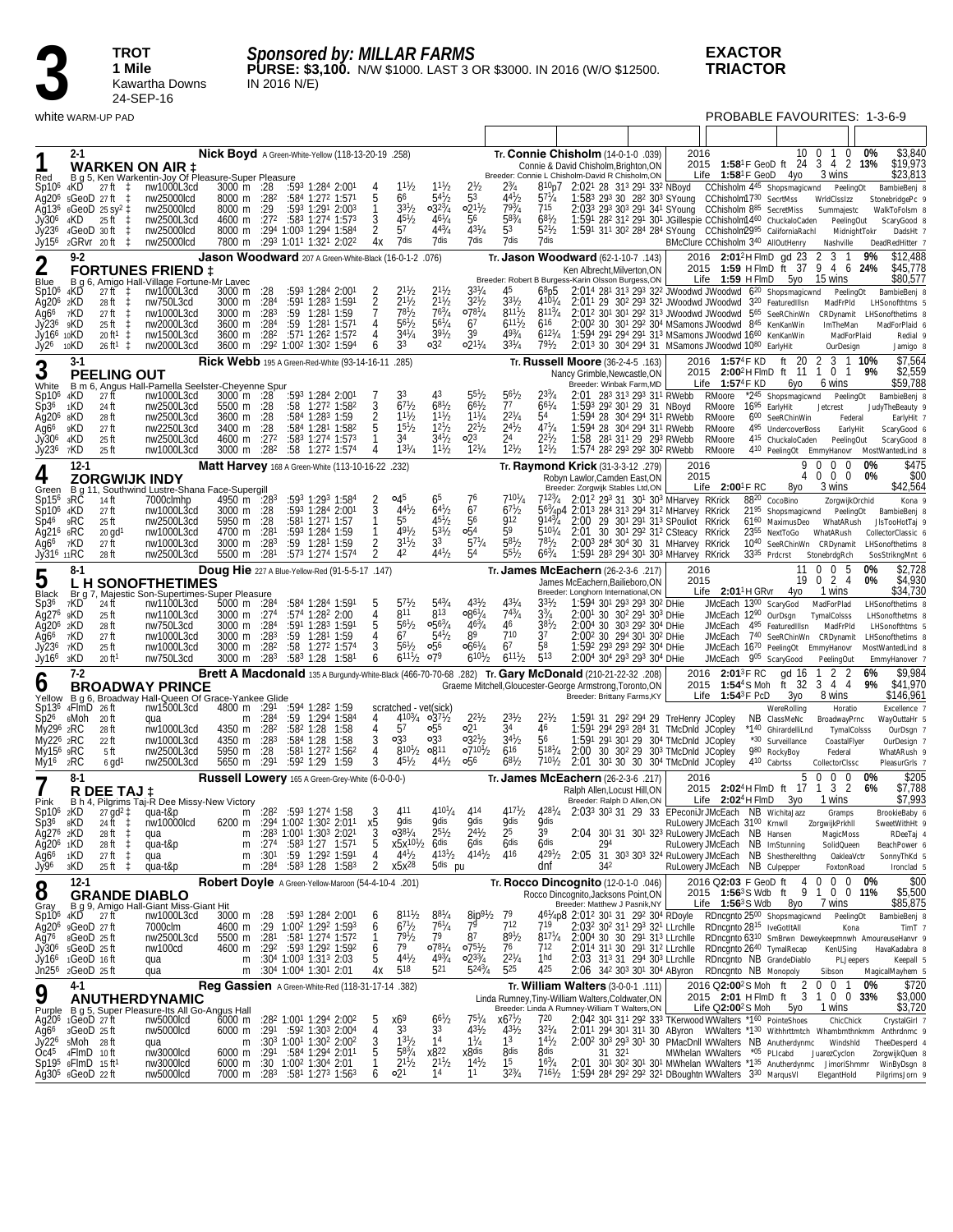

*Sponsored by: MILLAR FARMS*

**PURSE: \$3,100.** N/W \$1000. LAST 3 OR \$3000. IN 2016 (W/O \$12500. IN 2016 N/E)

**EXACTOR TRIACTOR**

white WARM-UP PAD **PROBABLE FAVOURITES: 1-3-6-9** 

| Red                                                                                                               | $2 - 1$                                                                                                                      |                                                                                                                                        | <b>WARKEN ON AIR 1</b><br>B g 5, Ken Warkentin-Joy Of Pleasure-Super Pleasure                                                        | Nick Boyd A Green-White-Yellow (118-13-20-19 .258)                                                   |                                                 |                                                                                                                                                                                                                                                                               |                                                            |                                                                                                       |                                                                                      |                                                                                                 |                                                                                                                          |                                                                                           | Tr. Connie Chisholm (14-0-1-0 .039)<br>Connie & David Chisholm, Brighton, ON<br>Breeder: Connie L Chisholm-David R Chisholm, ON                                                          |                                                                                                                                                                                                                                                                                                                                                                                                                       | 2016         | Life $1:58^1$ F GeoD 4yo                                                              |                          | 10<br>2015 1:58 <sup>1</sup> F GeoD ft 24 3 4 2 13%                                                                                                        | $\overline{0}$<br>-1<br>0<br>3 wins                                                       | 0%                               | \$3,840<br>\$19,973<br>\$23,813                                                                                                      |
|-------------------------------------------------------------------------------------------------------------------|------------------------------------------------------------------------------------------------------------------------------|----------------------------------------------------------------------------------------------------------------------------------------|--------------------------------------------------------------------------------------------------------------------------------------|------------------------------------------------------------------------------------------------------|-------------------------------------------------|-------------------------------------------------------------------------------------------------------------------------------------------------------------------------------------------------------------------------------------------------------------------------------|------------------------------------------------------------|-------------------------------------------------------------------------------------------------------|--------------------------------------------------------------------------------------|-------------------------------------------------------------------------------------------------|--------------------------------------------------------------------------------------------------------------------------|-------------------------------------------------------------------------------------------|------------------------------------------------------------------------------------------------------------------------------------------------------------------------------------------|-----------------------------------------------------------------------------------------------------------------------------------------------------------------------------------------------------------------------------------------------------------------------------------------------------------------------------------------------------------------------------------------------------------------------|--------------|---------------------------------------------------------------------------------------|--------------------------|------------------------------------------------------------------------------------------------------------------------------------------------------------|-------------------------------------------------------------------------------------------|----------------------------------|--------------------------------------------------------------------------------------------------------------------------------------|
| Sp10 <sup>6</sup><br>Aq $206$<br>Ag13 <sup>6</sup><br>Jy30 <sup>6</sup><br>Jy236<br>Jy156                         | 4KD<br>4KD<br>2GRvr 20ft                                                                                                     | $27$ ft $\pm$<br>5GeoD 27ft ‡<br>$6 \text{Geo}D$ 25 sy <sup>2</sup> $\ddagger$<br>$25$ ft $\pm$<br>4GeoD 30ft<br>$\downarrow$<br>-‡    | nw1000L3cd<br>nw25000lcd<br>nw25000lcd<br>nw2500L3cd<br>nw25000lcd<br>nw25000lcd                                                     | 3000 m :28<br>8000 m :28 <sup>2</sup><br>8000 m<br>4600 m :272<br>8000 m<br>7800 m                   | :29                                             | :593 1:284 2:001<br>$:584$ 1:27 <sup>2</sup> 1:57 <sup>1</sup><br>:593 1:291 2:003<br>:583 1:274 1:573<br>:294 1:003 1:294 1:584<br>:293 1:011 1:321 2:022                                                                                                                    | 3<br>2<br>4х                                               | $11^{1}/2$<br>66<br>$3^{31}$ / <sub>2</sub><br>$45^{1}/2$<br>57<br>7dis                               | $11^{1}/2$<br>$5^{4}$<br>$0.32\frac{3}{4}$<br>$46^{1}/_{4}$<br>$4^{43}/4$<br>7dis    | 2 <sub>2</sub><br>53<br>$02^{11}/2$<br>56<br>$4^{31}/4$<br>7 dis                                | $4^{41}$ /<br>79 <sup>3</sup> /4<br>$58^{3}/4$<br>5 <sup>3</sup><br>7dis                                                 | 810 <sub>p</sub> 7<br>$5^{71}$ /4<br>715<br>$68^{1}/2$<br>$5^{21}$ / <sub>2</sub><br>7dis |                                                                                                                                                                                          | 2:021 28 313 291 332 NBoyd<br>1:583 293 30 282 303 SYoung<br>2:033 293 303 291 341 SYoung  CChisholm 885 SecretMiss<br>1:591 282 312 291 301 JGillespie CChisholm1460 ChuckaloCaden<br>1:591 311 302 284 284 SYoung CChisholm2995 CaliforniaRachl                                                                                                                                                                     |              | CChisholm1730 SecrtMss                                                                |                          | CChisholm 445 Shopsmagicwnd PeelingOt<br>BMcClure CChisholm 340 AllOutHenry                                                                                | WrldClssIzz<br>Summajestc<br>PeelingOut<br>Nashville                                      | MidnightTokr                     | BambieBenj 8<br>StonebridgePc 9<br>WalkToFolsm 8<br>ScaryGood 8<br>DadsHt 7<br>DeadRedHitter 7                                       |
| $\mathbf 2$                                                                                                       | $9-2$                                                                                                                        |                                                                                                                                        | <b>FORTUNES FRIEND 1</b>                                                                                                             | Jason Woodward 207 A Green-White-Black (16-0-1-2 .076)                                               |                                                 |                                                                                                                                                                                                                                                                               |                                                            |                                                                                                       |                                                                                      |                                                                                                 |                                                                                                                          |                                                                                           | Tr. Jason Woodward (62-1-10-7 .143)<br>Ken Albrecht, Milverton, ON                                                                                                                       |                                                                                                                                                                                                                                                                                                                                                                                                                       |              |                                                                                       |                          | 2016 2:01 <sup>2</sup> H FlmD gd 23<br>2015 1:59 H FlmD ft 37 9 4 6 24%                                                                                    | 2<br>3 1                                                                                  | 9%                               | \$12,488<br>\$45,778                                                                                                                 |
| Blue<br>Sp10 <sup>6</sup><br>Ag20 <sup>6</sup> 2KD<br>Ag6 <sup>6</sup><br>Jy236<br>Jv166 10KD<br>Jy26             | 4KD<br>7KD<br>9KD<br>10KD                                                                                                    | $27ff \quad \ddagger$<br>28 ft<br>$\downarrow$<br>27 ft<br>25 ft<br>20 ft <sup>1</sup><br>$\ddagger$<br>$26 \text{ ft}^1 \text{ } \pm$ | B g 6, Amigo Hall-Village Fortune-Mr Lavec<br>nw1000L3cd<br>nw750L3cd<br>nw1000L3cd<br>nw2000L3cd<br>nw1500L3cd<br>nw2000L3cd        | 3000 m<br>3000 m :284<br>3000 m<br>3600 m :284<br>3600 m :28 <sup>2</sup><br>3600 m                  | :28<br>:28 <sup>3</sup>                         | :593 1:284 2:001<br>:591 1:283 1:591<br>$:59$ 1:28 <sup>1</sup> 1:59<br>:59 1:281 1:571<br>:571 1:262 1:572<br>:292 1:002 1:302 1:594                                                                                                                                         | 2<br>4<br>4<br>6                                           | $2^{11}/2$<br>$2^{11}/2$<br>$7^{81}/2$<br>$56^{1}/2$<br>$34^{1}/_{4}$<br>33                           | $2^{11/2}$<br>$2^{11}/2$<br>$76^{3}/_{4}$<br>$56^{1}/4$<br>$39^{1}/2$<br>$\circ$ 32  | $3^{31}/4$<br>$3^{2^{1}}/2$<br>$07^{81}/4$<br>67<br>39<br>$02^{11}/4$                           | 45<br>$3^{31}/2$<br>$8^{111}/2$<br>6111/2<br>$49^{3}/_{4}$<br>$3^{31}/4$                                                 | $68$ p5<br>$410^{1}/_{4}$<br>$8^{113}/4$<br>616<br>$6^{12^{1}/4}$<br>797/2                | Breeder: Robert B Burgess-Karin Olsson Burgess, ON                                                                                                                                       | 2:014 281 313 293 322 JWoodwd JWoodwd 6 <sup>20</sup> Shopsmagicwnd<br>2:011 29 302 293 321 JWoodwd JWoodwd 320 Featured IIIsn<br>2:012 301 301 292 313 JWoodwd JWoodwd 565 SeeRChinWn<br>2:00 <sup>2</sup> 30 30 <sup>1</sup> 29 <sup>2</sup> 30 <sup>4</sup> MSamons JWoodwd 8 <sup>45</sup> KenKanWin<br>1:594 291 294 291 313 MSamons JWoodwd 1660 KenKanWin<br>2:013 30 304 294 31 MSamons JWoodwd 1080 EarlyHit |              | Life $1:59$ H FlmD $5y0$                                                              |                          |                                                                                                                                                            | 15 wins<br>MadFrPld<br>CRDynamit<br>ImTheMan<br>OurDesign                                 | PeelingOt<br>MadForPlaid         | \$80,577<br>BambieBenj 8<br>LHSonofthtms 5<br>LHSonofthetims &<br>MadForPlaid 6<br>Redial 9<br>Jamigo 8                              |
| 3                                                                                                                 | 3-1                                                                                                                          | <b>PEELING OUT</b>                                                                                                                     |                                                                                                                                      | Rick Webb 195 A Green-Red-White (93-14-16-11 .285)                                                   |                                                 |                                                                                                                                                                                                                                                                               |                                                            |                                                                                                       |                                                                                      |                                                                                                 |                                                                                                                          |                                                                                           | Tr. Russell Moore (36-2-4-5 .163)<br>Nancy Grimble, Newcastle, ON                                                                                                                        |                                                                                                                                                                                                                                                                                                                                                                                                                       |              | 2016 1:57 <sup>4</sup> F KD                                                           |                          | ft 20<br>2015 2:00 <sup>2</sup> HFlmD ft 11 1 0 1                                                                                                          | 2                                                                                         | 3 1 10%<br>9%                    | \$7.564<br>\$2,559                                                                                                                   |
| White<br>Sp10 <sup>6</sup><br>Sp36<br>Ag20 <sup>6</sup> 8KD<br>Ağ6 <sup>6</sup><br>Jy30 <sup>6</sup><br>Jy236     | 4KD<br>1KD<br>9KD<br>4KD<br>7KD                                                                                              | 27 ft<br>24 ft<br>28 ft<br>27 ft<br>25 ft<br>25 ft                                                                                     | B m 6, Angus Hall-Pamella Seelster-Cheyenne Spur<br>nw1000L3cd<br>nw2500L3cd<br>nw2500L3cd<br>nw2250L3cd<br>nw2500L3cd<br>nw1000L3cd | $3000 \text{ m}$ :28<br>5500 m :28<br>3600 m :28<br>3400 m<br>4600 m :272<br>3000 m :28 <sup>2</sup> | :28                                             | :593 1:284 2:001<br>:58 1:272 1:582<br>:584 1:283 1:59<br>:584 1:281 1:582<br>:583 1:274 1:573<br>$:58$ 1:27 <sup>2</sup> 1:574                                                                                                                                               | 3<br>2<br>4                                                | 33<br>$67\frac{1}{2}$<br>$1^{11}h$<br>$15^{1}/2$<br>34<br>$1^{31}/4$                                  | $68^{1/2}$<br>$11^{1}/2$<br>$1^{2^{1}}/2$<br>$34\frac{1}{2}$<br>$11^{1/2}$           | $55\frac{1}{2}$<br>$66^{1}/2$<br>$11^{1}/4$<br>$2^{2^{1}}/2$<br>$\circ 2^3$<br>$12^{1}/4$       | $5^{61}/2$<br>77<br>$2^{2^{1}/4}$<br>$\frac{2^{41}}{2^4}$<br>$12^{1}/2$                                                  | $66^{1}/4$<br>54<br>$47^{1}/4$<br>$2^{21}h$<br>$12^{1}/2$                                 | 1:58                                                                                                                                                                                     | Breeder: Winbak Farm, MD<br>2:01 283 313 293 311 RWebb<br>1:593 292 301 29 31 NBoyd<br>1:594 28 304 294 311 RWebb<br>1:594 28 304 294 311 RWebb<br>281 311 29 293 RWebb<br>1:574 282 293 292 302 RWebb                                                                                                                                                                                                                |              | Life $1:57^4$ F KD<br>RMoore<br>RMoore<br>RMoore<br>RMoore<br>RMoore<br>RMoore        |                          | 6уо<br>*2 <sup>45</sup> Shopsmagicwnd<br>16 <sup>95</sup> EarlyHit<br>600 SeeRChinWin<br>4 <sup>95</sup> UndercoverBoss<br>415 ChuckaloCaden               | 6 wins<br>Jetcrest<br>PeelingOut                                                          | PeelingOt<br>Federal<br>EarlyHit | \$59,788<br>BambieBenj 8<br>JudyTheBeauty 9<br>EarlyHit 7<br>ScaryGood 6<br>ScaryGood &<br>410 PeelingOt EmmyHanovr MostWantedLind 8 |
| 4                                                                                                                 | $12-1$                                                                                                                       |                                                                                                                                        | <b>ZORGWIJK INDY</b>                                                                                                                 | Matt Harvey 168 A Green-White (113-10-16-22 .232)                                                    |                                                 |                                                                                                                                                                                                                                                                               |                                                            |                                                                                                       |                                                                                      |                                                                                                 |                                                                                                                          |                                                                                           | Tr. Raymond Krick (31-3-3-12 .279)<br>Robyn Lawlor.Camden East.ON                                                                                                                        |                                                                                                                                                                                                                                                                                                                                                                                                                       | 2016<br>2015 | Life $2:00^{\circ}$ F RC                                                              |                          | 8γο                                                                                                                                                        | $\Omega$<br>$\Omega$<br>$\mathbf 0$<br>0 <sub>0</sub><br>3 wins                           | 0%<br>0%                         | \$475<br>\$00<br>\$42,564                                                                                                            |
| Green<br>$Sp156$ 3RC<br>Sp10 <sup>6</sup> 4KD<br>Sp46<br>Ag21 <sup>6</sup> 6RC<br>Ag66<br>Jy31 <sup>6</sup> 11RC  | 9RC<br>7KD                                                                                                                   | 14 ft<br>27 ft<br>25 ft<br>$20$ gd <sup>1</sup><br>27 ft<br>28 ft                                                                      | B g 11, Southwind Lustre-Shana Face-Supergill<br>7000clmhp<br>nw1000L3cd<br>nw2500L3cd<br>nw1000L3cd<br>nw1000L3cd<br>nw2500L3cd     | 4950 m :283<br>3000 m :28<br>5950 m<br>4700 m<br>3000 m<br>5500 m                                    | :28<br>:281<br>:28 <sup>3</sup><br>:281         | :593 1:293 1:584<br>:593 1:284 2:001<br>:58 <sup>1</sup> 1:27 <sup>1</sup> 1:57<br>:593 1:284 1:59<br>$:59$ 1:28 <sup>1</sup> 1:59<br>:573 1:274 1:574                                                                                                                        | 2<br>3<br>2                                                | 045<br>$4^{41}$ / <sub>2</sub><br>55<br>$49^{1}/_{2}$<br>$3^{11}/2$<br>42                             | 65<br>$6^{41}/2$<br>$45\frac{1}{2}$<br>$5^{31}/2$<br>33<br>$4^{41}/2$                | 76<br>67<br>56<br>054<br>$5^{71}/4$<br>54                                                       | $710^{1}/_{4}$<br>$6^{71}/2$<br><b>912</b><br>59<br>$5^{81}$<br>$55^{1}/2$                                               | 9143/4<br>$5^{107}/_4$<br>$7^{81}/2$<br>$66^{3}/4$                                        | Breeder: Zorgwijk Stables Ltd,ON<br>7123/4 2:012 293 31 301 303 MHarvey RKrick<br>563/4p4 2:013 284 313 294 312 MHarvey RKrick                                                           | 2:00 29 301 291 313 SPouliot RKrick<br>2:01 30 301 292 312 CSteacy RKrick<br>2:003 284 304 30 31 MHarvey RKrick<br>1:591 283 294 301 303 MHarvey RKrick                                                                                                                                                                                                                                                               |              |                                                                                       | 33 <sup>35</sup> Prdcrst | 8820 CocoBino<br>2195 Shopsmagicwnd PeelingOt<br>61 <sup>60</sup> MaximusDeo WhatARush<br>2355 NextToGo WhatARush<br>10 <sup>40</sup> SeeRChinWn CRDynamit | ZorgwijkOrchid<br>StonebrdgRch                                                            |                                  | Kona 9<br>BambieBenj 8<br>JIsTooHotTaj 9<br>CollectorClassic 6<br>LHSonofthetims &<br>SosStrikngMnt 6                                |
| 5                                                                                                                 | $8-1$                                                                                                                        |                                                                                                                                        | <b>LH SONOFTHETIMES</b>                                                                                                              | Doug Hie 227 A Blue-Yellow-Red (91-5-5-17 .147)                                                      |                                                 |                                                                                                                                                                                                                                                                               |                                                            |                                                                                                       |                                                                                      |                                                                                                 |                                                                                                                          |                                                                                           | Tr. James McEachern (26-2-3-6 .217)<br>James McEachern, Bailieboro, ON                                                                                                                   |                                                                                                                                                                                                                                                                                                                                                                                                                       | 2016<br>2015 |                                                                                       |                          | 11                                                                                                                                                         | $0\quad0\quad5$<br>19 0 2 4                                                               | 0%<br>0%                         | \$2,728<br>\$4,930                                                                                                                   |
| Black<br>Sp3 <sup>6</sup><br>Ag27 <sup>6</sup><br>Ag20 <sup>6</sup> 2KD<br>Ag66<br>Jy236<br>Jy16 <sup>6</sup> 3KD | 7KD<br>9KD<br>7KD<br>7KD                                                                                                     | 24 ft<br>25 ft<br>28 ft<br>27 ft<br>25 ft<br>20 ft <sup>1</sup>                                                                        | Br g 7, Majestic Son-Supertimes-Super Pleasure<br>nw1100L3cd<br>nw1100L3cd<br>nw750L3cd<br>nw1000L3cd<br>nw1000L3cd<br>nw750L3cd     | 5000 m $:284$<br>3000 m :274<br>3000 m :284<br>3000 m<br>3000 m<br>3000 m                            | :28 <sup>3</sup><br>:282<br>:28 <sup>3</sup>    | :584 1:284 1:591<br>:574 1:282 2:00<br>:591 1:283 1:591<br>$:59$ 1:28 <sup>1</sup> 1:59<br>:58 1:272 1:574<br>:583 1:28 1:581                                                                                                                                                 | 5<br>4<br>3<br>6                                           | $5^{71}$ /2<br>811<br>$56^{1}/2$<br>67<br>$56^{1}/_{2}$<br>$6^{11}\frac{1}{2}$ 079                    | $5^{43}/4$<br>813<br>$0.56^{3}/4$<br>$5^{41}/2$<br>056                               | $0.86^{1}/4$<br>$46^{3}/_{4}$<br>89<br>$06^{61}/4$<br>$6^{10}$ <sup>1</sup> / <sub>2</sub>      | $4^{31}$ /4<br>$74^{3}/_{4}$<br>46<br>710<br>67<br>$6^{111}/2$                                                           | $3^{31}$ /2<br>$3^{3}/_{4}$<br>$38\frac{1}{2}$<br>37<br>58<br>513                         | Breeder: Longhorn International, ON                                                                                                                                                      | 1:594 301 293 293 302 DHie<br>2:001 30 302 291 303 DHie<br>2:004 30 303 292 304 DHie<br>2:00 <sup>2</sup> 30 29 <sup>4</sup> 30 <sup>1</sup> 30 <sup>2</sup> DHie<br>1:592 293 293 292 304 DHie<br>2:004 304 293 293 304 DHie                                                                                                                                                                                         |              | Life 2:01 <sup>1</sup> H GRvr<br>JMcEach 1300 ScaryGod                                |                          | 4yo<br>JMcEach 1290 OurDsgn<br>JMcEach 495 FeaturedIIIsn<br>JMcEach 740 SeeRChinWn CRDynamit<br>JMcEach 1670 PeelingOt EmmyHanovr<br>JMcEach 905 ScaryGood | 1 wins<br>MadForPlad<br>TymalColsss<br>MadFrPld<br>PeelingOut                             |                                  | \$34,730<br>LHSonofthetims &<br>LHSonofthetms &<br>LHSonofthtms 5<br>LHSonofthetims 8<br>MostWantedLind 8<br>EmmyHanover 7           |
| 0                                                                                                                 | $7-2$                                                                                                                        |                                                                                                                                        | <b>BROADWAY PRINCE</b>                                                                                                               |                                                                                                      |                                                 |                                                                                                                                                                                                                                                                               |                                                            |                                                                                                       |                                                                                      |                                                                                                 |                                                                                                                          |                                                                                           | (208). <b>Brett A Macdonald</b> 135 A Burgundy-White-Black (466-70-70-68 .282) Tr. <b>Gary McDonald</b> (210-21-22-32 .208)<br>Graeme Mitchell, Gloucester-George Armstrong, Toronto, ON |                                                                                                                                                                                                                                                                                                                                                                                                                       |              | 2016 2:01 <sup>3</sup> F RC<br>2015 1:54 <sup>4</sup> S Moh                           |                          | gd 16<br>ft 32                                                                                                                                             | 2 <sub>2</sub><br>3 4 4                                                                   | 6%<br>9%                         | \$9,984<br>\$41,970                                                                                                                  |
| Sp136<br>$Sp2^6$<br>My296 2RC<br>My22 <sup>6</sup> 2RC<br>My15 <sup>6</sup> 9RC<br>My16                           | 4FlmD 26ft<br>ہMoh<br>2RC                                                                                                    | 20 ft<br>28 ft<br>22 ft<br>5 ft<br>$6$ gd <sup>1</sup>                                                                                 | Yellow B g 6, Broadway Hall-Queen Of Grace-Yankee Glide<br>nw1500L3cd<br>qua<br>nw1000L3cd<br>nw1000L3cd<br>nw2500L3cd<br>nw2500L3cd | 4800 m :291<br>m<br>4350 m<br>4350 m<br>5950 m<br>5650 m                                             | :28 <sup>4</sup><br>:282<br>:283<br>:28<br>:291 | :594 1:282 1:59<br>$:59$ 1:29 <sup>4</sup> 1:58 <sup>4</sup><br>:582 1:28 1:58<br>:584 1:28 1:58<br>:58 <sup>1</sup> 1:27 <sup>2</sup> 1:56 <sup>2</sup><br>:592 1:29 1:59                                                                                                    | 4<br>4<br>3<br>4<br>3                                      | scratched - vet(sick)<br>57<br>$\circ$ 33<br>$8^{101}/_2$ 0811<br>$45\frac{1}{2}$                     | $4^{103}/4$ 03 <sup>71</sup> / <sub>2</sub><br>055<br>$\circ$ 33<br>$4^{4^{1}}/2$    | $2^{21}/2$<br>∘21<br>$03^{21}/2$<br>$07^{101}/2$<br>056                                         | $2^{3^{1}}/2$<br>34<br>$34^{1}/2$<br>616<br>$68^{1}/_{2}$                                                                | $2^{21}h$<br>46<br>56<br>$518^{1}/_{4}$<br>$7^{10}$ <sup>1</sup> / <sub>2</sub>           | 2:00<br>2:01                                                                                                                                                                             | Breeder: Brittany Farms, KY<br>1:591 31 292 294 29 TreHenry JCopley<br>1:591 294 293 284 31 TMcDnld JCopley<br>1:591 291 301 29 304 TMcDnld JCopley<br>30 30 <sup>2</sup> 29 30 <sup>3</sup> TMcDnld JCopley<br>301 30 30 304 TMcDnld JCopley                                                                                                                                                                         |              | Life $1:54^3$ F PcD                                                                   |                          | Зуо<br>WereRolling<br>NB ClassMeNc<br>*140 GhirardelliLnd<br>*30 Surveillance<br>980 RockyBoy<br>410 Cabrtss                                               | 8 wins<br>Horatio<br>BroadwayPrnc<br>CoastalFlyer<br>Federal<br>CollectorClssc            | TymalColsss                      | \$146,961<br>Excellence 7<br>WayOuttaHr 5<br>OurDsgn 7<br>OurDesign 7<br>WhatARush 9<br>PleasurGrls 7                                |
| 7                                                                                                                 | $8-1$                                                                                                                        |                                                                                                                                        |                                                                                                                                      | <b>Russell Lowery</b> 165 A Green-Grey-White (6-0-0-0-)                                              |                                                 |                                                                                                                                                                                                                                                                               |                                                            |                                                                                                       |                                                                                      |                                                                                                 |                                                                                                                          |                                                                                           | Tr. James McEachern (26-2-3-6 .217)<br>Ralph Allen.Locust Hill.ON                                                                                                                        |                                                                                                                                                                                                                                                                                                                                                                                                                       | 2016         |                                                                                       |                          | 5<br>2015 2:02 <sup>4</sup> H FlmD ft 17                                                                                                                   | 0<br>$\mathbf 0$<br>$\Omega$<br>3 <sup>2</sup><br>1                                       | 0%<br>6%                         | \$205<br>\$7,788                                                                                                                     |
| Pink<br>Sp10 <sup>6</sup><br>Sp36<br>Ag27 <sup>6</sup> 2KD<br>Ağ20 <sup>6</sup> 1KD<br>Ag66<br>Jy96               | 2KD<br>8KD.<br>1KD<br>зKD                                                                                                    | 27 gd <sup>2</sup> ‡<br>24 ft ‡<br>28 ft<br>‡.<br>$\ddagger$<br>28 ft<br>27 ft<br>$\downarrow$<br>$25$ ft $\pm$                        | R DEE TAJ ‡<br>B.h 4, Pilgrims Taj-R Dee Missy-New Victory<br>qua-t&p<br>nw10000lcd<br>qua<br>qua-t&p<br>qua<br>qua-t&p              | m<br>m<br>m<br>m                                                                                     | :274<br>:301<br>:28 <sup>4</sup>                | m :28 <sup>2</sup> :593 1:274 1:58<br>6200 m : 294 1:00 <sup>2</sup> 1:30 <sup>2</sup> 2:01 <sup>1</sup><br>$:283$ 1:00 <sup>1</sup> 1:30 <sup>3</sup> 2:02 <sup>1</sup><br>:583 1:27 1:571<br>:59 1:292 1:591<br>$:58^3$ 1:28 1:58 <sup>3</sup>                              | х5<br>3<br>5<br>4<br>2                                     | 411<br><b>Qdis</b><br>$038^{1}/4$<br>$x5x^{10}\frac{1}{2}$ 6dis<br>$4^{4^{1}}/2$<br>x5x <sup>28</sup> | $4^{10^{1}/4}$<br><b>Qdis</b><br>$2^{5^{1}/2}$<br>$4^{131}/2$<br>5 <sup>dis</sup> pu | 414<br><b>Qdis</b><br>$2^{4^{1}}/2$<br>6 <sup>dis</sup><br>$4^{14}$ <sup>1</sup> / <sub>2</sub> | $4^{17}\frac{1}{2}$<br><b>Qdis</b><br>25<br>6 <sub>dis</sub><br>416                                                      | <b>Qdis</b><br>39<br>6 <sub>dis</sub><br>$429^{1}/2$<br>dnf                               | 428 <sup>1</sup> / <sub>4</sub> 2:03 <sup>3</sup> 30 <sup>3</sup> 31 29 33 EPeconiJr JMcEach NB WichitaJazz<br>294<br>342                                                                | Breeder: Ralph D Allen, ON<br>2:04 301 31 301 323 RuLowery JMcEach NB Hansen<br>2:05 31 303 303 324 RuLowery JMcEach NB Shesthereithng                                                                                                                                                                                                                                                                                |              | Life $2:02^4$ H FlmD<br>RuLowery JMcEach 3100 Krnwll<br>RuLowery JMcEach NB Culpepper |                          | 3уо<br>RuLowery JMcEach NB ImStunning                                                                                                                      | 1 wins<br>Gramps<br>ZorgwijkPrkhll<br>MagicMoss<br>SolidQueen<br>OakleaVctr<br>FoxtonRoad |                                  | \$7,993<br>BrookieBaby 6<br>SweetWithHt 9<br>RDeeTaj 4<br>BeachPower 6<br>SonnyThKd 5<br>Ironclad 5                                  |
| 8                                                                                                                 | $12-1$                                                                                                                       |                                                                                                                                        | <b>GRANDE DIABLO</b>                                                                                                                 | Robert Doyle A Green-Yellow-Maroon (54-4-10-4 .201)                                                  |                                                 |                                                                                                                                                                                                                                                                               |                                                            |                                                                                                       |                                                                                      |                                                                                                 |                                                                                                                          |                                                                                           | Tr. Rocco Dincognito (12-0-1-0 .046)<br>Rocco Dincognito, Jacksons Point, ON                                                                                                             |                                                                                                                                                                                                                                                                                                                                                                                                                       |              |                                                                                       |                          | 2016 Q2:03 F GeoD ft 4 0<br>2015 1:56 <sup>3</sup> S Wdb ft 9 1 0 0 11%                                                                                    | 7 wins                                                                                    | $0 \t0 \t0\t%$                   | \$00<br>\$5,500<br>\$85,875                                                                                                          |
| Gray<br>$Sp106$ 4KD<br>Ag76<br>Jy30°                                                                              | $Ag206$ $gGeoD$ 27 ft<br>8GeoD 25 ft<br>5GeoD 25ft<br>Jỹ16 <sup>6</sup> 1GeoD 16 ft<br>Jn25 <sup>6</sup> 2GeoD 25 ft         | 27 ft                                                                                                                                  | B g 9, Amigo Hall-Giant Miss-Giant Hit<br>nw1000L3cd<br>7000clm<br>nw2500L3cd<br>nw100cd<br>qua<br>qua                               | 3000 m :28<br>4600 m<br>5500 m<br>4600 m<br>m<br>m                                                   | :281<br>:29 <sup>2</sup>                        | :593 1:284 2:001<br>:29 1:00 <sup>2</sup> 1:29 <sup>2</sup> 1:59 <sup>3</sup><br>:581 1:274 1:572<br>:593 1:292 1:592<br>$:30^4$ 1:00 <sup>3</sup> 1:31 <sup>3</sup> 2:03<br>:304 1:004 1:301 2:01                                                                            | 6<br>6<br>1<br>$\begin{array}{c} 6 \\ 5 \end{array}$<br>4х | $8^{111}/2$<br>671/2<br>$79^{1}/2$<br>79<br>$4^{4^{1}}h$<br>518                                       | $8^{81}/4$<br>$76^{1}/4$<br>79<br>$07^{81}/4$<br>$49^{3}/_{4}$<br>521                | $\frac{8ip^{9}}{7^{9}}$<br>87<br>$07^{51}/2$<br>$02^{33}/4$<br>$5^{243}/4$                      | 79<br>712<br>$89^{1}/2$<br>76<br>$2^{21}/4$<br>525                                                                       | 719<br>$8^{17}\frac{1}{4}$<br>712<br>1hd<br>425                                           | Breeder: Matthew J Pasnik, NY<br>4 <sup>61</sup> /4p8 2:01 <sup>2</sup> 30 <sup>1</sup> 31 29 <sup>2</sup> 30 <sup>4</sup> RDoyle                                                        | 2:032 302 311 293 321 LLrchlle<br>2:004 30 30 291 313 LLrchlle RDncgnto 6310 SmBrwn Deweykeepmnwh AmoureuseHanvr 9<br>$2:014$ 31 <sup>1</sup> 30 29 <sup>1</sup> 31 <sup>2</sup> LLrchlle RDncgnto $2640$ TymalRecap<br>2:03 313 31 294 303 LLrchlle RDncgnto NB GrandeDiablo<br>2:06 342 303 301 304 AByron RDncgnto NB Monopoly                                                                                     |              | Life $1:56^3$ S Wdb<br>RDncgnto 28 <sup>15</sup> IveGotItAll                          |                          | 8уо<br>RDncgnto 2500 Shopsmagicwnd                                                                                                                         | KenUSing<br>Sibson                                                                        | PeelingOt<br>Kona<br>PLJeepers   | BambieBenj 8<br>TimT <sub>7</sub><br>HavaKadabra 8<br>Keepall 5<br>MagicalMayhem 5                                                   |
| 9                                                                                                                 | 4-1                                                                                                                          |                                                                                                                                        | ANUTHERDYNAMIC                                                                                                                       | Reg Gassien A Green-White-Red (118-31-17-14 .382)                                                    |                                                 |                                                                                                                                                                                                                                                                               |                                                            |                                                                                                       |                                                                                      |                                                                                                 |                                                                                                                          |                                                                                           | Tr. William Walters (3-0-0-1 .111)<br>Linda Rumney, Tiny-William Walters, Coldwater, ON                                                                                                  |                                                                                                                                                                                                                                                                                                                                                                                                                       |              | 2016 Q2:00 <sup>2</sup> S Moh ft<br>Life $Q2:00^2S$ Moh                               |                          | 2015 2:01 H FlmD ft 3 1 0 0 33%<br>5yo                                                                                                                     | 2 0 0 1<br>1 wins                                                                         | 0%                               | \$720<br>\$3,000<br>\$3,720                                                                                                          |
| Ag66<br>Jy226<br>Oc4 <sub>5</sub><br>Sp19 <sup>5</sup>                                                            | Ag20 <sup>6</sup> 1GeoD 27 ft<br>3GeoD 25ft<br>5Moh 28 ft<br>4FlmD 10ft<br>$6$ FlmD 15ft <sup>1</sup><br>$Ag305$ 6GeoD 22 ft |                                                                                                                                        | Purple B g 5, Super Pleasure-Its All Go-Angus Hall<br>nw5000lcd<br>nw5000lcd<br>qua<br>nw3000lcd<br>nw3000lcd<br>nw5000lcd           | 6000 m<br>6000 m<br>m<br>6000 m<br>6000 m                                                            | :291                                            | :282 1:001 1:294 2:002<br>:29 <sup>1</sup> :59 <sup>2</sup> 1:30 <sup>3</sup> 2:00 <sup>4</sup><br>:303 1:001 1:302 2:002<br>:584 1:294 2:011<br>:30 1:00 <sup>2</sup> 1:30 <sup>4</sup> 2:01<br>7000 m :28 <sup>3</sup> :58 <sup>1</sup> 1:27 <sup>3</sup> 1:56 <sup>3</sup> | 4<br>3<br>5<br>6                                           | x6 <sup>9</sup><br>33<br>$13^{1}/2$<br>$58^{3}/4$<br>$2^{11}h$<br>02 <sup>1</sup>                     | $6^{6^{1}/2}$<br>3 <sup>3</sup><br>14<br>x822<br>$2^{11}/2$<br>14                    | $75\frac{1}{4}$<br>$43^{1}/2$<br>$1\frac{1}{4}$<br>x8dis<br>$1^{4^{1}}$ / <sub>2</sub><br>11    | $x6^{7}$ <sup>1</sup> / <sub>2</sub><br>$4^{31}/2$<br>1 <sup>3</sup><br>8 <sub>dis</sub><br>1 <sup>5</sup><br>$3^{23}/4$ | 720<br>$3^{21}/4$<br>$14^{1}/2$<br>8dis<br>$16^{3}/_{4}$<br>$716^{1}/2$                   | Breeder: Linda A Rumney-William T Walters, ON                                                                                                                                            | 2:042 301 311 292 333 TKerwood WWalters *160 PointeShoes<br>2:011 294 301 311 30 AByron WWalters *130 Withhritmich Whambmithnkmm Anthrdnmc 9<br>2:00 <sup>2</sup> 30 <sup>3</sup> 29 <sup>3</sup> 30 <sup>1</sup> 30 PMacDnll WWalters NB Anutherdynmc<br>31 321<br>$2:01$ $30^1$ $30^2$ $30^1$ $30^1$ MWhelan WWalters $*1^{35}$ Anutherdynmc JimoriShmmr<br>1:594 284 292 292 321 DBoughtn WWalters 330 MargusVI    |              | MWhelan WWalters *05 PLIcabd                                                          |                          |                                                                                                                                                            | ChicChick<br>Windshld<br>JuarezCyclon<br>ElegantHold                                      |                                  | CrystalGirl 7<br>TheeDesperd 4<br>ZorgwijkQuen 8<br>WinByDsgn 8<br>PilgrimsJorn 9                                                    |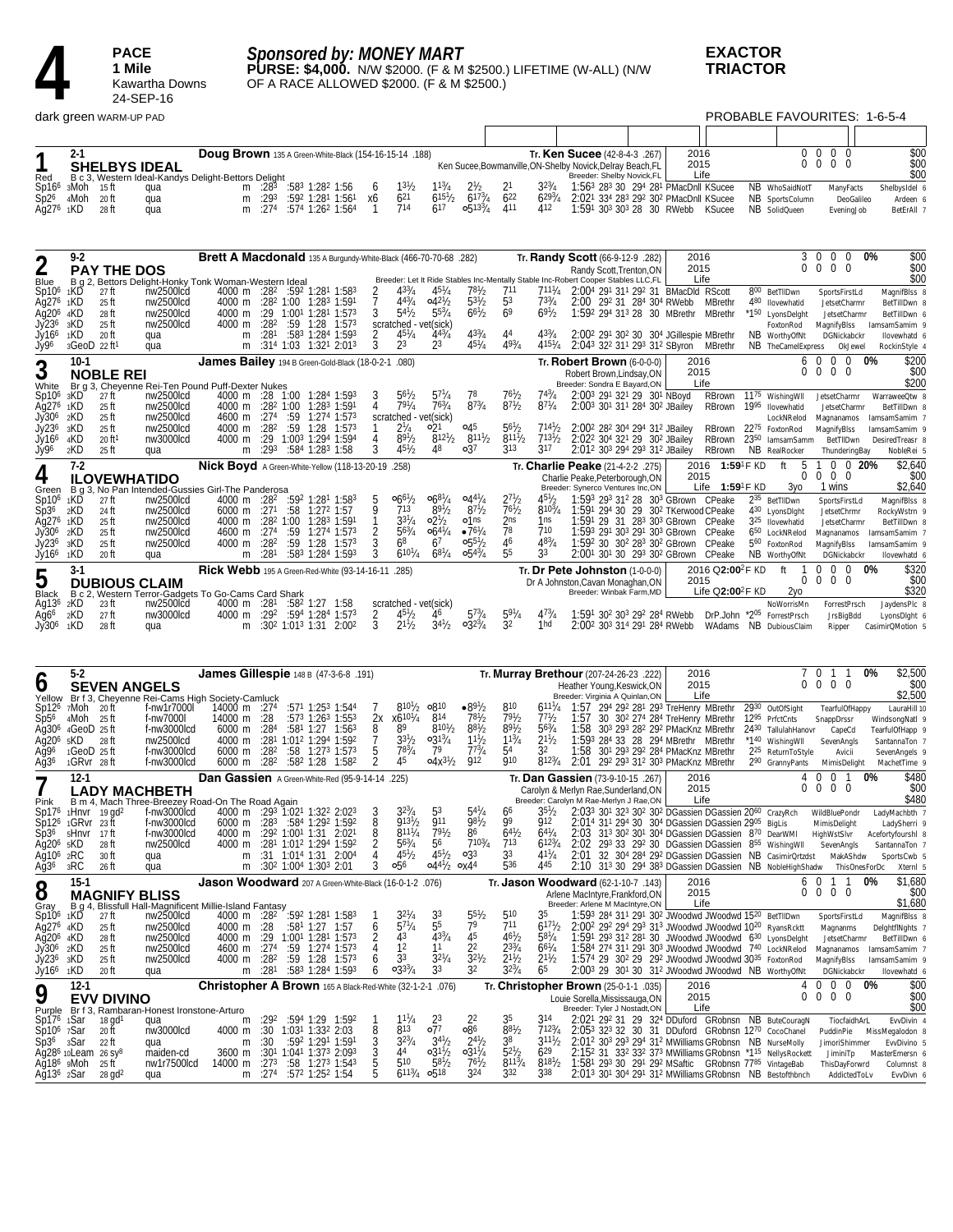

*Sponsored by: MONEY MART*

**PURSE: \$4,000.** N/W \$2000. (F & M \$2500.) LIFETIME (W-ALL) (N/W OF A RACE ALLOWED \$2000. (F & M \$2500.)

**EXACTOR TRIACTOR**

PROBABLE FAVOURITES: 1-6-5-4

Г

|                                                                         | $2 - 1$                  | <b>SHELBYS IDEAL</b>                                                        |                                                                          | Doug Brown 135 A Green-White-Black (154-16-15-14 .188)           |                          |              |                                                                                                                                                  |                                 |                                                                                            |                                               | Ken Sucee, Bowmanville, ON-Shelby Novick, Delray Beach, FL           |                                         | Tr. Ken Sucee (42-8-4-3 .267)                                                  |      |                                                                                                                                                                           |                                                                               | 2016<br>2015                                                                                                 |      | 0<br>0                                                                                                                               | $\mathbf 0$<br>$\bf{0}$<br>$\mathbf 0$<br>$\mathbf 0$ | $\mathbf 0$<br>$\Omega$       |                                  | \$00<br>\$00    |
|-------------------------------------------------------------------------|--------------------------|-----------------------------------------------------------------------------|--------------------------------------------------------------------------|------------------------------------------------------------------|--------------------------|--------------|--------------------------------------------------------------------------------------------------------------------------------------------------|---------------------------------|--------------------------------------------------------------------------------------------|-----------------------------------------------|----------------------------------------------------------------------|-----------------------------------------|--------------------------------------------------------------------------------|------|---------------------------------------------------------------------------------------------------------------------------------------------------------------------------|-------------------------------------------------------------------------------|--------------------------------------------------------------------------------------------------------------|------|--------------------------------------------------------------------------------------------------------------------------------------|-------------------------------------------------------|-------------------------------|----------------------------------|-----------------|
| Red                                                                     |                          |                                                                             | B c 3, Western Ideal-Kandys Delight-Bettors Delight                      |                                                                  |                          |              |                                                                                                                                                  |                                 |                                                                                            |                                               |                                                                      |                                         |                                                                                |      | Breeder: Shelby Novick,FL                                                                                                                                                 |                                                                               | Life                                                                                                         |      |                                                                                                                                      |                                                       |                               |                                  | \$00            |
| $Sp2^6$                                                                 | Sp166 sMoh<br>4Moh 20 ft | - 15 ft                                                                     | qua<br>qua                                                               | m<br>m                                                           | :283<br>:293             |              | :583 1:282 1:56<br>:592 1:281 1:561                                                                                                              | 6<br>х6                         | $13^{1}/2$<br>$6^{21}$                                                                     | $11^{3}/_{4}$<br>$6^{151}/2$                  | $6^{173}/4$                                                          | $6^{22}$                                | $32^{3}/_{4}$<br>$6^{293}/4$                                                   |      |                                                                                                                                                                           | 1:563 283 30 294 281 PMacDnll KSucee<br>2:021 334 283 292 302 PMacDnll KSucee |                                                                                                              |      | NB WhoSaidNotT<br>NB SportsColumn                                                                                                    |                                                       | ManyFacts<br>DeoGalileo       | Shelbysidel 6                    | Ardeen 6        |
| Aq276                                                                   | 1KD                      | 28 ft                                                                       | qua                                                                      | m                                                                | :274                     |              | :574 1:262 1:564                                                                                                                                 | -1                              | 714                                                                                        | 617                                           | $0.513^{3}/_{4}$                                                     | 411                                     | 412                                                                            |      |                                                                                                                                                                           | 1:591 303 303 28 30 RWebb                                                     | KSucee                                                                                                       |      | NB SolidQueen                                                                                                                        |                                                       | EveningJob                    |                                  | BetErAll 7      |
|                                                                         |                          |                                                                             |                                                                          |                                                                  |                          |              |                                                                                                                                                  |                                 |                                                                                            |                                               |                                                                      |                                         |                                                                                |      |                                                                                                                                                                           |                                                                               |                                                                                                              |      |                                                                                                                                      |                                                       |                               |                                  |                 |
|                                                                         |                          |                                                                             |                                                                          |                                                                  |                          |              |                                                                                                                                                  |                                 |                                                                                            |                                               |                                                                      |                                         |                                                                                |      |                                                                                                                                                                           |                                                                               |                                                                                                              |      |                                                                                                                                      |                                                       |                               |                                  |                 |
| 2                                                                       | 9-2                      | <b>PAY THE DOS</b>                                                          |                                                                          | Brett A Macdonald 135 A Burgundy-White-Black (466-70-70-68 .282) |                          |              |                                                                                                                                                  |                                 |                                                                                            |                                               |                                                                      |                                         | Tr. Randy Scott (66-9-12-9 .282)                                               |      | Randy Scott, Trenton, ON                                                                                                                                                  |                                                                               | 2016<br>2015                                                                                                 |      | 3<br>$\Omega$                                                                                                                        | 0<br>$\overline{0}$<br>$\mathbf 0$                    | 0<br>0 <sub>0</sub>           | 0%                               | \$00<br>\$00    |
| Blue                                                                    |                          |                                                                             | B g 2, Bettors Delight-Honky Tonk Woman-Western Ideal                    |                                                                  |                          |              |                                                                                                                                                  |                                 | Breeder: Let It Ride Stables Inc-Mentally Stable Inc-Robert Cooper Stables LLC,FL<br>433/4 | $45\frac{1}{4}$                               | 781/2                                                                | 711                                     | $711\frac{1}{4}$                                                               |      |                                                                                                                                                                           | 2:004 291 311 292 31 BMacDld RScott                                           | Life                                                                                                         |      | 800 BetTIIDwn                                                                                                                        |                                                       |                               |                                  | \$00            |
| Sp10 <sup>6</sup><br>Ag276                                              | 1KD<br>1KD               | 27 ft<br>25 ft                                                              | nw2500lcd<br>nw2500lcd                                                   |                                                                  |                          |              | 4000 m :28 <sup>2</sup> :59 <sup>2</sup> 1:28 <sup>1</sup> 1:58 <sup>3</sup><br>4000 m :28 <sup>2</sup> 1:00 1:28 <sup>3</sup> 1:59 <sup>1</sup> | 2<br>7                          | $4^{43}/_{4}$                                                                              | $04^{21}/2$                                   | $5^{3}$ <sup>1</sup> / <sub>2</sub>                                  | 53                                      | $73^{3}/_{4}$                                                                  |      |                                                                                                                                                                           | 2:00 292 31 284 304 RWebb                                                     | MBrethr                                                                                                      |      | 480 Ilovewhatid                                                                                                                      |                                                       | SportsFirstLd<br>JetsetCharmr | MagnifBlss 8                     | BetTillDwn 8    |
| Ag20 <sup>6</sup> 4KD<br>Jy236                                          | 3KD                      | 28 ft<br>25 ft                                                              | nw2500lcd<br>nw2500lcd                                                   | 4000 m<br>4000 m                                                 | :29<br>:28 <sup>2</sup>  | :59          | $1:00^1$ 1:28 <sup>1</sup> 1:57 <sup>3</sup><br>$1:28$ $1:573$                                                                                   | 3                               | $5^{4}$ <sup>1</sup> / <sub>2</sub><br>scratched - vet(sick)                               | $5^{53}/4$                                    | $6^{61}/2$                                                           | 6 <sup>9</sup>                          | $69\frac{1}{2}$                                                                |      |                                                                                                                                                                           | 1:59 <sup>2</sup> 29 <sup>4</sup> 31 <sup>3</sup> 28 30 MBrethr MBrethr       |                                                                                                              |      | *1 <sup>50</sup> LyonsDelght<br>FoxtonRod                                                                                            | MagnifyBlss                                           | JetsetCharmr                  | lamsamSamim 9                    | BetTillDwn 6    |
| Jy166                                                                   | 1KD                      | 20 ft                                                                       | qua                                                                      | m                                                                | :281                     |              | :583 1:284 1:593                                                                                                                                 | 2                               | $45\frac{1}{4}$                                                                            | $4^{4^{3}/4}$                                 | $43^{3}/_{4}$                                                        | 44                                      | $4^{33}/_{4}$                                                                  |      |                                                                                                                                                                           | 2:00 <sup>2</sup> 291 30 <sup>2</sup> 30 30 <sup>4</sup> JGillespie MBrethr   |                                                                                                              |      | NB WorthyOfNt                                                                                                                        |                                                       | DGNickabckr                   |                                  | llovewhatd 6    |
| Jy96                                                                    |                          | $3Geob$ 22 ft <sup>1</sup>                                                  | qua                                                                      | m                                                                |                          |              | $:31^4$ 1:03 1:32 <sup>1</sup> 2:01 <sup>3</sup>                                                                                                 | 3                               | 23                                                                                         | 2 <sup>3</sup>                                | $45^{1}/_{4}$                                                        | $4^{93}/4$                              | $4^{151}/4$                                                                    |      |                                                                                                                                                                           | 2:043 322 311 293 312 SByron                                                  | MBrethr                                                                                                      |      | NB TheCameIExpress                                                                                                                   |                                                       | OkJewel                       | RockinStyle 4                    |                 |
| 3                                                                       | $10-1$                   | <b>NOBLE REI</b>                                                            |                                                                          | James Bailey 194 B Green-Gold-Black (18-0-2-1                    |                          |              |                                                                                                                                                  |                                 | .080)                                                                                      |                                               |                                                                      |                                         |                                                                                |      | Tr. Robert Brown (6-0-0-0)<br>Robert Brown, Lindsay, ON                                                                                                                   |                                                                               | 2016<br>2015                                                                                                 |      | 6<br>0                                                                                                                               | - 0<br>$\mathbf 0$<br>$0\quad 0$                      | $0\quad 0$                    | 0%                               | \$200<br>\$00   |
| White                                                                   |                          |                                                                             | Br g 3, Cheyenne Rei-Ten Pound Puff-Dexter Nukes                         |                                                                  |                          |              |                                                                                                                                                  |                                 |                                                                                            |                                               |                                                                      |                                         |                                                                                |      | Breeder: Sondra E Bayard, ON                                                                                                                                              |                                                                               | Life                                                                                                         |      |                                                                                                                                      |                                                       |                               |                                  | \$200           |
| Sp10 <sup>6</sup><br>Ag276 1KD                                          | 3KD                      | 27 ft<br>25 ft                                                              | nw2500lcd<br>nw2500lcd                                                   | 4000 m                                                           |                          | :282 1:00    | 4000 m :28 1:00 1:28 <sup>4</sup> 1:59 <sup>3</sup><br>1:283 1:591                                                                               | 4                               | 56½<br>$79^{1}/4$                                                                          | $5^{71}/4$<br>$76^{3}/_{4}$                   | $87^{3}/4$                                                           | $76^{1}/_{2}$<br>$87^{1}/2$             | $87^{1}/4$                                                                     |      | 2:003 291 321 29 301 NBoyd<br>2:003 301 311 284 302 JBailey                                                                                                               |                                                                               | RBrown<br>RBrown                                                                                             | 1995 | 11 <sup>75</sup> Wishing WII<br>Ilovewhatid                                                                                          | JetsetCharmr                                          | JetsetCharmr                  | WarraweeQtw 8                    | BetTillDwn 8    |
| Jy30 <sup>6</sup><br>Jy236                                              | 2KD                      | 25 ft                                                                       | nw2500lcd                                                                | 4600 m                                                           | :274                     | :59          | 1:274 1:573                                                                                                                                      |                                 | scratched - vet(sick)                                                                      | ∘21                                           | 04 <sup>5</sup>                                                      | $5^{61}/2$                              |                                                                                |      |                                                                                                                                                                           |                                                                               |                                                                                                              |      | LockNRelod                                                                                                                           | Magnanamos                                            |                               | lamsamSamim 7                    |                 |
| Jy166 4KD                                                               | 3KD                      | 25 ft<br>20 ft <sup>1</sup>                                                 | nw2500lcd<br>nw3000lcd                                                   | 4000 m<br>4000 m                                                 | :28 <sup>2</sup><br>:29  | :59          | $1:28$ $1:573$<br>1:003 1:294 1:594                                                                                                              | 4                               | $2\frac{1}{4}$<br>$89^{1}/2$                                                               | $812^{1/2}$                                   | $8^{111}/2$                                                          | 8111/2                                  | 7131/2                                                                         |      | 2:00 <sup>2</sup> 28 <sup>2</sup> 30 <sup>4</sup> 29 <sup>4</sup> 31 <sup>2</sup> JBailey<br>2:02 <sup>2</sup> 30 <sup>4</sup> 32 <sup>1</sup> 29 30 <sup>2</sup> JBailey |                                                                               | RBrown<br>RBrown                                                                                             |      | 2275 FoxtonRod<br>2350 lamsamSamm                                                                                                    | MagnifyBlss                                           | BetTIIDwn                     | lamsamSamim 9<br>DesiredTreasr 8 |                 |
| Jy96                                                                    | 2KD                      | 25 ft                                                                       | qua                                                                      | m                                                                | :293                     |              | :584 1:283 1:58                                                                                                                                  | 3                               | $45\frac{1}{2}$                                                                            | 48                                            | $\circ$ 37                                                           | 313                                     | 317                                                                            |      | 2:012 303 294 293 312 JBailey                                                                                                                                             |                                                                               | RBrown                                                                                                       |      | NB RealRocker                                                                                                                        |                                                       | ThunderingBay                 |                                  | NobleRei 5      |
| 4                                                                       | $7-2$                    | <b>ILOVEWHATIDO</b>                                                         |                                                                          | Nick Boyd A Green-White-Yellow (118-13-20-19                     |                          |              |                                                                                                                                                  |                                 | .258)                                                                                      |                                               |                                                                      |                                         | Tr. Charlie Peake (21-4-2-2 .275)                                              |      | Charlie Peake, Peterborough, ON                                                                                                                                           |                                                                               | 2016 1:59 <sup>1</sup> F KD<br>2015                                                                          |      | 5<br>ft<br>0                                                                                                                         | $0\ 0\ 0$                                             | $0 \t0 \t20%$                 |                                  | \$2,640<br>\$00 |
| Green                                                                   |                          |                                                                             | B g 3, No Pan Intended-Gussies Girl-The Panderosa                        |                                                                  |                          |              |                                                                                                                                                  |                                 |                                                                                            |                                               |                                                                      |                                         |                                                                                |      | Breeder: Synerco Ventures Inc,ON                                                                                                                                          |                                                                               | Life $1:59$ <sup>1</sup> F KD                                                                                |      | Зуо                                                                                                                                  | 1 wins                                                |                               |                                  | \$2,640         |
| Sp10 <sup>6</sup><br>Sp36                                               | 1KD<br>2KD               | 27 ft<br>24 ft                                                              | nw2500lcd<br>nw2500lcd                                                   | 4000 m :28 <sup>2</sup><br>$6000 \text{ m}$ :27 <sup>1</sup>     |                          | :58          | :592 1:281 1:583<br>$1:272$ 1:57                                                                                                                 | 5<br>9                          | $066^{1}/2$<br>713                                                                         | $66^{81}/4$<br>$8^{9^{1}/2}$                  | $0.44^{1}/_{4}$<br>$8^{7}$ <sup>1</sup> / <sub>2</sub>               | 27 <sup>1</sup> b<br>$76^{1}/2$         | 45h<br>$8^{103}/4$                                                             |      |                                                                                                                                                                           | 1:593 293 312 28 303 GBrown CPeake                                            | 1:591 294 30 29 30 <sup>2</sup> TKerwood CPeake                                                              |      | 235 BetTIIDwn<br>430 LyonsDight                                                                                                      |                                                       | SportsFirstLd<br>JetsetChrmr  | MagnifBlss 8<br>RockyWstrn 9     |                 |
| Ag27 <sup>6</sup> 1KD                                                   |                          | 25 ft                                                                       | nw2500lcd                                                                | 4000 m                                                           |                          | $:28^2$ 1:00 | 1:28 <sup>3</sup> 1:591                                                                                                                          |                                 | $3^{31}/4$<br>$56^{3}/4$                                                                   | $02\frac{1}{2}$                               | $\circ$ 1 <sup>ns</sup><br>$•76^{1}/4$                               | 2 <sub>ns</sub><br>78                   | 1ns<br>710                                                                     |      |                                                                                                                                                                           | 1:591 29 31 283 303 GBrown CPeake                                             |                                                                                                              |      | 3 <sup>25</sup> Ilovewhatid                                                                                                          |                                                       | JetsetCharmr                  |                                  | BetTillDwn 8    |
| Jy306 2KD<br>Jy236                                                      | 3KD                      | 25 ft<br>25 ft                                                              | nw2500lcd<br>nw2500lcd                                                   | 4600 m<br>4000 m                                                 | :274<br>:28 <sup>2</sup> |              | :59 1:274 1:573<br>$:59$ 1:28 1:57 <sup>3</sup>                                                                                                  | 2<br>3                          | 6 <sup>8</sup>                                                                             | $06^{47}/$<br>67                              | $0.55\frac{1}{2}$                                                    | 46                                      | $48^{3}/_{4}$                                                                  |      |                                                                                                                                                                           | 1:593 291 303 291 303 GBrown                                                  | CPeake<br>1:592 30 302 283 302 GBrown CPeake                                                                 |      | 6 <sup>50</sup> LockNRelod<br>5 <sup>60</sup> FoxtonRod                                                                              | Magnanamos<br>MagnifyBlss                             |                               | lamsamSamim 7<br>lamsamSamim 9   |                 |
| Jy16 <sup>6</sup>                                                       | 1KD                      | 20 ft                                                                       | qua                                                                      | m                                                                | :281                     |              | $:583$ 1:28 <sup>4</sup> 1:59 <sup>3</sup>                                                                                                       | 3                               | $6^{101}/4$                                                                                | $6^{81}/4$                                    | $0.54\frac{3}{4}$                                                    | 55                                      | 33                                                                             |      |                                                                                                                                                                           |                                                                               | 2:00 <sup>1</sup> 30 <sup>1</sup> 30 29 <sup>3</sup> 30 <sup>2</sup> GBrown CPeake                           |      | NB WorthyOfNt                                                                                                                        |                                                       | DGNickabckr                   |                                  | llovewhatd 6    |
| 5                                                                       | $3-1$                    |                                                                             | <b>DUBIOUS CLAIM</b>                                                     | Rick Webb 195 A Green-Red-White (93-14-16-11                     |                          |              |                                                                                                                                                  |                                 | .285)                                                                                      |                                               |                                                                      |                                         | Tr. Dr Pete Johnston (1-0-0-0)<br>Dr A Johnston, Cavan Monaghan, ON            |      |                                                                                                                                                                           |                                                                               | 2016 Q2:00 <sup>2</sup> F KD<br>2015                                                                         |      | ft<br>0                                                                                                                              | $\boldsymbol{0}$<br>0<br>$\mathbf{0}$<br>0            | $\mathbf 0$<br>- 0            | 0%                               | \$320<br>\$00   |
| Black                                                                   |                          |                                                                             | B c 2, Western Terror-Gadgets To Go-Cams Card Shark                      |                                                                  |                          |              |                                                                                                                                                  |                                 |                                                                                            |                                               |                                                                      |                                         |                                                                                |      | Breeder: Winbak Farm, MD                                                                                                                                                  |                                                                               | Life $Q2:00^2F$ KD                                                                                           |      | 2γο                                                                                                                                  |                                                       |                               |                                  | \$320           |
| Ag13°<br>Ag6 <sup>6</sup>                                               | 2KD<br>2KD               | 23 ft<br>27 ft                                                              | nw2500lcd<br>nw3000lcd                                                   | 4000 m :28 <sup>1</sup><br>4000 m                                | :292                     |              | $:58^2$ 1:27 1:58<br>:594 1:284 1:573                                                                                                            |                                 | scratched - vet(sick)<br>2 $45\frac{1}{2}$ $46$                                            |                                               | $5^{73}/4$                                                           | $59^{1}/4$                              | $47^{3}/4$                                                                     |      |                                                                                                                                                                           | 1:591 302 303 292 284 RWebb                                                   |                                                                                                              |      | NoWorrisMn<br>DrP.John *205 ForrestPrsch                                                                                             |                                                       | ForrestPrsch<br>JrsBigBdd     | JaydensPlc 8                     | LyonsDight 6    |
|                                                                         |                          |                                                                             |                                                                          |                                                                  |                          |              |                                                                                                                                                  |                                 |                                                                                            |                                               |                                                                      |                                         |                                                                                |      |                                                                                                                                                                           |                                                                               |                                                                                                              |      |                                                                                                                                      |                                                       |                               |                                  |                 |
| $Jy306$ 1KD                                                             |                          | 28 ft                                                                       | qua                                                                      | m                                                                |                          |              | $:30^2$ 1:01 <sup>3</sup> 1:31 2:00 <sup>2</sup>                                                                                                 | 3                               | $2^{11}/2$                                                                                 | $3^{4^{1}}/2$                                 | $03^{23}/4$                                                          | 32                                      | 1hd                                                                            |      |                                                                                                                                                                           | 2:002 303 314 291 284 RWebb                                                   |                                                                                                              |      | WAdams NB DubiousClaim                                                                                                               | Ripper                                                |                               | CasimirQMotion 5                 |                 |
|                                                                         |                          |                                                                             |                                                                          |                                                                  |                          |              |                                                                                                                                                  |                                 |                                                                                            |                                               |                                                                      |                                         |                                                                                |      |                                                                                                                                                                           |                                                                               |                                                                                                              |      |                                                                                                                                      |                                                       |                               |                                  |                 |
|                                                                         |                          |                                                                             |                                                                          |                                                                  |                          |              |                                                                                                                                                  |                                 |                                                                                            |                                               |                                                                      |                                         |                                                                                |      |                                                                                                                                                                           |                                                                               |                                                                                                              |      |                                                                                                                                      |                                                       |                               |                                  |                 |
|                                                                         | $5-2$                    |                                                                             |                                                                          | James Gillespie 148 B (47-3-6-8.191)                             |                          |              |                                                                                                                                                  |                                 |                                                                                            |                                               |                                                                      | Tr. Murray Brethour (207-24-26-23 .222) |                                                                                |      |                                                                                                                                                                           |                                                                               | 2016<br>2015                                                                                                 |      |                                                                                                                                      | $\mathbf 0$<br>$0\quad 0\quad 0\quad 0$               |                               | 0%                               | \$2,500<br>\$00 |
| O                                                                       |                          | <b>SEVEN ANGELS</b>                                                         | Yellow Br f 3, Cheyenne Rei-Cams High Society-Camluck                    |                                                                  |                          |              |                                                                                                                                                  |                                 |                                                                                            |                                               |                                                                      |                                         |                                                                                |      | Heather Young, Keswick, ON<br>Breeder: Virginia A Quinlan, ON                                                                                                             |                                                                               | Life                                                                                                         |      |                                                                                                                                      |                                                       |                               |                                  | \$2,500         |
| Sp12 <sup>6</sup> 7Moh 20 ft<br>$Sp5^6$                                 | 4Moh                     | -25 ft                                                                      | f-nw1r7000l<br>f-nw7000l                                                 | 14000 m :274<br>14000 m                                          | :28                      |              | :571 1:253 1:544<br>:573 1:263 1:553                                                                                                             |                                 | $8^{10^{1}/2}$<br>$x6^{101}/4$<br>2х                                                       | 810ء<br>814                                   | $\bullet 89^{1/2}$<br>$7^{81}/2$                                     | 810<br>791/2                            | $6^{111}/4$<br>77h                                                             | 1:57 |                                                                                                                                                                           |                                                                               | 1:57 294 292 281 293 TreHenry MBrethr<br>30 30 <sup>2</sup> 27 <sup>4</sup> 28 <sup>4</sup> TreHenry MBrethr |      | 2930 OutOfSight<br>12 <sup>95</sup> PrfctCnts                                                                                        | SnappDrssr                                            | TearfulOfHappy                | WindsongNatl 9                   | LauraHill 10    |
| Ag30 <sup>6</sup>                                                       |                          | 4GeoD 25 ft                                                                 | f-nw3000lcd                                                              | 6000 m                                                           | :284                     |              | :581 1:27 1:563                                                                                                                                  | 8                               | 89                                                                                         | $8^{10^{1}/2}$                                | $8^{81}/2$                                                           | $89^{1}/2$                              | $56^{3}/_{4}$                                                                  | 1:58 |                                                                                                                                                                           |                                                                               | 303 293 282 292 PMacKnz MBrethr                                                                              |      | 2430 TallulahHanovr                                                                                                                  |                                                       | CapeCd                        | TearfulOfHapp 9                  |                 |
| Ag20 <sup>6</sup><br>Aq96                                               | 5KD                      | 28 ft<br>$1 \text{GeoD}$ 25 ft                                              | nw2500lcd<br>f-nw3000lcd                                                 | 4000 m<br>6000 m                                                 | :281<br>:28 <sup>2</sup> |              | 1:012 1:294 1:592<br>:58 1:27 <sup>3</sup> 1:57 <sup>3</sup>                                                                                     | 7<br>5                          | $3^{31}/2$<br>783/4                                                                        | $03^{13}/4$<br>79                             | $11\frac{1}{2}$<br>$7^{73}/_4$                                       | $1^{13}/4$<br>54                        | $2^{11}/2$<br>32                                                               | 1:58 |                                                                                                                                                                           | 1:593 284 33 28 294 MBrethr MBrethr<br>301 293 292 284 PMacKnz MBrethr        |                                                                                                              |      | *140 Wishing WII<br>2 <sup>25</sup> ReturnToStyle                                                                                    | SevenAngls                                            | Avicii                        | SantannaTon 7<br>SevenAngels 9   |                 |
| Ağ36                                                                    |                          | 1GRvr 28 ft                                                                 | f-nw3000lcd                                                              | 6000 m                                                           | :282                     |              | :582 1:28 1:582                                                                                                                                  | 2                               | 45                                                                                         | $04x^{31}/2$                                  | 912                                                                  | 910                                     | $812^{3}/_{4}$                                                                 | 2:01 |                                                                                                                                                                           | 292 293 312 303 PMacKnz MBrethr                                               |                                                                                                              |      | 290 GrannyPants                                                                                                                      |                                                       | MimisDelight                  | MachetTime 9                     |                 |
|                                                                         | 12-1                     |                                                                             |                                                                          | Dan Gassien A Green-White-Red (95-9-14-14 .225)                  |                          |              |                                                                                                                                                  |                                 |                                                                                            |                                               |                                                                      |                                         | Tr. Dan Gassien (73-9-10-15 .267)                                              |      |                                                                                                                                                                           |                                                                               | 2016<br>2015                                                                                                 |      | 4<br>0                                                                                                                               | 0<br>$\mathbf{0}$<br>$\overline{0}$                   | -1<br>$0\quad 0$              | 0%                               | \$480<br>\$00   |
| Pink                                                                    |                          |                                                                             | <b>LADY MACHBETH</b><br>B m 4, Mach Three-Breezey Road-On The Road Again |                                                                  |                          |              |                                                                                                                                                  |                                 |                                                                                            |                                               |                                                                      |                                         | Carolyn & Merlyn Rae, Sunderland, ON<br>Breeder: Carolyn M Rae-Merlyn J Rae,ON |      |                                                                                                                                                                           |                                                                               | Life                                                                                                         |      |                                                                                                                                      |                                                       |                               |                                  | \$480           |
|                                                                         |                          | $Sp176$ 1Hnvr 19 gd <sup>2</sup><br>Sp12 <sup>6</sup> 1GRvr 23 ft           | f-nw3000lcd<br>f-nw3000lcd                                               |                                                                  |                          |              | 4000 m :293 1:021 1:322 2:023<br>6000 m :28 <sup>3</sup> :584 1:29 <sup>2</sup> 1:59 <sup>2</sup>                                                | 3<br>8                          | $32\frac{3}{4}$<br>$913^{1}/_{2}$                                                          | 53<br>911                                     | $54^{1}/4$<br>$98\frac{1}{2}$                                        | 66<br>99                                | 35½<br>912                                                                     |      |                                                                                                                                                                           |                                                                               | 2:033 301 323 302 302 DGassien DGassien 2060 CrazyRch                                                        |      |                                                                                                                                      | WildBluePondr<br>MimisDelight                         |                               | LadyMachbth 7                    | LadySherri 9    |
|                                                                         | Sp3° 5HNVr 17Π           |                                                                             | f-nw3000lcd                                                              |                                                                  |                          |              | 4000 m :29 <sup>2</sup> 1:00 <sup>1</sup> 1:31 2:02 <sup>1</sup>                                                                                 |                                 | $8^{111}/4$                                                                                | 791/2                                         | 86                                                                   | $6^{41}/2$                              | $6^{41}/4$                                                                     |      |                                                                                                                                                                           |                                                                               | 2:014 311 294 30 304 DGassien DGassien 2905 BigLis                                                           |      | 31 <sup>3</sup> 30 <sup>2</sup> 30 <sup>1</sup> 30 <sup>4</sup> DGassien DGassien 8 <sup>70</sup> DearWMI HighWstSlvr                |                                                       |                               | Acefortyfourshl 8                |                 |
| $Ag206$ $sKD$<br>Ag10 <sup>6</sup> 2RC                                  |                          | 28 ft<br>30 ft                                                              | nw2500lcd<br>qua                                                         |                                                                  |                          |              | 4000 m :28 <sup>1</sup> 1:01 <sup>2</sup> 1:294 1:592<br>m :31 1:014 1:31 2:004                                                                  | $\frac{8}{2}$<br>$\overline{4}$ | $56^{3}/4$<br>$45^{1}/2$                                                                   | 56<br>$45^{1}/_{2}$                           | $7^{103}/_4$<br>0 <sub>33</sub>                                      | 713<br>33                               | $6^{123}/4$<br>$4^{11}/4$                                                      |      |                                                                                                                                                                           |                                                                               |                                                                                                              |      | 2:02 293 33 292 30 DGassien DGassien 855 Wishing WII Seven Angls<br>2:01 32 304 284 292 DGassien DGassien NB CasimirOrtzdst MakAShdw |                                                       |                               | SantannaTon 7<br>SportsCwb 5     |                 |
| $\overline{Ag36}$ 3RC                                                   |                          | 26 ft                                                                       | qua                                                                      |                                                                  |                          |              | m :30 <sup>2</sup> 1:00 <sup>4</sup> 1:30 <sup>3</sup> 2:01                                                                                      | 3                               | 056                                                                                        | $04^{41}/2$ $0x4^4$                           |                                                                      | 536                                     | 445                                                                            |      |                                                                                                                                                                           |                                                                               |                                                                                                              |      | 2:10 313 30 294 383 DGassien DGassien NB NobleHighShadw ThisOnesForDc                                                                |                                                       |                               |                                  | XternI 5        |
|                                                                         | $15-1$                   |                                                                             |                                                                          | Jason Woodward 207 A Green-White-Black (16-0-1-2 .076)           |                          |              |                                                                                                                                                  |                                 |                                                                                            |                                               |                                                                      | Tr. Jason Woodward (62-1-10-7 .143)     |                                                                                |      |                                                                                                                                                                           |                                                                               | 2016                                                                                                         |      |                                                                                                                                      | 6 0 1 1                                               |                               | 0%                               | \$1,680         |
| 8<br>Gray                                                               |                          | <b>MAGNIFY BLISS</b>                                                        | B g 4, Blissfull Hall-Magnificent Millie-Island Fantasy                  |                                                                  |                          |              |                                                                                                                                                  |                                 |                                                                                            |                                               |                                                                      |                                         |                                                                                |      | Arlene MacIntyre, Frankford, ON<br>Breeder: Arlene M MacIntyre,ON                                                                                                         |                                                                               | 2015<br>Life                                                                                                 |      |                                                                                                                                      | $0\ 0\ 0\ 0$                                          |                               |                                  | \$00<br>\$1,680 |
| Sp10 <sup>6</sup> 1KD                                                   |                          | 27 ft                                                                       | nw2500lcd                                                                | 4000 m :28 <sup>2</sup>                                          |                          |              | $:59^2$ 1:28 <sup>1</sup> 1:58 <sup>3</sup>                                                                                                      |                                 | $3^{21}/4$<br>$57\frac{1}{4}$                                                              | $\frac{3^3}{5^5}$                             |                                                                      | 510<br>711                              | 35<br>6171b                                                                    |      |                                                                                                                                                                           |                                                                               | 1:593 284 311 291 302 JWoodwd JWoodwd 1520 BetTlIDwn                                                         |      |                                                                                                                                      |                                                       | SportsFirstLd                 | MagnifBlss 8                     |                 |
| Ag276 4KD<br>Ağ20 <sup>6</sup> 4KD                                      |                          | 25 ft<br>28 ft                                                              | nw2500lcd<br>nw2500lcd                                                   | 4000 m :28                                                       |                          |              | :581 1:27 1:57<br>4000 m : 29 1:00 <sup>1</sup> 1:28 <sup>1</sup> 1:57 <sup>3</sup>                                                              | 6<br>2                          | 43                                                                                         | $43^{3}/4$                                    | $\frac{5^{51}}{7^9}$<br>45                                           | $46^{1}/_{2}$                           | $58^{1}/4$                                                                     |      |                                                                                                                                                                           |                                                                               |                                                                                                              |      | 2:002 292 294 293 313 JWoodwd JWoodwd 1020 RyansRcktt<br>1:591 293 312 281 30 JWoodwd JWoodwd 630 LyonsDelght                        | Magnanms                                              | JetsetCharmr                  | DelghtflNghts 7                  | BetTillDwn 6    |
|                                                                         |                          | 25 ft<br>25 ft                                                              | nw2500lcd<br>nw2500lcd                                                   | 4600 m :274<br>4000 m :282                                       |                          |              | $:59$ 1:27 <sup>4</sup> 1:57 <sup>3</sup><br>:59 1:28 1:573                                                                                      | 6                               | 1 <sup>2</sup><br>33                                                                       | 1 <sup>1</sup><br>$32^{1}/4$                  |                                                                      | $2^{33}/4$<br>$2^{11}/2$                | $6^{6^{1}/4}$<br>$2^{11}/2$                                                    |      |                                                                                                                                                                           |                                                                               | 1:574 29 302 29 292 JWoodwd JWoodwd 3035 FoxtonRod                                                           |      | 1:584 274 311 291 303 JWoodwd JWoodwd 740 LockNRelod                                                                                 | Magnanamos<br>MagnifyBlss                             |                               | lamsamSamim 7<br>lamsamSamim 9   |                 |
| Jý30 <sup>6</sup> 2KD<br>Jy23 <sup>6</sup> 3KD<br>Jý16 <sup>6</sup> 1KD |                          | 20 ft                                                                       | qua                                                                      |                                                                  | $m$ :281                 |              | :583 1:284 1:593                                                                                                                                 | 6                               | $03^{3/4}$                                                                                 | 3 <sup>3</sup>                                | $\frac{2^2}{3^{2}}$<br>3 <sup>2</sup>                                | $3^{23}/4$                              | 65                                                                             |      |                                                                                                                                                                           |                                                                               |                                                                                                              |      | 2:003 29 301 30 312 JWoodwd JWoodwd NB WorthyOfNt                                                                                    |                                                       | DGNickabckr                   |                                  | llovewhatd 6    |
|                                                                         | 12-1                     |                                                                             |                                                                          | Christopher A Brown 165 A Black-Red-White (32-1-2-1 .076)        |                          |              |                                                                                                                                                  |                                 |                                                                                            |                                               |                                                                      | Tr. Christopher Brown (25-0-1-1 .035)   |                                                                                |      |                                                                                                                                                                           |                                                                               | 2016                                                                                                         |      | 4                                                                                                                                    | $0\quad 0\quad 0$                                     |                               | 0%                               | \$00            |
| 9                                                                       |                          | <b>EVV DIVINO</b>                                                           | Purple Br f 3, Rambaran-Honest Ironstone-Arturo                          |                                                                  |                          |              |                                                                                                                                                  |                                 |                                                                                            |                                               |                                                                      |                                         |                                                                                |      | Louie Sorella, Mississauga, ON<br>Breeder: Tyler J Nostadt, ON                                                                                                            |                                                                               | 2015<br>Life                                                                                                 |      | 0                                                                                                                                    | $\mathbf 0$                                           | $0\quad 0$                    |                                  | \$00<br>\$00    |
| Sp176 1Sar                                                              |                          | 18 gd <sup>1</sup>                                                          | qua                                                                      |                                                                  |                          |              | m :29 <sup>2</sup> :594 1:29 1:59 <sup>2</sup>                                                                                                   |                                 | $11\frac{1}{4}$                                                                            | 23<br>07 <sup>7</sup>                         | 22                                                                   | 35                                      | 7123/4                                                                         |      |                                                                                                                                                                           |                                                                               |                                                                                                              |      | 2:021 292 31 29 324 DDuford GRobnsn NB ButeCouragN                                                                                   |                                                       | TiocfaidhArL                  |                                  | EvvDivin 4      |
| $Sp106$ 7Sar<br>$Sp36 \quad 3Sar$                                       |                          | 20 ft<br>22 ft                                                              | nw3000lcd<br>qua                                                         | m                                                                | :30                      |              | 4000 m :30 1:03 <sup>1</sup> 1:33 <sup>2</sup> 2:03<br>:592 1:291 1:591                                                                          | $\frac{8}{3}$                   | 813<br>$32^{3}/4$                                                                          | $34^{1}/2$                                    |                                                                      | $8^{81}/2$<br>38                        | $311\frac{1}{2}$                                                               |      |                                                                                                                                                                           |                                                                               |                                                                                                              |      | 2:053 323 32 30 31 DDuford GRobnsn 1270 CocoChanel<br>2:012 303 293 294 312 MWilliams GRobnsn NB NurseMolly                          | PuddinPie                                             | JimoriShimmer                 | MissMegalodon 8                  | EvvDivino 5     |
|                                                                         |                          | Ag28 <sup>6</sup> 10Leam 26 sy <sup>8</sup><br>Ag18 <sup>6</sup> 9Moh 25 ft | maiden-cd<br>nw1r7500lcd                                                 | 14000 m :27 <sup>3</sup>                                         |                          |              | 3600 m :30 <sup>1</sup> 1:04 <sup>1</sup> 1:37 <sup>3</sup> 2:09 <sup>3</sup><br>$:58$ 1:27 <sup>3</sup> 1:54 <sup>3</sup>                       | 3<br>$\frac{5}{5}$              | 44<br>510                                                                                  | $03^{11}/2$<br>$5^{81}/2$<br>$6^{113}/4$ 0518 | $\frac{6}{2^{4}}$ / <sub>2</sub><br>$03^{11}/4$<br>$7^{61}/2$<br>324 | $52^{1}/2$<br>$8^{113}/4$<br>332        | 629<br>$8^{181}/2$                                                             |      |                                                                                                                                                                           |                                                                               |                                                                                                              |      | 2:152 31 332 332 373 MWilliams GRobnsn *115 NellysRockett<br>1:581 293 30 291 292 MSaftic GRobnsn 7785 VintageBab                    |                                                       | JiminiTp<br>ThisDayForwrd     | MasterEmersn 6                   | Columnst 8      |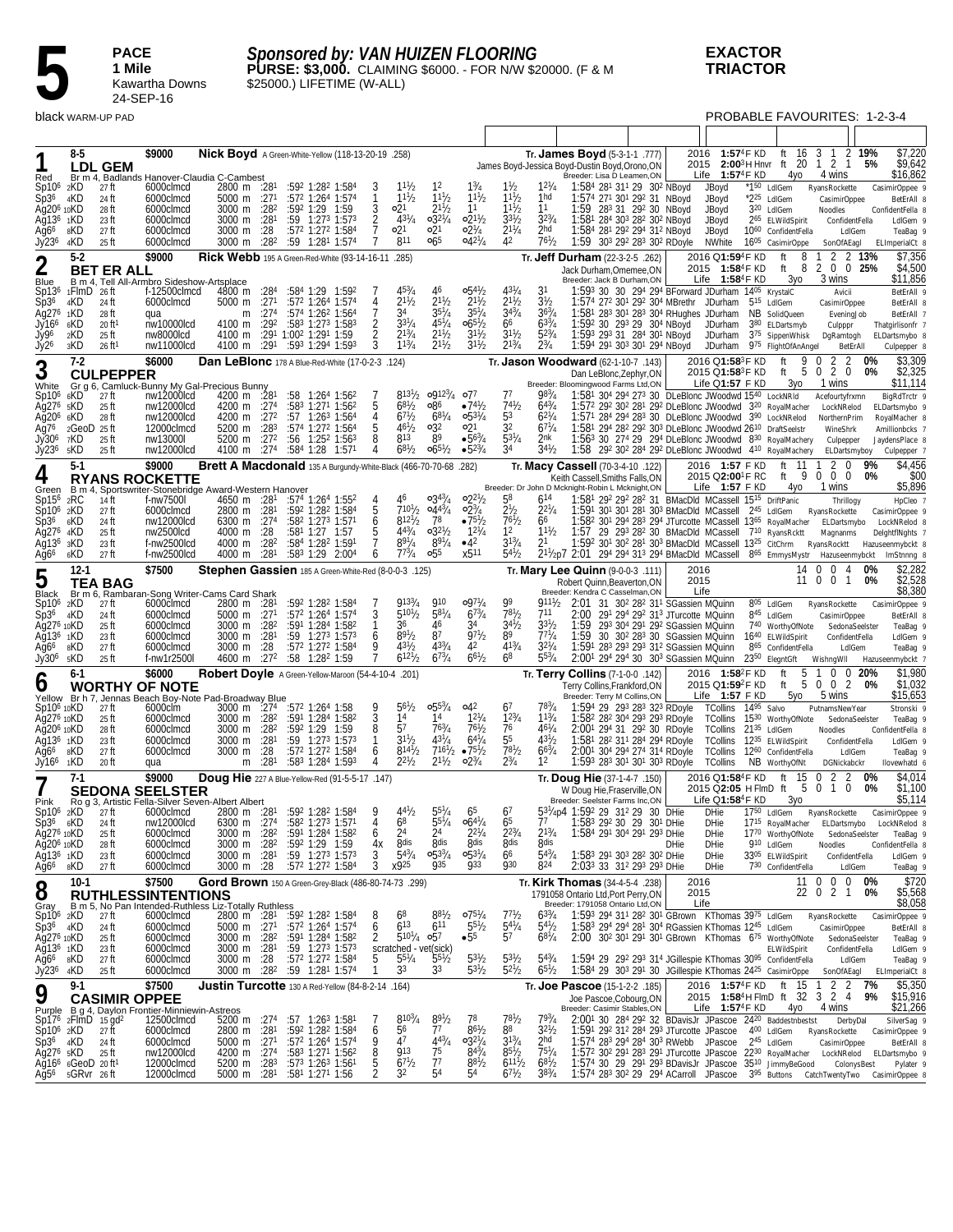

*Sponsored by: VAN HUIZEN FLOORING* **PURSE: \$3,000.** CLAIMING \$6000. - FOR N/W \$20000. (F & M \$25000.) LIFETIME (W-ALL)

**EXACTOR TRIACTOR**

|                                                  |                                                                           | black WARM-UP PAD             |                                                 |                                                                  |                  |                                                                 |                                  |                                                                       |                                                  |                                                   |                                             |                                     |                                                                                                                                                                                                                 |                                  |                                                   | PROBABLE FAVOURITES: 1-2-3-4                                                  |                                |       |                                   |
|--------------------------------------------------|---------------------------------------------------------------------------|-------------------------------|-------------------------------------------------|------------------------------------------------------------------|------------------|-----------------------------------------------------------------|----------------------------------|-----------------------------------------------------------------------|--------------------------------------------------|---------------------------------------------------|---------------------------------------------|-------------------------------------|-----------------------------------------------------------------------------------------------------------------------------------------------------------------------------------------------------------------|----------------------------------|---------------------------------------------------|-------------------------------------------------------------------------------|--------------------------------|-------|-----------------------------------|
|                                                  |                                                                           |                               |                                                 |                                                                  |                  |                                                                 |                                  |                                                                       |                                                  |                                                   |                                             |                                     |                                                                                                                                                                                                                 |                                  |                                                   |                                                                               |                                |       |                                   |
|                                                  | 8-5                                                                       |                               | \$9000                                          | Nick Boyd A Green-White-Yellow (118-13-20-19 .258)               |                  |                                                                 |                                  |                                                                       |                                                  |                                                   |                                             |                                     | Tr. <b>James Boyd</b> $(5-3-1-1)$ . 777)                                                                                                                                                                        | 2016                             | 1:574F KD                                         | ft                                                                            | 16 3 1                         | 2 19% | \$7,220                           |
| Red                                              |                                                                           | <b>LDL GEM</b>                |                                                 | Br m 4, Badlands Hanover-Claudia C-Cambest                       |                  |                                                                 |                                  |                                                                       |                                                  |                                                   |                                             |                                     | James Boyd-Jessica Boyd-Dustin Boyd, Orono, ON<br>Breeder: Lisa D Leamen, ON                                                                                                                                    |                                  | Life $1:57^4$ F KD                                | 2015 2:00 <sup>3</sup> H Hnvr ft 20 1 2 1<br>4yo                              | 4 wins                         | 5%    | \$9,642<br>\$16,862               |
| $Sp106$ 2KD                                      | 4KD                                                                       | 27 ft                         | 6000clmcd                                       | 2800 m :281<br>5000 m :27 <sup>1</sup>                           |                  | :592 1:282 1:584<br>$:57^2$ 1:26 <sup>4</sup> 1:57 <sup>4</sup> |                                  | $11\frac{1}{2}$<br>$1^{11}$ / <sub>2</sub>                            | 12<br>$1^{11}$ / <sub>2</sub>                    | $1\frac{3}{4}$<br>$1^{11}/2$                      | $1\frac{1}{2}$<br>$1^{11}h$                 | $12\frac{1}{4}$<br>1 <sub>hd</sub>  | 1:584 281 311 29 302 NBoyd                                                                                                                                                                                      |                                  | JBoyd                                             | *1 <sup>50</sup> LdIGem                                                       | RyansRockette                  |       | CasimirOppee 9                    |
| Sp36<br>Ag20 <sup>6</sup> 10KD                   |                                                                           | 24 ft<br>28 ft                | 6000clmcd<br>6000clmcd                          | 3000 m :28 <sup>2</sup>                                          |                  | :592 1:29 1:59                                                  | 3                                | 21ه                                                                   | $2^{11}/2$                                       | 11                                                | $11^{1}/_{2}$                               | 11                                  | 1:574 271 301 292 31 NBoyd<br>1:59 283 31 292 30 NBoyd                                                                                                                                                          |                                  | JBoyd<br>JBoyd                                    | $*2^{25}$ LdIGem<br>3 <sup>20</sup> LdIGem                                    | CasimirOppee<br>Noodles        |       | BetErAll 8<br>ConfidentFella 8    |
| Ag136 1KD                                        | 8KD                                                                       | 23 ft<br>27 ft                | 6000clmcd<br>6000clmcd                          | 3000 m :281<br>3000 m :28                                        |                  | $:59$ 1:27 <sup>3</sup> 1:57 <sup>3</sup><br>:572 1:272 1:584   | $\overline{2}$<br>$\overline{7}$ | $43^{1}/4$<br>0 <sup>21</sup>                                         | $0.32^{1}/4$<br>21ه                              | $02^{11}/2$<br>$02\frac{1}{4}$                    | $3^{31}/2$<br>$2^{11}/4$                    | $3^{2^{3}/4}$<br>2hd                | 1:581 284 303 282 302 NBoyd<br>1:584 281 292 294 312 NBoyd                                                                                                                                                      |                                  | JBoyd<br>JBoyd                                    | 2 <sup>65</sup> ELWildSpirit<br>10 <sup>60</sup> ConfidentFella               | ConfidentFella<br>LdIGem       |       | LdIGem 9<br>TeaBag 9              |
| Ag6 <sup>6</sup><br>Jy23 <sup>6</sup>            | 4KD                                                                       | 25 ft                         | 6000clmcd                                       | 3000 m                                                           | :282             | :59 1:281 1:574                                                 |                                  | 811                                                                   | 065                                              | $04^{27}/4$                                       | 42                                          | $76^{1}/2$                          | 1:59 303 292 283 302 RDoyle                                                                                                                                                                                     |                                  | NWhite                                            | 1605 CasimirOppe                                                              | SonOfAEagl                     |       | ELImperialCt 8                    |
| $\mathbf 2$                                      | $5-2$                                                                     |                               | \$9000                                          | Rick Webb 195 A Green-Red-White (93-14-16-11                     |                  |                                                                 |                                  | .285)                                                                 |                                                  |                                                   |                                             |                                     | Tr. <b>Jeff Durham</b> (22-3-2-5 .262)                                                                                                                                                                          |                                  | 2016 Q1:59 <sup>4</sup> F KD                      | 8<br>ft                                                                       | 2<br>1                         | 2 13% | \$7,356                           |
| Blue                                             |                                                                           | <b>BET ER ALL</b>             |                                                 | B m 4. Tell All-Armbro Sideshow-Artsplace                        |                  |                                                                 |                                  |                                                                       |                                                  |                                                   |                                             |                                     | Jack Durham, Omemee, ON<br>Breeder: Jack B Durham, ON                                                                                                                                                           |                                  | 2015 1:58 <sup>4</sup> F KD<br>Life $1:58^4$ F KD | 8<br>ft<br>Зуо                                                                | 2 0 0 25%<br>3 wins            |       | \$4,500<br>\$11,856               |
|                                                  | Sp13 <sup>6</sup> 1FlmD 26ft                                              |                               | f-12500clmcd                                    | 4800 m                                                           | :284             | :584 1:29 1:592                                                 |                                  | $45\frac{3}{4}$<br>$2^{11}/2$                                         | 46<br>$2^{11}/2$                                 | $0.54\frac{1}{2}$<br>$2^{11}/2$                   | $43^{1}/4$<br>$2^{11}/2$                    | 31<br>3 <sup>1</sup> / <sub>2</sub> | 1:593 30 30 294 294 BForward JDurham 1405 KrystalC<br>1:574 272 301 292 304 MBrethr JDurham                                                                                                                     |                                  |                                                   |                                                                               | Avicii                         |       | BetErAll 9                        |
| Sp36<br>Ag27 <sup>6</sup> 1KD                    | 4KD                                                                       | 24 ft<br>28 ft                | 6000clmcd<br>qua                                | 5000 m :271<br>m                                                 | :27 <sup>4</sup> | :572 1:264 1:574<br>:574 1:26 <sup>2</sup> 1:564                | 4<br>7                           | 34                                                                    | $35\frac{1}{4}$                                  | $35\frac{1}{4}$                                   | $3^{43}/4$                                  | $36^{3}/4$                          | 1:581 283 301 283 304 RHughes JDurham                                                                                                                                                                           |                                  |                                                   | 5 <sup>15</sup> LdIGem<br>NB SolidQueen                                       | CasimirOppee<br>EveningJob     |       | BetErAll 8<br>BetErAll 7          |
| Jy166<br>Jy96                                    | 6KD<br>2KD                                                                | $20$ ft <sup>1</sup><br>25 ft | nw10000lcd<br>nw8000lcd                         | 4100 m<br>4100 m                                                 | :292             | :583 1:273 1:583<br>:291 1:002 1:291 1:59                       | 2                                | $3^{31}/4$<br>$2^{13}/4$                                              | $45^{1}/4$<br>$2^{11}/2$                         | $065\frac{1}{2}$<br>$3^{11}/2$                    | 66<br>$3^{11}/2$                            | $63\frac{3}{4}$<br>$5^{23}/4$       | 1:592 30 293 29 304 NBoyd<br>1:593 293 31 284 301 NBoyd                                                                                                                                                         |                                  | JDurham                                           | 380 ELDartsmyb<br>JDurham 375 SippenWhisk                                     | Culpppr<br>DgRamtogh           |       | Thatgirlisonfr 7<br>ELDartsmybo 8 |
| Jy <sub>26</sub>                                 | зKD                                                                       | $26 \text{ ft}^1$             | nw11000lcd                                      | 4100 m                                                           | :291             | :593 1:294 1:593                                                |                                  | $1^{13}/4$                                                            | $2^{11}/2$                                       | $3^{11}/2$                                        | $2^{13}/4$                                  | $2^{3}/_{4}$                        | 1:594 291 303 301 294 NBoyd                                                                                                                                                                                     |                                  | JDurham                                           | 975 FlightOfAnAngel                                                           | BetErAll                       |       | Culpepper &                       |
| 3                                                | $7-2$                                                                     |                               | \$6000                                          | Dan LeBlonc 178 A Blue-Red-White (17-0-2-3 .124)                 |                  |                                                                 |                                  |                                                                       |                                                  |                                                   |                                             |                                     | Tr. Jason Woodward (62-1-10-7 .143)                                                                                                                                                                             |                                  | 2016 Q1:58 <sup>3</sup> F KD                      | 9 0<br>ft                                                                     | 2 <sub>2</sub>                 | 0%    | \$3,309                           |
|                                                  |                                                                           | <b>CULPEPPER</b>              |                                                 | White Gr g 6, Camluck-Bunny My Gal-Precious Bunny                |                  |                                                                 |                                  |                                                                       |                                                  |                                                   |                                             |                                     | Dan LeBlonc, Zephyr, ON<br>Breeder: Bloomingwood Farms Ltd,ON                                                                                                                                                   |                                  | 2015 Q1:58 <sup>3</sup> F KD<br>Life Q1:57 F KD   | 5<br>ft<br>Зуо                                                                | 2 0<br>0<br>1 wins             | 0%    | \$2,325<br>\$11,114               |
| Sp10 <sup>6</sup> 6KD                            |                                                                           | 27 ft                         | nw12000lcd                                      | 4200 m $:281$                                                    |                  | $:58$ 1:26 <sup>4</sup> 1:56 <sup>2</sup>                       | 5                                | 681/2                                                                 | $8^{13^{1}/_{2}}$ 09123/ <sub>4</sub> 077<br>086 | $•74\frac{1}{2}$                                  | 77<br>741/2                                 | $98^{3}/_{4}$                       | 1:581 304 294 273 30 DLeBlonc JWoodwd 1540 LockNRId                                                                                                                                                             |                                  |                                                   |                                                                               | Acefourtyfrxmn                 |       | BigRdTrctr 9                      |
| Ag276 5KD<br>Ag20 <sup>6</sup> 6KD               |                                                                           | 25 ft<br>28 ft                | nw12000lcd<br>nw12000lcd                        | 4200 m :274<br>4200 m :27 <sup>2</sup>                           |                  | :583 1:271 1:562<br>$:57$ 1:26 <sup>3</sup> 1:56 <sup>4</sup>   | 4                                | $67\frac{1}{2}$                                                       | $68^{1}/4$                                       | $0.53^{1}/4$                                      | 53                                          | $64\frac{3}{4}$<br>$62^{1}/4$       | 1:572 292 302 281 292 DLeBlonc JWoodwd 320 RoyalMacher<br>1:571 284 294 283 30 DLeBlonc JWoodwd 390 LockNRelod                                                                                                  |                                  |                                                   |                                                                               | LockNRelod<br>NorthernPrim     |       | ELDartsmybo 9<br>RoyalMacher 8    |
| Ag7 <sup>6</sup>                                 | 2GeoD 25 ft                                                               |                               | 12000clmcd                                      | 5200 m $:283$<br>5200 m :272                                     |                  | $:574$ 1:27 <sup>2</sup> 1:56 <sup>4</sup><br>:56 1:252 1:563   | 8                                | $46\frac{1}{2}$<br>813                                                | 032<br>89                                        | ∘21<br>$•56\frac{3}{4}$                           | 32<br>$53^{1}/4$                            | $67\frac{1}{4}$<br>2nk              | 1:581 294 282 292 303 DLeBlonc JWoodwd 2610 DraftSeelstr<br>1:563 30 274 29 294 DLeBlonc JWoodwd 830 RoyalMachery                                                                                               |                                  |                                                   |                                                                               | WineShrk                       |       | Amillionbcks 7                    |
| Jy306<br>Jy236                                   | 7KD<br>5KD                                                                | 25 ft<br>25 ft                | nw13000l<br>nw12000lcd                          | 4100 m                                                           |                  | $:274$ $:584$ 1:28 1:571                                        | 4                                | $68^{1}/2$                                                            | $06^{51}/2$                                      | $•5^{23}/4$                                       | 34                                          | $34^{1}/_{2}$                       | 1:58 292 302 284 292 DLeBlonc JWoodwd 410 RoyalMachery                                                                                                                                                          |                                  |                                                   |                                                                               | Culpepper<br>ELDartsmyboy      |       | JaydensPlace 8<br>Culpepper 7     |
| 4                                                | $5-1$                                                                     |                               | \$9000                                          | Brett A Macdonald 135 A Burgundy-White-Black (466-70-70-68 .282) |                  |                                                                 |                                  |                                                                       |                                                  |                                                   |                                             |                                     | Tr. Macy Cassell (70-3-4-10 .122)                                                                                                                                                                               |                                  | 2016 1:57 F KD                                    | ft 11                                                                         | 2<br>0                         | 9%    | \$4,456                           |
|                                                  |                                                                           |                               | <b>RYANS ROCKETTE</b>                           | Green B m 4, Sportswriter-Stonebridge Award-Western Hanover      |                  |                                                                 |                                  |                                                                       |                                                  |                                                   |                                             |                                     | Keith Cassell. Smiths Falls. ON<br>Breeder: Dr John D Mcknight-Robin L Mcknight,ON                                                                                                                              |                                  | 2015 Q2:00 <sup>1</sup> F RC<br>Life $1:57$ F KD  | ft $9$<br>4yo                                                                 | $0\quad 0\quad 0$<br>1 wins    | 0%    | \$00<br>\$5,896                   |
| $Sp15^6$ 2RC                                     |                                                                           | 14 ft                         | f-nw7500l                                       |                                                                  |                  | 4650 m :28 <sup>1</sup> :574 1:264 1:552                        |                                  | 46                                                                    | $0.34^{3}/_{4}$                                  | $02^{2}/2$                                        | 58                                          | 614                                 | 1:581 292 292 282 31 BMacDld MCassell 1515 DriftPanic                                                                                                                                                           |                                  |                                                   |                                                                               | Thrillogy                      |       | HpCleo 7                          |
| Sp10 <sup>6</sup> 2KD<br>Sp3 <sup>6</sup> 6KD    |                                                                           | 27 ft<br>24 ft                | 6000clmcd<br>nw12000lcd                         | 2800 m :28 <sup>1</sup><br>$6300 \text{ m}$ :27 <sup>4</sup>     |                  | :592 1:282 1:584<br>$:582$ 1:27 <sup>3</sup> 1:57 <sup>1</sup>  | 5<br>6                           | $7^{101}/2$<br>$8^{121}/2$                                            | $0.44^{3}/_{4}$<br>78                            | $02\frac{3}{4}$<br>$•75\frac{1}{2}$               | 2 <sup>1</sup> / <sub>2</sub><br>$7^{61}/2$ | $2^{21}/4$<br>66                    | 1:591 301 301 281 303 BMacDld MCassell 245 LdIGem<br>1:58 <sup>2</sup> 30 <sup>1</sup> 29 <sup>4</sup> 28 <sup>3</sup> 29 <sup>4</sup> JTurcotte MCassell 13 <sup>65</sup> RoyalMacher ELDartsmybo LockNRelod 8 |                                  |                                                   |                                                                               | RyansRockette                  |       | CasimirOppee 9                    |
| Ag276 4KD                                        |                                                                           | 25 ft                         | nw2500lcd                                       | 4000 m :28                                                       |                  | :581 1:27 1:57                                                  |                                  | $4^{43}/4$<br>$8^{91}/4$                                              | $0.32^{1/2}$<br>$8^{91}/4$                       | $12^{1}/4$<br>$-4^2$                              | 12<br>$3^{13}/4$                            | $1^{11}h$<br>21                     | 1:57                                                                                                                                                                                                            |                                  |                                                   | 29 293 282 30 BMacDld MCassell 710 RyansRcktt                                 | Magnanms                       |       | DelghtflNghts 7                   |
| Ag13 <sup>6</sup> 3KD<br>Ağ6 <sup>6</sup>        | 6KD                                                                       | 23 ft<br>27 ft                | f-nw2500lcd<br>f-nw2500lcd                      | 4000 m :28 <sup>2</sup><br>4000 m                                | :281             | :584 1:282 1:591<br>$:58^3$ 1:29 2:00 <sup>4</sup>              | 6                                | $7^{73}/_4$                                                           | $\circ 5^5$                                      | x5 <sup>11</sup>                                  | $5^{41}/2$                                  |                                     | $1:59^2$ 30 <sup>1</sup> 30 <sup>2</sup> 28 <sup>1</sup> 30 <sup>3</sup> BMacDld MCassell $13^{25}$ CitChrm RyansRocktt<br>2 <sup>11</sup> /2p7 2:01 294 294 313 294 BMacDld MCassell 865 EmmysMystr            |                                  |                                                   |                                                                               | Hazuseenmybckt                 |       | Hazuseenmybckt 8<br>ImStnnng &    |
| 5                                                | $12-1$                                                                    |                               | \$7500                                          | Stephen Gassien 185 A Green-White-Red (8-0-0-3 .125)             |                  |                                                                 |                                  |                                                                       |                                                  |                                                   |                                             |                                     | Tr. Mary Lee Quinn (9-0-0-3 .111)                                                                                                                                                                               | 2016                             |                                                   | 14                                                                            | $\Omega$<br>0 <sub>4</sub>     | 0%    | \$2,282                           |
| Black                                            |                                                                           | <b>TEA BAG</b>                |                                                 | Br m 6, Rambaran-Song Writer-Cams Card Shark                     |                  |                                                                 |                                  |                                                                       |                                                  |                                                   |                                             |                                     | Robert Quinn, Beaverton, ON<br>Breeder: Kendra C Casselman, ON                                                                                                                                                  | 2015                             | Life                                              |                                                                               | 11 0 0 1                       | 0%    | \$2,528<br>\$8,380                |
| Sp10 <sup>6</sup> 2KD                            |                                                                           | 27 ft                         | 6000clmcd                                       | 2800 m :28                                                       |                  | :592 1:282 1:584                                                |                                  | 9133/4                                                                | <b>910</b>                                       | $0.97\%$                                          | 99                                          | $911\frac{1}{2}$                    | 2:01 31 30 <sup>2</sup> 28 <sup>2</sup> 31 <sup>1</sup> SGassien MQuinn                                                                                                                                         |                                  |                                                   | 805 LdIGem                                                                    | RyansRockette                  |       | CasimirOppee 9                    |
| Sp36<br>Ag276 10KD                               | 4KD                                                                       | 24 ft<br>25 ft                | 6000clmcd<br>6000clmcd                          | 5000 m :271<br>3000 m :28 <sup>2</sup>                           |                  | :572 1:264 1:574<br>:591 1:284 1:582                            | 3                                | $5^{10^{1}/2}$<br>36                                                  | $58^{1}/4$<br>46                                 | $67\frac{3}{4}$<br>34                             | $78^{1}/_{2}$<br>$3^{4^{1}}$ /2             | 711<br>$3^{31}$ / <sub>2</sub>      | 2:00<br>1:59 293 304 291 292 SGassien MQuinn                                                                                                                                                                    | 291 294 292 313 JTurcotte MQuinn |                                                   | 845 LdIGem<br>740 WorthyOfNote                                                | CasimirOppee<br>SedonaSeelster |       | BetErAll 8<br>TeaBag 9            |
| Ag13 <sup>6</sup> 1KD                            |                                                                           | 23 ft                         | 6000clmcd                                       | 3000 m $:281$                                                    |                  | $:59$ 1:27 <sup>3</sup> 1:57 <sup>3</sup>                       | 6                                | $89^{1}/2$<br>$43^{1}/_{2}$                                           | 87                                               | $97\frac{1}{2}$<br>42                             | 89<br>$41^{3}/4$                            | $77^{1}/_{4}$<br>$32^{1}/4$         | 1:59 30 30 <sup>2</sup> 28 <sup>3</sup> 30 SGassien MQuinn                                                                                                                                                      |                                  |                                                   | 1640 ELWildSpirit                                                             | ConfidentFella                 |       | LdIGem 9                          |
| Ağ66<br>Jy30 <sup>6</sup> 5KD                    | 8KD                                                                       | 27 ft<br>25 ft                | 6000clmcd<br>f-nw1r2500l                        | 3000 m :28<br>4600 m :27 <sup>2</sup>                            |                  | :572 1:272 1:584<br>:58 1:28 <sup>2</sup> 1:59                  | 9                                | $6^{12^{1}/2}$                                                        | $43^{3}/_{4}$<br>$67^{3}/4$                      | $66^{1/2}$                                        | 68                                          | $55\frac{3}{4}$                     | 1:591 283 293 293 312 SGassien MQuinn<br>2:001 294 294 30 303 SGassien MQuinn                                                                                                                                   |                                  |                                                   | 865 ConfidentFella<br>2350 ElegntGft                                          | LdIGem<br>WishngWll            |       | TeaBag 9<br>Hazuseenmybckt 7      |
|                                                  | $6-1$                                                                     |                               | \$6000                                          | Robert Doyle A Green-Yellow-Maroon (54-4-10-4 .201)              |                  |                                                                 |                                  |                                                                       |                                                  |                                                   |                                             |                                     | Tr. Terry Collins (7-1-0-0 .142)                                                                                                                                                                                |                                  | 2016 1:58 <sup>2</sup> F KD                       | 5<br>ft                                                                       | $0 \t0 \t20%$                  |       | \$1,980                           |
| O                                                |                                                                           |                               | <b>WORTHY OF NOTE</b>                           | Yellow Br h 7, Jennas Beach Boy-Note Pad-Broadway Blue           |                  |                                                                 |                                  |                                                                       |                                                  |                                                   |                                             |                                     | Terry Collins, Frankford, ON<br>Breeder: Terry M Collins, ON                                                                                                                                                    |                                  | 2015 Q1:59 <sup>2</sup> F KD<br>Life 1:57 F KD    | ft<br>5yo                                                                     | 5 0 0 2<br>5 wins              | 0%    | \$1,032<br>\$15,653               |
| Sp10 <sup>6</sup> 10KD                           |                                                                           | 27 ft                         | 6000clm                                         | 3000 m 1274                                                      |                  | :572 1:264 1:58                                                 |                                  | 56½                                                                   | $0.55^{3}/4$                                     | $\circ$ 42                                        | 67                                          | 783/4                               | 1:594 29 293 283 323 RDoyle TCollins 1495 Salvo                                                                                                                                                                 |                                  |                                                   |                                                                               | PutnamsNewYear                 |       | Stronski 9                        |
| Ag27 <sup>6</sup> 10KD<br>Ağ20 <sup>6</sup> 10KD |                                                                           | 25 ft<br>28 ft                | 6000clmcd<br>6000clmcd                          | 3000 m :28 <sup>2</sup><br>3000 m :28 <sup>2</sup>               |                  | $:59^1$ 1:28 <sup>4</sup> 1:58 <sup>2</sup><br>:592 1:29 1:59   | 3<br>8                           | 1 <sup>4</sup><br>57                                                  | 14<br>$76^{3}/_{4}$                              | $12^{1}/4$<br>$76^{1}/2$                          | $1^{23}/4$<br>76                            | $1^{13}/4$<br>$46^{1}/_{4}$         | 1:58 <sup>2</sup> 28 <sup>2</sup> 30 <sup>4</sup> 29 <sup>3</sup> 29 <sup>3</sup> RDoyle<br>2:001 294 31 292 30 RDoyle                                                                                          |                                  | TCollins 21 <sup>35</sup> LdIGem                  | TCollins 1530 WorthyOfNote                                                    | SedonaSeelster<br>Noodles      |       | TeaBag 9<br>ConfidentFella 8      |
| Ag13 <sup>6</sup> 1KD                            |                                                                           | 23 ft                         | 6000clmcd                                       | 3000 m :281                                                      |                  | $:59$ 1:27 <sup>3</sup> 1:57 <sup>3</sup>                       | -1                               | $3^{11}$ / <sub>2</sub>                                               | $43^{1}/4$                                       | $64^{1}/4$                                        | 55                                          | $43^{1}/_{2}$                       | 1:581 282 311 284 294 RDoyle                                                                                                                                                                                    |                                  |                                                   | TCollins 1235 ELWildSpirit                                                    | ConfidentFella                 |       | LdIGem 9                          |
| Ag6 <sup>6</sup><br>$Jy$ 16 <sup>6</sup>         | 8KD<br>1KD                                                                | 27 ft<br>20 ft                | 6000clmcd<br>qua                                | 3000 m<br>m                                                      | :28<br>:281      | :572 1:272 1:584<br>:583 1:284 1:593                            | 6<br>4                           | $8^{141}/2$<br>$2^{21}h$                                              | $2^{11}/2$                                       | $7^{161}/2$ $\bullet 7^{51}/2$<br>$02\frac{3}{4}$ | $7^{81}/2$<br>$2^{3}/_{4}$                  | $6^{63}/4$<br>12                    | 2:001 304 294 274 314 RDoyle<br>1:593 283 301 301 303 RDoyle                                                                                                                                                    |                                  | TCollins                                          | TCollins 12 <sup>60</sup> ConfidentFella<br>NB WorthyOfNt                     | LdIGem<br>DGNickabckr          |       | TeaBag 9<br>llovewhatd 6          |
| 7                                                | $7-1$                                                                     |                               | \$9000                                          | Doug Hie 227 A Blue-Yellow-Red (91-5-5-17 .147)                  |                  |                                                                 |                                  |                                                                       |                                                  |                                                   |                                             |                                     | Tr. Doug Hie (37-1-4-7 .150)                                                                                                                                                                                    |                                  | 2016 Q1:58 <sup>4</sup> F KD                      | 15<br>ft                                                                      | 2<br>0                         | 0%    | \$4,014                           |
| Pink                                             |                                                                           |                               | <b>SEDONA SEELSTER</b>                          | Rog 3, Artistic Fella-Silver Seven-Albert Albert                 |                  |                                                                 |                                  |                                                                       |                                                  |                                                   |                                             |                                     | W Doug Hie, Fraserville, ON<br>Breeder: Seelster Farms Inc,ON                                                                                                                                                   |                                  | 2015 Q2:05 H FlmD ft<br>Life $Q1:58^4F$ KD        | 5<br>3γο                                                                      | 0 1 0                          | 0%    | \$1,100<br>\$5,114                |
| Sp10 <sup>6</sup> 2KD                            |                                                                           | 27 ft                         | 6000clmcd                                       | 2800 m :281                                                      |                  | :592 1:282 1:584                                                | g                                | $44^{1}/2$                                                            | $55^{1}/4$                                       | 65                                                | 6 <sup>7</sup>                              |                                     | 531/4p4 1:592 29 312 29 30 DHie                                                                                                                                                                                 |                                  | DHie                                              | 1750 LdIGem RyansRockette                                                     |                                |       | CasimirOppee 9                    |
| $Sp36$ $6KD$<br>Aq27 <sup>6</sup> 10KD           |                                                                           | 24 ft<br>25 ft                | nw12000lcd<br>6000clmcd                         | 6300 m :274<br>3000 m :28 <sup>2</sup>                           |                  | :582 1:273 1:571<br>:591 1:284 1:582                            | 4<br>6                           | 68<br>24                                                              | $55\frac{1}{4}$<br>24                            | $06^{41}/4$<br>$2^{21}/4$                         | 65<br>$2^{23}/4$                            | 77<br>$2^{13}/4$                    | 1:583 292 30 29 301 DHie<br>1:584 291 304 291 293 DHie                                                                                                                                                          |                                  | <b>DHie</b><br><b>DHie</b>                        | 1715 RoyalMacher ELDartsmybo LockNRelod 8<br>1770 WorthyOfNote SedonaSeeIster |                                |       | TeaBag 9                          |
| Ağ20 <sup>6</sup> 10KD                           |                                                                           | 28 ft                         | 6000clmcd                                       | 3000 m :28 <sup>2</sup>                                          |                  | :592 1:29 1:59                                                  | 4х                               | 8dis<br>$54^{3}/4$                                                    | 8dis                                             | 8dis                                              | 8dis                                        | <b>8dis</b><br>$54^{3}/4$           |                                                                                                                                                                                                                 | <b>DHie</b>                      | DHie                                              | 910 LdIGem                                                                    | Noodles                        |       | ConfidentFella 8                  |
| Ag13 <sup>6</sup> 1KD<br>Ağ6 <sup>6</sup> 8KD    |                                                                           | 23 ft<br>27 ft                | 6000clmcd<br>6000clmcd                          | 3000 m :281<br>3000 m :28                                        |                  | :59 1:273 1:573<br>:572 1:272 1:584                             | 3<br>$\overline{3}$              | x925                                                                  | $0.53^{3}/4$<br><b>935</b>                       | $05^{31}/4$<br><b>933</b>                         | 66<br><b>930</b>                            | 824                                 | 1:583 291 303 282 302 DHie<br>2:033 33 312 293 293 DHie                                                                                                                                                         |                                  | <b>DHie</b><br><b>DHie</b>                        | 3305 ELWildSpirit<br>730 ConfidentFella                                       | ConfidentFella<br>LdIGem       |       | LdIGem 9<br>TeaBag 9              |
|                                                  | $10-1$                                                                    |                               | \$7500                                          | Gord Brown 150 A Green-Grey-Black (486-80-74-73 .299)            |                  |                                                                 |                                  |                                                                       |                                                  |                                                   |                                             |                                     | Tr. Kirk Thomas (34-4-5-4 .238)                                                                                                                                                                                 | 2016                             |                                                   |                                                                               | 11 0 0 0                       | 0%    | \$720                             |
| 8<br>Gray                                        |                                                                           |                               | <b>RUTHLESSINTENTIONS</b>                       | B m 5, No Pan Intended-Ruthless Liz-Totally Ruthless             |                  |                                                                 |                                  |                                                                       |                                                  |                                                   |                                             |                                     | 1791058 Ontario Ltd, Port Perry, ON<br>Breeder: 1791058 Ontario Ltd,ON                                                                                                                                          | 2015                             | Life                                              |                                                                               | 22 0 2 1                       | 0%    | \$5,568<br>\$8,058                |
| $Sp106$ 2KD                                      |                                                                           | 27 ft                         | 6000clmcd                                       | 2800 m :28 <sup>1</sup>                                          |                  | :59 <sup>2</sup> 1:28 <sup>2</sup> 1:584                        | 8                                | 68                                                                    | $8^{81}/2$                                       | $07^{51}/4$                                       | 7 <sup>1</sup> h                            | $6^{33}/4$                          | 1:593 294 311 282 301 GBrown KThomas 3975 LdIGem                                                                                                                                                                |                                  |                                                   |                                                                               | RyansRockette                  |       | CasimirOppee 9                    |
| $Sp36$ $4KD$<br>Ag276 10KD                       |                                                                           | 24 ft<br>25 ft                | 6000clmcd<br>6000clmcd                          | 5000 m $:271$<br>3000 m :28 <sup>2</sup>                         |                  | :572 1:264 1:574<br>:591 1:284 1:582                            | 6<br>2                           | $6^{13}$<br>$5^{10^{1}/4}$                                            | 611<br>057                                       | $55\frac{1}{2}$<br>•55                            | $54^{1}/4$<br>57                            | $54^{1}/2$<br>$68^{1}/4$            | 1:583 294 294 281 304 RGassien KThomas 1245 LdIGem<br>2:00 30 <sup>2</sup> 30 <sup>1</sup> 29 <sup>1</sup> 30 <sup>1</sup> GBrown KThomas 6 <sup>75</sup> WorthyOfNote                                          |                                  |                                                   |                                                                               | CasimirOppee<br>SedonaSeelster |       | BetErAll 8<br>TeaBag 9            |
| Ag13 <sup>6</sup> 1KD                            |                                                                           | 23 ft                         | 6000clmcd                                       | 3000 m $:281$                                                    |                  | $:59$ 1:27 <sup>3</sup> 1:57 <sup>3</sup>                       |                                  | scratched - vet(sick)<br>5 $5^{51}/_4$ 5 <sup>51</sup> / <sub>2</sub> |                                                  |                                                   |                                             |                                     |                                                                                                                                                                                                                 |                                  |                                                   | ELWildSpirit                                                                  | ConfidentFella                 |       | LdIGem 9                          |
| Ağ6 <sup>6</sup> 8KD<br>Jy23 <sup>6</sup> 4KD    |                                                                           | 27 ft<br>25 ft                | 6000clmcd<br>6000clmcd                          | 3000 m :28<br>3000 m :28 <sup>2</sup>                            |                  | :572 1:272 1:584<br>:59 1:281 1:574                             |                                  | 33                                                                    | 33                                               | $53\frac{1}{2}$<br>$53^{1}/2$                     | $53^{1}/2$<br>$5^{21}/2$                    | $54\frac{3}{4}$<br>$65\frac{1}{2}$  | 1:594 29 292 293 314 JGillespie KThomas 3095 ConfidentFella<br>1:584 29 303 291 30 JGillespie KThomas 2425 CasimirOppe                                                                                          |                                  |                                                   |                                                                               | LdIGem<br>SonOfAEagl           |       | TeaBag 9<br>ELImperialCt 8        |
|                                                  | $9-1$                                                                     |                               | \$7500                                          | Justin Turcotte 130 A Red-Yellow (84-8-2-14 .164)                |                  |                                                                 |                                  |                                                                       |                                                  |                                                   |                                             |                                     | Tr. Joe Pascoe (15-1-2-2 .185)                                                                                                                                                                                  |                                  |                                                   | 2016 1:57 <sup>4</sup> F KD ft 15                                             | 2 2<br>-1                      | 7%    | \$5,350                           |
| 9                                                |                                                                           | <b>CASIMIR OPPEE</b>          | Purple B g 4, Daylon Frontier-Minniewin-Astreos |                                                                  |                  |                                                                 |                                  |                                                                       |                                                  |                                                   |                                             |                                     | Joe Pascoe.Cobourg.ON<br>Breeder: Casimir Stables, ON                                                                                                                                                           |                                  | Life $1:57^4$ F KD                                | 2015 1:58 <sup>4</sup> H FlmD ft 32 3 2 4<br>4yo                              | 4 wins                         | 9%    | \$15,916<br>\$21,266              |
|                                                  | $Sp176$ $2FIMD$ 15 $gd2$                                                  |                               | 12500clmcd                                      | 5200 m :274                                                      |                  | $:57$ 1:26 <sup>3</sup> 1:581                                   |                                  | $810^{3}/_{4}$                                                        | $89^{1}/2$                                       | 78                                                | $78^{1}/2$                                  | $79^{3}/_{4}$                       | 2:001 30 284 292 32 BDavisJr JPascoe 2420 Baddestnbestst                                                                                                                                                        |                                  |                                                   |                                                                               | DerbyDal                       |       | SilverSag 9                       |
| Sp10 <sup>6</sup> 2KD<br>$Sp36 \quad 4KD$        |                                                                           | 27 ft<br>24 ft                | 6000clmcd<br>6000clmcd                          | 2800 m :281<br>5000 m :271                                       |                  | :592 1:282 1:584<br>:572 1:264 1:574                            | 6<br>9                           | 56<br>47                                                              | 77<br>$4^{43}/4$                                 | $8^{61}/2$<br>$0.32\frac{1}{4}$                   | 88<br>$3^{13}/4$                            | $3^{21}h$<br>2 <sub>hd</sub>        | 1:591 292 312 284 293 JTurcotte JPascoe 400 LdIGem<br>1:574 283 294 284 303 RWebb JPascoe                                                                                                                       |                                  |                                                   | 2 <sup>45</sup> LdIGem                                                        | RyansRockette<br>CasimirOppee  |       | CasimirOppee 9<br>BetErAll 8      |
| Ag276 5KD                                        |                                                                           | 25 ft                         | nw12000lcd                                      | 4200 m :274                                                      |                  | $:583$ 1:27 <sup>1</sup> 1:56 <sup>2</sup><br>:573 1:263 1:561  | 8<br>5                           | 913<br>67 <sup>1</sup> / <sub>2</sub>                                 | 75<br>7 <sup>7</sup>                             | $8^{4^{3}/4}$                                     | $85^{1}/2$<br>$6^{111}/2$                   | $75^{1}/4$<br>$6^{81}/2$            | 1:572 302 291 283 291 JTurcotte JPascoe 2230 RoyalMacher LockNRelod                                                                                                                                             |                                  |                                                   |                                                                               |                                |       | ELDartsmybo 9                     |
|                                                  | Ag16 <sup>6</sup> 6GeoD 20 ft <sup>1</sup><br>Ag5 <sup>6</sup> 5GRvr 26ft |                               | 12000clmcd<br>12000clmcd                        | 5200 m :283<br>5000 m :281                                       |                  | :581 1:271 1:56                                                 |                                  | 32                                                                    | 54                                               | $8^{81}/2$<br>54                                  | 671/2                                       | $38^{3}/4$                          | 1:574 30 29 291 293 BDavisJr JPascoe 3510 JimmyBeGood<br>1:574 283 302 29 294 ACarroll JPascoe 395 Buttons CatchTwentyTwo CasimirOppee 8                                                                        |                                  |                                                   |                                                                               | ColonysBest                    |       | Pylater 9                         |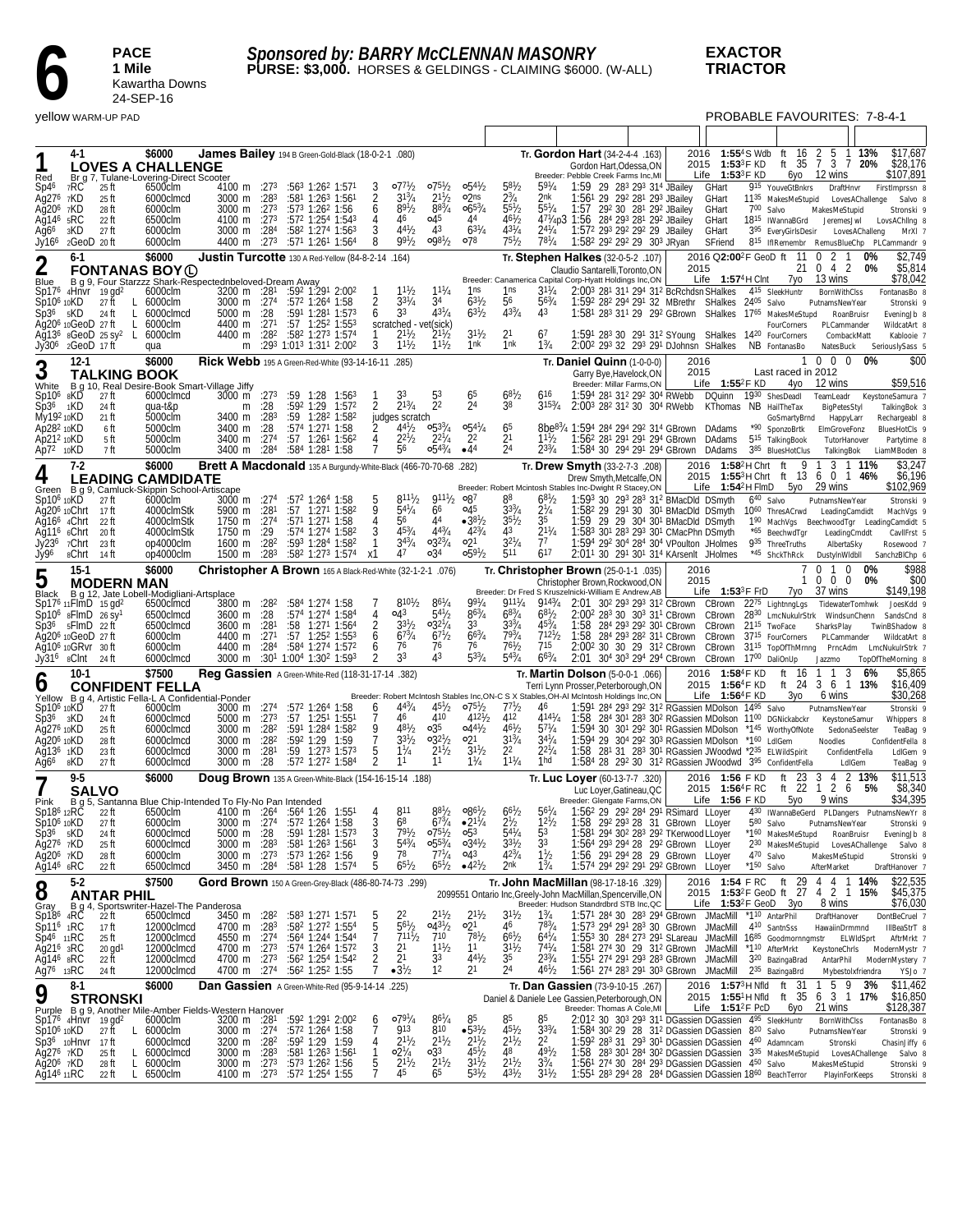

### **EXACTOR TRIACTOR**

|                                                           |                   | <b>Yellow WARM-UP PAD</b>           |                                                                                |                                                                  |              |                                                                                                   |                     |                                                       |                                          |                                      |                                                |                             |                                                                                                                                                                                   |      |                                                   |                 |                                                           | <b>PROBABLE FAVOURITES: 7-8-4-1</b>                         |                 |                               |
|-----------------------------------------------------------|-------------------|-------------------------------------|--------------------------------------------------------------------------------|------------------------------------------------------------------|--------------|---------------------------------------------------------------------------------------------------|---------------------|-------------------------------------------------------|------------------------------------------|--------------------------------------|------------------------------------------------|-----------------------------|-----------------------------------------------------------------------------------------------------------------------------------------------------------------------------------|------|---------------------------------------------------|-----------------|-----------------------------------------------------------|-------------------------------------------------------------|-----------------|-------------------------------|
|                                                           |                   |                                     |                                                                                |                                                                  |              |                                                                                                   |                     |                                                       |                                          |                                      |                                                |                             |                                                                                                                                                                                   |      |                                                   |                 |                                                           |                                                             |                 |                               |
|                                                           | 4-1               |                                     | \$6000                                                                         | James Bailey 194 B Green-Gold-Black (18-0-2-1 .080)              |              |                                                                                                   |                     |                                                       |                                          |                                      |                                                |                             | Tr. Gordon Hart (34-2-4-4 .163)                                                                                                                                                   |      |                                                   |                 | 2016 1:55 <sup>4</sup> S Wdb ft 16 2 5                    |                                                             | 1 13%           | \$17.687                      |
| Red                                                       |                   |                                     | <b>LOVES A CHALLENGE</b><br>Br_g 7, Tulane-Lovering-Direct Scooter             |                                                                  |              |                                                                                                   |                     |                                                       |                                          |                                      |                                                |                             | Gordon Hart.Odessa.ON<br>Breeder: Pebble Creek Farms Inc, MI                                                                                                                      |      | 2015 1:53 <sup>3</sup> F KD<br>Life $1:53^3$ F KD |                 |                                                           | ft 35 7 3 7 20%<br>6yo 12 wins                              |                 | \$28,176<br>\$107,891         |
| Sp46                                                      | 7RC               | 25 ft                               | 6500clm                                                                        | 4100 m $:273$                                                    |              | :563 1:262 1:571                                                                                  |                     | $077^{1}/2$                                           | $075\frac{1}{2}$                         | $0.54\frac{1}{2}$                    | $58\frac{1}{2}$                                | $59^{1}/4$                  | 1:59 29 283 293 314 JBailey                                                                                                                                                       |      | GHart                                             |                 | 915 YouveGtBnkrs                                          | DraftHnvr                                                   |                 | FirstImprssn 8                |
| Ag27 <sup>6</sup> 7KD<br>$Aq206$ 7KD                      |                   | 25 ft<br>28 ft                      | 6000clmcd<br>6000clm                                                           | 3000 m :28 <sup>3</sup><br>3000 m :273                           |              | $:58^1$ 1:26 <sup>3</sup> 1:56 <sup>1</sup><br>:573 1:262 1:56                                    | 2<br>6              | $3^{13}/4$<br>$89^{1}/2$                              | $2^{11}$ / <sub>2</sub><br>$8^{8^{3}/4}$ | o2ns<br>$0.65^{3}/4$                 | $2^{3}/_{4}$<br>5 <sup>51</sup> / <sub>2</sub> | 2nk<br>$55^{1}/4$           | 1:56 <sup>1</sup> 29 29 <sup>2</sup> 28 <sup>1</sup> 29 <sup>3</sup> JBailey<br>1:57 292 30 281 292 JBailey                                                                       |      | GHart<br>GHart                                    | 700 Salvo       | 11 <sup>35</sup> MakesMeStupid                            | LovesAChallenge<br>MakesMeStupid                            |                 | Salvo 8<br>Stronski 9         |
| Ag146 5RC                                                 |                   | 22 ft                               | 6500clm                                                                        | 4100 m :273                                                      |              | :572 1:254 1:543                                                                                  | 4                   | 46                                                    | 045                                      | 44                                   | $46^{1}/_{2}$                                  |                             | 47 <sup>1</sup> /4p3 1:56 28 <sup>4</sup> 29 <sup>3</sup> 28 <sup>1</sup> 29 <sup>2</sup> JBailey                                                                                 |      | GHart                                             |                 | 18 <sup>15</sup> IWannaBGrd                               | JeremesJwl                                                  |                 | LovsAChlIng 8                 |
| Ag66<br>Jy166                                             | зKD<br>2GeoD 20ft | 27 ft                               | 6000clm<br>6000clm                                                             | 3000 m :284<br>4400 m :273                                       |              | $:58^2$ 1:27 <sup>4</sup> 1:56 <sup>3</sup><br>:571 1:261 1:564                                   | 3<br>8              | $4^{4^{1}}b$<br>$99^{1}/2$                            | 43<br>$0.98^{1}/2$                       | $63^{1}/4$<br>∘78                    | $43^{1}/4$<br>$75^{1}/2$                       | $2^{4^{1}/4}$<br>$78^{1}/4$ | 1:57 <sup>2</sup> 29 <sup>3</sup> 29 <sup>2</sup> 29 <sup>2</sup> 29 JBailey<br>1:582 292 292 29 303 JRyan                                                                        |      | GHart<br>SFriend                                  |                 | 3 <sup>95</sup> EveryGirlsDesir                           | 815 IfIRemembr RemusBlueChp PLCammandr 9                    | LovesAChalleng  | MrXI <sub>7</sub>             |
|                                                           | $6-1$             |                                     | \$6000                                                                         | Justin Turcotte 130 A Red-Yellow (84-8-2-14 .164)                |              |                                                                                                   |                     |                                                       |                                          |                                      |                                                |                             | Tr. Stephen Halkes (32-0-5-2 .107)                                                                                                                                                |      | 2016 Q2:00 <sup>2</sup> F GeoD ft                 |                 | -11                                                       | $0 \t2 \t1$                                                 | 0%              | \$2,749                       |
| $\overline{2}$                                            |                   |                                     | <b>FONTANAS BOY (L)</b>                                                        |                                                                  |              |                                                                                                   |                     |                                                       |                                          |                                      |                                                |                             | Claudio Santarelli. Toronto.ON<br>Breeder: Canamerica Capital Corp-Hyatt Holdings Inc,ON                                                                                          | 2015 | Life 1:57 <sup>4</sup> H Clnt                     |                 | 21<br>7yo                                                 | 0 4 2<br>13 wins                                            | 0%              | \$5,814<br>\$78,042           |
| Blue                                                      |                   | $Sp176$ 4Hnvr 19 gd <sup>2</sup>    | B g 9, Four Starzzz Shark-Respectednbeloved-Dream Away<br>6000clm              | $3200 \text{ m}$ :281                                            |              | :592 1:291 2:002                                                                                  |                     | $11^{1}/2$                                            | $11^{1}/4$                               | 1ns                                  | 1ns                                            | $3^{11}/4$                  | 2:003 281 311 294 312 BcRchdsn SHalkes                                                                                                                                            |      |                                                   |                 | 4 <sup>15</sup> SleekHuntr                                | <b>BornWithClss</b>                                         |                 | FontanasBo 8                  |
| Sp10 <sup>6</sup> 10KD<br>$Sp36$ $5KD$                    |                   | 27 ft<br>L.<br>L<br>-24 ft          | 6000clm<br>6000clmcd                                                           | 3000 m :274<br>5000 m :28                                        |              | :572 1:264 1:58<br>$:59^1$ 1:28 <sup>1</sup> 1:57 <sup>3</sup>                                    | 6                   | $3^{31}/4$<br>33                                      | 34<br>$4^{31}/4$                         | $63^{1}/2$<br>$6^{31}/2$             | 56<br>$4^{33}/4$                               | $56\frac{3}{4}$<br>43       | 1:592 282 294 291 32 MBrethr SHalkes 2405 Salvo<br>1:58 <sup>1</sup> 28 <sup>3</sup> 31 <sup>1</sup> 29 29 <sup>2</sup> GBrown SHalkes 17 <sup>65</sup> MakesMeStupd              |      |                                                   |                 |                                                           | PutnamsNewYear<br>RoanBruisr                                |                 | Stronski 9<br>EveningJb 8     |
| Aq20 $6$ 10 GeoD 27 ft                                    |                   | L.                                  | 6000clm                                                                        | 4400 m :271                                                      |              | :57 1:252 1:553                                                                                   |                     | scratched - vet(sick)                                 |                                          |                                      |                                                |                             |                                                                                                                                                                                   |      |                                                   |                 | FourCorners                                               | PLCammander                                                 |                 | WildcatArt 8                  |
| Jy30 <sup>6</sup> 2GeoD 17 ft                             |                   | Ag136 8GeoD 25 sy <sup>2</sup> L    | 6000clm<br>qua                                                                 | 4400 m :28 <sup>2</sup><br>m                                     |              | :582 1:273 1:574<br>:293 1:013 1:311 2:002                                                        | 3                   | $2^{11}h$<br>$1^{11}$ / <sub>2</sub>                  | $2^{11}/2$<br>$1^{11}/2$                 | $3^{11}/2$<br>1nk                    | 2 <sup>1</sup><br>1nk                          | 67<br>$1\frac{3}{4}$        | 1:591 283 30 291 312 SYoung SHalkes 1420 FourCorners<br>2:00 <sup>2</sup> 29 <sup>3</sup> 32 29 <sup>3</sup> 29 <sup>1</sup> DJohnsn SHalkes NB FontanasBo                        |      |                                                   |                 |                                                           | CombackMatt<br>NatesBuck                                    |                 | Kablooie 7<br>SeriouslySass 5 |
|                                                           | $12-1$            |                                     | \$6000                                                                         | Rick Webb 195 A Green-Red-White (93-14-16-11 .285)               |              |                                                                                                   |                     |                                                       |                                          |                                      |                                                |                             | Tr. Daniel Quinn (1-0-0-0)                                                                                                                                                        | 2016 |                                                   |                 |                                                           | $0\quad 0\quad 0$                                           | 0%              | \$00                          |
| 3                                                         |                   | <b>TALKING BOOK</b>                 |                                                                                |                                                                  |              |                                                                                                   |                     |                                                       |                                          |                                      |                                                |                             | Garry Bye, Havelock, ON<br>Breeder: Millar Farms, ON                                                                                                                              | 2015 | Life $1:55^2$ F KD                                |                 | Last raced in 2012<br>4yo                                 | 12 wins                                                     |                 | \$59,516                      |
| White<br>$Sp106$ $gK\check{D}$                            |                   | 27 ft                               | B g 10, Real Desire-Book Smart-Village Jiffy<br>6000clmcd                      | 3000 m $:273$                                                    |              | $:59$ 1:28 1:56 <sup>3</sup>                                                                      |                     |                                                       |                                          | 65                                   | $6^{81}/2$                                     | 616                         | 1:594 281 312 292 304 RWebb                                                                                                                                                       |      | DQuinn 1930 ShesDeadl                             |                 |                                                           | TeamLeadr                                                   |                 | KeystoneSamura 7              |
| Sp36 1KD<br>My192 10KD                                    |                   | 24 ft<br>21 ft                      | qua-t&p<br>5000clm                                                             | 3400 m :283                                                      | $m \quad 28$ | :592 1:29 1:572<br>:59 1:282 1:582                                                                | 2                   | $2^{13}/4$<br>judges scratch                          | 2 <sup>2</sup>                           | 24                                   | 38                                             | $315\frac{3}{4}$            | 2:003 282 312 30 304 RWebb                                                                                                                                                        |      | KThomas NB HailTheTax                             |                 | GoSmartyBrnd                                              | BigPetesStyl<br>HappyLarr                                   |                 | TalkingBok 3<br>Rechargeabl 8 |
| Ap282 10KD                                                |                   | 6 ft                                | 5000clm                                                                        | 3400 m                                                           | :28          | :574 1:271 1:58                                                                                   |                     | $4^{4^{1}}/2$                                         | $0.5^{33}/4$                             | $0.54^{1}/4$                         | 65                                             |                             | 8be <sup>83</sup> / <sub>4</sub> 1:594 284 294 292 314 GBrown DAdams                                                                                                              |      |                                                   |                 | *90 SponzoBrtk                                            | ElmGroveFonz                                                |                 | BluesHotCls 9                 |
| Ap212 10KD<br>Ap72 10KD                                   |                   | 5 ft<br>7 ft                        | 5000clm<br>5000clm                                                             | 3400 m<br>3400 m                                                 | :274<br>:284 | :57 1:261 1:562<br>:584 1:281 1:58                                                                | 4                   | $2^{21}h$<br>56                                       | $2^{21}/4$<br>$0.54\frac{3}{4}$          | 2 <sup>2</sup><br>$-44$              | 21<br>24                                       | $11^{1}/2$<br>$2^{33}/4$    | 1:56 <sup>2</sup> 28 <sup>1</sup> 29 <sup>1</sup> 29 <sup>1</sup> 29 <sup>4</sup> GBrown DAdams<br>1:584 30 294 291 294 GBrown DAdams                                             |      |                                                   |                 | 5 <sup>15</sup> TalkingBook<br>385 BluesHotClus           | TutorHanover<br>TalkingBok                                  |                 | Partytime 8<br>LiamMBoden 8   |
|                                                           | $7-2$             |                                     | \$6000                                                                         | Brett A Macdonald 135 A Burgundy-White-Black (466-70-70-68 .282) |              |                                                                                                   |                     |                                                       |                                          |                                      |                                                |                             | Tr. Drew Smyth (33-2-7-3 .208)                                                                                                                                                    |      | 2016 1:58 <sup>2</sup> HChrt ft                   |                 | 9                                                         | 3                                                           | 1 11%           | \$3,247                       |
| 4                                                         |                   |                                     | <b>LEADING CAMDIDATE</b>                                                       |                                                                  |              |                                                                                                   |                     |                                                       |                                          |                                      |                                                |                             | Drew Smyth, Metcalfe, ON<br>Breeder: Robert Mcintosh Stables Inc-Dwight R Stacey, ON                                                                                              |      | Life $1:54^2$ H FlmD                              |                 |                                                           | 2015 1:553 H Chrt ft 13 6 0 1 46%<br>5yo 29 wins            |                 | \$6,196<br>\$102,969          |
| $Sp10610K\ddot{D}$                                        |                   | - 27 ft                             | Green B g 9, Camluck-Skippin School-Artiscape<br>6000clm                       | 3000 m :274                                                      |              | :572 1:264 1:58                                                                                   |                     | $8^{11}\frac{1}{2}$                                   | $911\frac{1}{2}$ 087                     |                                      | 88                                             | $68^{1}/2$                  | 1:593 30 293 283 312 BMacDld DSmyth                                                                                                                                               |      |                                                   | $6^{40}$ Salvo  |                                                           | PutnamsNewYear                                              |                 | Stronski 9                    |
| Ag20 <sup>6</sup> 10Chrt 17 ft<br>Ag16 <sup>6</sup> 4Chrt |                   | 22 ft                               | 4000clmStk<br>4000clmStk                                                       | 5900 m :28 <sup>1</sup><br>1750 m :27 <sup>4</sup>               |              | $:57$ 1:27 <sup>1</sup> 1:58 <sup>2</sup><br>$:57^1$ 1:27 <sup>1</sup> 1:58                       | 9                   | $5^{41}/4$<br>56                                      | 66<br>44                                 | 04 <sup>5</sup><br>$•38\frac{1}{2}$  | $3^{3/4}$<br>$3^{51}/2$                        | $2^{1/4}$<br>35             | 1:58 <sup>2</sup> 29 29 <sup>1</sup> 30 30 <sup>1</sup> BMacDld DSmyth 10 <sup>60</sup> ThresACrwd<br>1:59 29 29 30 <sup>4</sup> 30 <sup>1</sup> BMacDld DSmyth                   |      |                                                   |                 |                                                           | LeadingCamdidt<br>190 MachVgs BeechwoodTgr LeadingCamdidt 5 |                 | MachVgs 9                     |
| Ag11 <sup>6</sup> 6Chrt                                   |                   | 20 ft                               | 4000clmStk                                                                     | 1750 m :29                                                       |              | :574 1:274 1:582                                                                                  |                     | $45^{3}/_{4}$                                         | $4^{43}/4$                               | $42\frac{3}{4}$                      | 43                                             | $2^{11}/4$                  | 1:583 301 283 293 301 CMacPhn DSmyth                                                                                                                                              |      |                                                   |                 | *65 BeechwdTgr                                            | LeadingCmddt                                                |                 | CavilFrst 5                   |
| Jy236<br>Jy96                                             | 7Chrt<br>8Chrt    | -23 ft<br>-14 ft                    | op4000clm<br>op4000clm                                                         | $1600 \text{ m}$ :28 <sup>2</sup><br>1500 m                      | $:28^3$      | :593 1:284 1:582<br>:58 <sup>2</sup> 1:27 <sup>3</sup> 1:57 <sup>4</sup>                          | х1                  | $3^{43}/4$<br>47                                      | $0.32\frac{3}{4}$<br>$\circ 3^4$         | $\circ 2^1$<br>$0.59^{1}/2$          | $3^{21}/4$<br>511                              | 77<br>$6^{17}$              | 1:594 292 304 284 304 VPoulton JHolmes<br>2:01 <sup>1</sup> 30 29 <sup>1</sup> 30 <sup>1</sup> 31 <sup>4</sup> KArsenlt JHolmes                                                   |      |                                                   |                 | 935 ThreeTruths<br>*45 ShckThRck                          | AlbertaSky<br>DustylnWldbll                                 |                 | Rosewood 7<br>SanchzBIChp 6   |
|                                                           | $15-1$            |                                     | \$6000                                                                         | Christopher A Brown 165 A Black-Red-White (32-1-2-1 .076)        |              |                                                                                                   |                     |                                                       |                                          |                                      |                                                |                             | Tr. Christopher Brown (25-0-1-1 .035)                                                                                                                                             | 2016 |                                                   |                 |                                                           | $\mathbf 0$<br>$\Omega$<br>-1                               | 0%              | \$988                         |
| 5                                                         |                   | <b>MODERN MAN</b>                   |                                                                                |                                                                  |              |                                                                                                   |                     |                                                       |                                          |                                      |                                                |                             | Christopher Brown, Rockwood, ON<br>Breeder: Dr Fred S Kruszelnicki-William E Andrew, AB                                                                                           | 2015 | Life $1:53^3$ F FrD                               |                 | 1<br>7уо                                                  | $0\quad 0\quad 0$<br>37 wins                                | 0%              | \$00<br>\$149,198             |
|                                                           |                   | $Sp17^6$ 11 FlmD 15 gd <sup>2</sup> | Black B g 12, Jate Lobell-Modigliani-Artsplace<br>6500clmcd                    | 3800 m :28 <sup>2</sup>                                          |              | :584 1:274 1:58                                                                                   |                     | $8^{101}/2$                                           | $8^{6^{1}/4}$                            | $99^{1}_{A}$                         | $911^{1}_{4}$                                  | 9143/4                      | 2:01 30 <sup>2</sup> 29 <sup>3</sup> 29 <sup>3</sup> 31 <sup>2</sup> CBrown CBrown                                                                                                |      |                                                   |                 | 2275 LightnngLgs                                          | TidewaterTomhwk                                             |                 | JoesKdd 9                     |
| $Sp36$ $5F$ ImD $22$ ft                                   |                   | $Sp106$ $gF$ ImD $26$ $Sy1$         | 6500clmcd<br>6500clmcd                                                         | 3600 m :28<br>3600 m :281                                        |              | :574 1:274 1:584<br>:58 1:271 1:564                                                               | 2                   | 043<br>$3^{31}/2$                                     | $54^{1}/2$<br>$0.32^{1}/4$               | $86^{3}/_{4}$<br>3 <sup>3</sup>      | $68^{3}/4$<br>$3^{3/4}$                        | $68^{1}/2$<br>$45^{3}/_{4}$ | 2:00 <sup>2</sup> 28 <sup>3</sup> 30 30 <sup>3</sup> 31 <sup>1</sup> CBrown CBrown 28 <sup>30</sup> LmcNukulrStrk WindsunChenn<br>1:58 284 293 292 301 CBrown CBrown 2115 TwoFace |      |                                                   |                 |                                                           | SharksPlay                                                  |                 | SandsCnd 8<br>TwinBShadow 8   |
| Ag20 <sup>6</sup> 10GeoD 27 ft                            |                   |                                     | 6000clm                                                                        | 4400 m $:271$                                                    |              | $:57$ 1:25 <sup>2</sup> 1:55 <sup>3</sup>                                                         | 6                   | $6^{73}/4$                                            | $67\frac{1}{2}$                          | $6^{63}/4$                           | 793/4                                          | 7121/2                      | 1:58 284 293 282 311 CBrown CBrown 37 <sup>15</sup> FourCorners                                                                                                                   |      |                                                   |                 |                                                           | PLCammander                                                 |                 | WildcatArt 8                  |
| Ag10 <sup>6</sup> 10GRvr 30ft<br>Jy31 <sup>6</sup> sCInt  |                   | -24 ft                              | 6000clm<br>6000clmcd                                                           | 4400 m :284                                                      |              | :584 1:274 1:572<br>3000 m :30 <sup>1</sup> 1:00 <sup>4</sup> 1:30 <sup>2</sup> 1:59 <sup>3</sup> | 6                   | 76<br>33                                              | 76<br>43                                 | 76<br>$53^{3}/4$                     | $76^{1}/2$<br>$54^{3}/4$                       | 715<br>$66^{3}/4$           | 2:002 30 30 29 312 CBrown CBrown 3115 TopOfThMrnng PrncAdm LmcNukulrStrk 7<br>2:01 304 303 294 294 CBrown CBrown 1700 DaliOnUp                                                    |      |                                                   |                 |                                                           | Jazzmo                                                      |                 | TopOfTheMorning 8             |
|                                                           | $10-1$            |                                     | \$7500                                                                         | Reg Gassien A Green-White-Red (118-31-17-14 .382)                |              |                                                                                                   |                     |                                                       |                                          |                                      |                                                |                             | Tr. <b>Martin Dolson</b> (5-0-0-1 .066)                                                                                                                                           |      | 2016 1:584F KD                                    |                 | ft<br>16                                                  | 3<br>$\mathbf{1}$                                           | 6%              | \$5,865                       |
| O                                                         |                   |                                     | <b>CONFIDENT FELLA</b><br>Yellow B g 4, Artistic Fella-L A Confidential-Ponder |                                                                  |              |                                                                                                   |                     |                                                       |                                          |                                      |                                                |                             | Terri Lynn Prosser, Peterborough, ON<br>Breeder: Robert McIntosh Stables Inc, ON-C S X Stables, OH-AI McIntosh Holdings Inc, ON                                                   |      | 2015 1:56 <sup>4</sup> F KD<br>Life $1:56^4$ F KD |                 | Зуо                                                       | ft 24 3 6 1 13%<br>6 wins                                   |                 | \$16,409<br>\$30,268          |
| Sp10 <sup>6</sup> 10KD                                    |                   | 27 ft                               | 6000clm                                                                        | 3000 m :274                                                      |              | :572 1:264 1:58                                                                                   | 6                   | $4^{43}/4$                                            | $45\frac{1}{2}$                          | $075\%$                              | 77'                                            | 46                          | 1:591 284 293 292 312 RGassien MDolson 1495 Salvo                                                                                                                                 |      |                                                   |                 |                                                           | PutnamsNewYear                                              |                 | Stronski 9                    |
| Sp36<br>Ag276 10KD                                        | зKD               | 24 ft<br>25 ft                      | 6000clmcd<br>6000clmcd                                                         | 5000 m :273<br>3000 m :28 <sup>2</sup>                           |              | $:57$ 1:25 <sup>1</sup> 1:55 <sup>1</sup><br>:591 1:284 1:582                                     | 7<br>9              | 46<br>$48^{1}/_{2}$                                   | 410<br>o35                               | $4^{121}/2$<br>$0.44\frac{1}{2}$     | 412<br>$46^{1}/2$                              | $4^{141}/4$<br>$57^{1}/4$   | 1:58<br>1:594 30 301 292 301 RGassien MDolson *145 WorthyOfNote                                                                                                                   |      |                                                   |                 | 284 301 283 302 RGassien MDolson 1100 DGNickabckr         | KeystoneSamur<br>SedonaSeelster                             |                 | Whippers 8<br>TeaBag 9        |
| Aq20 <sup>6</sup> 10KD<br>Ağ13 <sup>6</sup> 1KD           |                   | 28 ft                               | 6000clmcd                                                                      | 3000 m :28 <sup>2</sup>                                          |              | :592 1:29 1:59                                                                                    | 7                   | $3^{3}$ <sup>1</sup> / <sub>2</sub><br>$1\frac{1}{4}$ | $03^{21}/2$<br>$2^{11}/2$                | ∘21<br>$3^{11}/2$                    | $3^{13}/4$<br>2 <sup>2</sup>                   | $34^{1}/4$<br>$2^{21}$ /4   | 1:594 29 304 292 303 RGassien MDolson *160 LdlGem                                                                                                                                 |      |                                                   |                 |                                                           | Noodles                                                     |                 | ConfidentFella 8              |
| Ağ66                                                      | 8KD               | 23 ft<br>27 ft                      | 6000clmcd<br>6000clmcd                                                         | 3000 m<br>3000 m                                                 | :281<br>:28  | $:59$ 1:27 <sup>3</sup> 1:57 <sup>3</sup><br>:572 1:272 1:584                                     | $\frac{5}{2}$       | 11                                                    | 11                                       | $1\frac{1}{4}$                       | $11^{1}/4$                                     | 1hd                         | 1:58 281 31 283 301 RGassien JWoodwd *235 ELWildSpirit<br>1:584 28 292 30 312 RGassien JWoodwd 395 ConfidentFella                                                                 |      |                                                   |                 |                                                           | ConfidentFella<br>LdIGem                                    |                 | LdIGem 9<br>TeaBag 9          |
| 7                                                         | $9 - 5$           |                                     | \$6000                                                                         | Doug Brown 135 A Green-White-Black (154-16-15-14 .188)           |              |                                                                                                   |                     |                                                       |                                          |                                      |                                                |                             | Tr. Luc Loyer (60-13-7-7 .320)                                                                                                                                                    |      | 2016 1:56 F KD                                    |                 | 23<br>ft                                                  | 3<br>4                                                      | 2 13%           | \$11,513                      |
| Pink                                                      |                   | <b>SALVO</b>                        | B g 5, Santanna Blue Chip-Intended To Fly-No Pan Intended                      |                                                                  |              |                                                                                                   |                     |                                                       |                                          |                                      |                                                |                             | Luc Lover.Gatineau.QC<br>Breeder: Glengate Farms, ON                                                                                                                              |      | 2015 1:56 <sup>4</sup> F RC<br>Life $1:56$ F KD   |                 | 5уо                                                       | ft 22 1 2 6<br>9 wins                                       | - 5%            | \$8,340<br>\$34,395           |
| Sp186 12RC                                                |                   | 22 ft                               | 6500clm                                                                        | 4100 m : 264                                                     |              | :564 1:26 1:551                                                                                   |                     | 811                                                   | $8^{81}/2$                               | $0.86^{1/2}$                         | $6^{67}/2$<br>$2^{1/2}$                        | 56'/4                       | 1:562 29 292 284 291 RSimard LLoyer                                                                                                                                               |      |                                                   |                 |                                                           | 430 IWannaBeGerd PLDangers PutnamsNewYr 8                   |                 |                               |
| Sp10 <sup>6</sup> 10KD<br>$Sp36$ $sKD$                    |                   | 27 ft<br>24 ft                      | 6000clm<br>6000clmcd                                                           | 3000 m :274<br>5000 m :28                                        |              | :572 1:264 1:58<br>:591 1:281 1:573                                                               | 3<br>3              | 68<br>$79^{1}/_{2}$                                   | $67^{3}/_{4}$<br>$07^{51}/2$             | $•21\frac{1}{4}$<br>$\circ 5^3$      | $5^{41}/4$                                     | $12^{1}/2$<br>53            | 1:58 292 293 28 31 GBrown LLoyer<br>1:581 294 302 283 292 TKerwood LLoyer                                                                                                         |      |                                                   | 580 Salvo       | *160 MakesMeStupd                                         | PutnamsNewYear<br>RoanBruisr                                |                 | Stronski 9<br>EveningJb 8     |
| Ag27 <sup>6</sup> 7KD<br>Ag20 <sup>6</sup> 7KD            |                   | 25 ft                               | 6000clmcd                                                                      | 3000 m :283<br>3000 m :273                                       |              | :581 1:263 1:561<br>:573 1:262 1:56                                                               | 3<br>9              | $54^{3}/4$<br>78                                      | $0.55^{3}/_{4}$<br>$77^{1}/4$            | $0.34\frac{1}{2}$<br>o43             | $3^{31}/2$<br>$42^{3}/4$                       | 33<br>$1\frac{1}{2}$        | 1:564 293 294 28 292 GBrown LLoyer<br>1:56 291 294 28 29 GBrown LLoyer                                                                                                            |      |                                                   | 470 Salvo       | 230 MakesMeStupid                                         |                                                             | LovesAChallenge | Salvo 8                       |
| Ağ14 <sup>6</sup> 6RC                                     |                   | 28 ft<br>22 ft                      | 6000clm<br>6500clmcd                                                           | 3450 m :28 <sup>4</sup>                                          |              | :58 <sup>1</sup> 1:28 1:574                                                                       | 5                   | $65^{1}/2$                                            | $6^{51}/2$                               | $-4^{2}$ <sup>1</sup> / <sub>2</sub> | 2nk                                            | $1\frac{3}{4}$              | 1:574 294 292 291 292 GBrown LLoyer                                                                                                                                               |      |                                                   | $*1^{50}$ Salvo |                                                           | MakesMeStupid<br>AfterMarket                                |                 | Stronski 9<br>DraftHanover 7  |
| 8                                                         | $5-2$             |                                     | \$7500                                                                         | Gord Brown 150 A Green-Grey-Black (486-80-74-73 .299)            |              |                                                                                                   |                     |                                                       |                                          |                                      |                                                |                             | Tr. John MacMillan (98-17-18-16 .329)                                                                                                                                             |      |                                                   |                 |                                                           | 2016 1:54 F RC ft 29 4 4 1 14%                              |                 | \$22,535                      |
| Gray                                                      |                   | <b>ANTAR PHIL</b>                   | B g 4, Sportswriter-Hazel-The Panderosa                                        |                                                                  |              |                                                                                                   |                     |                                                       |                                          |                                      |                                                |                             | 2099551 Ontario Inc, Greely-John MacMillan, Spencerville, ON<br>Breeder: Hudson Standrdbrd STB Inc, QC                                                                            |      | Life $1:53^2$ F GeoD $3y0$                        |                 |                                                           | 2015 1:53 <sup>2</sup> F GeoD ft 27 4 2 1 15%<br>8 wins     |                 | \$45,375<br>\$76,030          |
| $Sp186$ $4R\bar{C}$                                       |                   | 22 ft                               | 6500clmcd                                                                      | 3450 m :28 <sup>2</sup>                                          |              | $:583$ 1:27 <sup>1</sup> 1:57 <sup>1</sup>                                                        | 5                   | 22<br>$56^{1}/2$                                      | $2^{11}/2$<br>$0.43^{1/2}$               | $2^{11}/2$<br>o21                    | $3^{11}/2$<br>46                               | $1\frac{3}{4}$<br>783/4     | 1:571 284 30 283 294 GBrown JMacMill                                                                                                                                              |      |                                                   |                 | *1 <sup>10</sup> AntarPhil                                | DraftHanover                                                |                 | DontBeCruel 7                 |
| $Sp116$ 1RC<br>Sp46 11RC                                  |                   | 17 ft<br>25 ft                      | 12000clmcd<br>12000clmcd                                                       | 4700 m :283<br>4550 m :274                                       |              | :582 1:272 1:554<br>:564 1:244 1:544                                                              | $\overline{7}$      | $7^{111}$ /2                                          | 710                                      | $78^{1}/2$                           | $66^{1}/2$                                     | $64^{1}/4$                  | 1:573 294 291 283 30 GBrown JMacMill<br>1:553 30 284 273 291 SLareau JMacMill                                                                                                     |      |                                                   |                 | 4 <sup>10</sup> SantnSss                                  | HawaiinDrmmnd<br>1685 Goodmornngmstr ELWIdSprt              |                 | IIIBeaStrT 8<br>AftrMrkt 7    |
| Ag21 <sup>6</sup> 3RC<br>Ağ146 8RC                        |                   | $20$ gd <sup>1</sup><br>22 ft       | 12000clmcd<br>12000clmcd                                                       | 4700 m :27 <sup>3</sup><br>4700 m :273                           |              | $:574$ 1:26 <sup>4</sup> 1:57 <sup>2</sup><br>:562 1:254 1:542                                    | 3<br>$\overline{2}$ | 2 <sup>1</sup><br>2 <sup>1</sup>                      | $1^{11}/2$<br>3 <sup>3</sup>             | 1 <sup>1</sup><br>$44^{1}/2$         | $3^{11}/2$<br>35                               | $7^{41}/4$<br>$2^{33}/4$    | 1:58 <sup>1</sup> 27 <sup>4</sup> 30 29 31 <sup>2</sup> GBrown JMacMill<br>1:551 274 291 293 283 GBrown JMacMill                                                                  |      |                                                   |                 | *1 <sup>10</sup> AfterMrkt<br>3 <sup>20</sup> BazingaBrad | KeystoneChrls<br>AntarPhil                                  |                 | ModernMystr 7                 |
| Ağ76 13RC                                                 |                   | 24 ft                               | 12000clmcd                                                                     | 4700 m :274                                                      |              | :562 1:252 1:55                                                                                   |                     | $\bullet 3\frac{1}{2}$                                | 12                                       | 2 <sup>1</sup>                       | 24                                             | $46^{1}/2$                  | 1:561 274 283 291 303 GBrown JMacMill                                                                                                                                             |      |                                                   |                 | 235 BazingaBrd                                            | Mybestolxfriendra                                           |                 | ModernMystery 7<br>YSJo 7     |
| 9                                                         | 8-1               |                                     | \$6000                                                                         | Dan Gassien A Green-White-Red (95-9-14-14 .225)                  |              |                                                                                                   |                     |                                                       |                                          |                                      |                                                |                             | Tr. Dan Gassien (73-9-10-15 .267)                                                                                                                                                 |      |                                                   |                 | 2016 1:57 <sup>3</sup> H Nfld ft 31                       | 1 5 9                                                       | 3%              | \$11,462                      |
|                                                           |                   | <b>STRONSKI</b>                     | Purple B g 9, Another Mile-Amber Fields-Western Hanover                        |                                                                  |              |                                                                                                   |                     |                                                       |                                          |                                      |                                                |                             | Daniel & Daniele Lee Gassien, Peterborough, ON<br>Breeder: Thomas A Cole, MI                                                                                                      |      | Life $1:51^2$ F PcD                               |                 | 6уо                                                       | 2015 1:55 <sup>1</sup> H Nfld ft 35 6 3 1 17%<br>21 wins    |                 | \$16,850<br>\$128,387         |
| Sp10 <sup>6</sup> 10KD                                    |                   | $Sp176$ 4Hnvr 19 gd <sup>2</sup>    | 6000clm                                                                        | 3200 m :281                                                      |              | :592 1:291 2:002<br>:572 1:264 1:58                                                               | 6                   | $079^{1}/4$<br>913                                    | $86^{1}/4$<br>810                        | 85<br>$•53\frac{1}{2}$               | 85<br>$45^{1}/2$                               | 85<br>$3^{3/4}$             | 2:012 30 303 293 311 DGassien DGassien 495 SleekHuntr<br>1:584 302 29 28 312 DGassien DGassien 820 Salvo                                                                          |      |                                                   |                 |                                                           | BornWithClss                                                |                 | FontanasBo 8                  |
| $Sp36$ 10 Hnvr 17 ft                                      |                   | 27 ft<br>L                          | 6000clm<br>6000clmcd                                                           | 3000 m :27 <sup>4</sup><br>3200 m :282                           |              | $:592$ 1:29 1:59                                                                                  | 4                   | $21\frac{1}{2}$                                       | $2^{11}/2$                               | $2^{11}/2$                           | $2^{11}/2$                                     | 22                          | 1:592 283 31 293 301 DGassien DGassien 460 Adamncam                                                                                                                               |      |                                                   |                 |                                                           | PutnamsNewYear<br>Stronski                                  |                 | Stronski 9<br>ChasinJiffy 6   |
| Ag276 7KD<br>Ag20 <sup>6</sup> 7KD                        |                   | 25 ft<br>L<br>L<br>28 ft            | 6000clmcd<br>6000clm                                                           | 3000 m :283<br>3000 m :273                                       |              | :581 1:263 1:561<br>:573 1:262 1:56                                                               | -1<br>5             | $02^{1/4}$<br>$2^{11}/2$                              | 03 <sup>3</sup><br>$2^{11}/2$            | $45^{1}/2$                           | 48<br>$2^{11}/2$                               | $49^{1}/2$                  | 1:58 283 301 284 302 DGassien DGassien 335 MakesMeStupid<br>1:56 <sup>1</sup> 27 <sup>4</sup> 30 28 <sup>4</sup> 29 <sup>3</sup> DGassien DGassien 4 <sup>50</sup> Salvo          |      |                                                   |                 |                                                           | LovesAChallenge<br>MakesMeStupid                            |                 | Salvo 8<br>Stronski 9         |
| Ag14 <sup>6</sup> 11RC                                    |                   | 22 ft<br>L                          | 6500clm                                                                        |                                                                  |              | 4100 m :273 :572 1:254 1:55                                                                       |                     | 45                                                    | 65                                       | $3^{11/2}$<br>$5^{31/2}$             | $43\frac{1}{2}$                                | $3^{3/4}$<br>$3^{11/2}$     | 1:551 283 294 28 284 DGassien DGassien 1860 BeachTerror                                                                                                                           |      |                                                   |                 |                                                           | PlayinForKeeps                                              |                 | Stronski 8                    |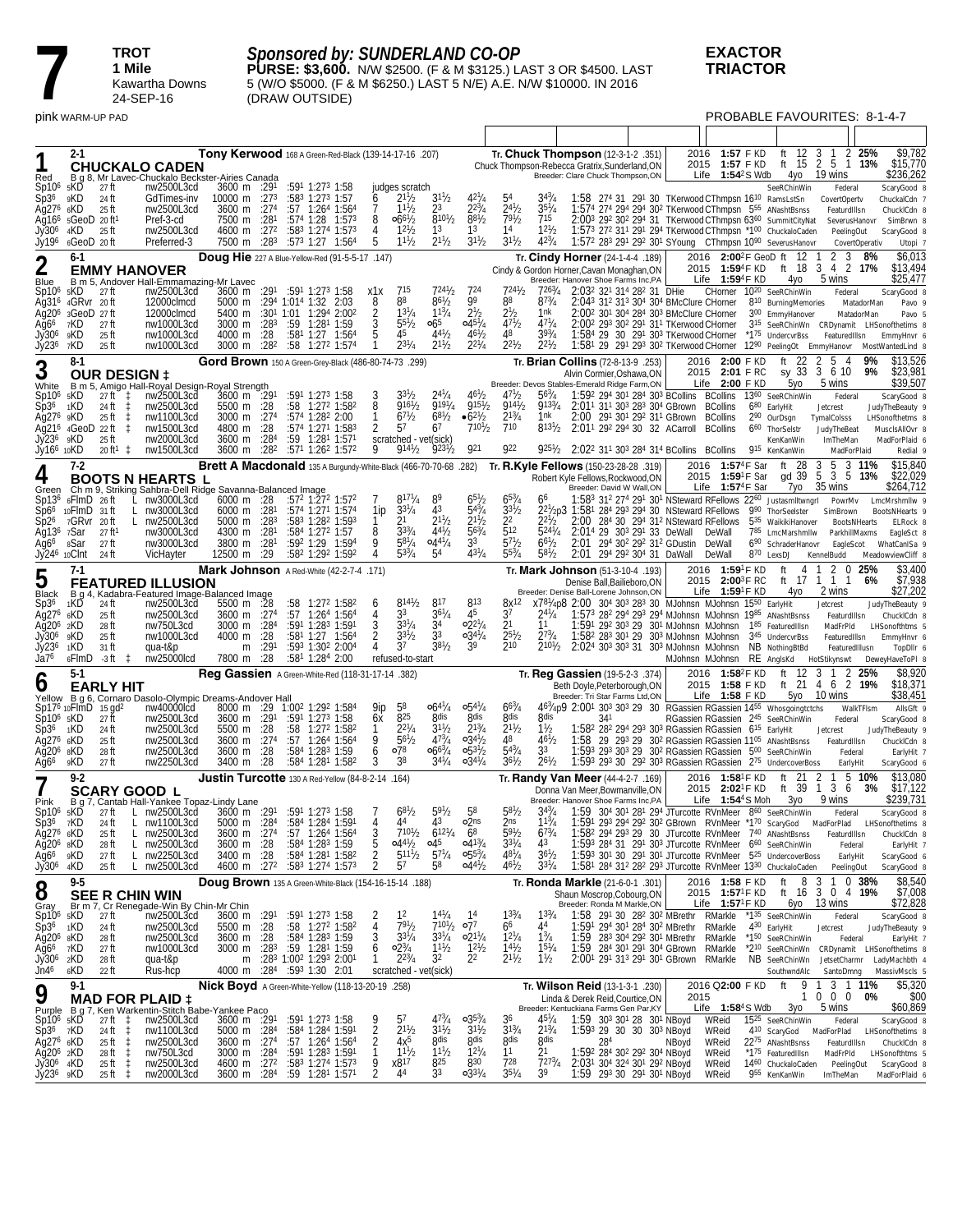**7 1 Mile**<br>**1 Mile**<br>**1** *Kawart***<br>24-SEF 1 Mile**

Kawartha Downs 24-SEP-16

## *Sponsored by: SUNDERLAND CO-OP*

**PURSE: \$3,600.** N/W \$2500. (F & M \$3125.) LAST 3 OR \$4500. LAST 5 (W/O \$5000. (F & M \$6250.) LAST 5 N/E) A.E. N/W \$10000. IN 2016 (DRAW OUTSIDE)

### **EXACTOR TRIACTOR**

pink WARM-UP PAD PROBABLE FAVOURITES: 8-1-4-7

| Red                                                                                                      | 2-1                               |                                                                                                                |                                | <b>CHUCKALO CADEN</b><br>B g 8, Mr Lavec-Chuckalo Beckster-Airies Canada                                                                                                  |                                                                                                    |                                             |     | Tony Kerwood 168 A Green-Red-Black (139-14-17-16 .207)                                                                                                                                                                  |                                          |                                                                                                      |                                                                                               |                                                                                                     |                                                                                      |                                                                          | Tr. <b>Chuck Thompson</b> (12-3-1-2 .351)<br>Chuck Thompson-Rebecca Gratrix, Sunderland, ON<br>Breeder: Clare Chuck Thompson, ON                                                         |                                                                                                                                                                                                                                                                                                             | 2016  | 1:57 F KD<br>2015 1:57 F KD<br><b>1:54</b> <sup>2</sup> S Wdb<br>Life    |     | ft 12<br>ft $15$<br>4yo                                                                                                                                                                                                                                        | 3<br>$\overline{2}$<br>5<br>19 wins                                                              | 2 25%<br>1 13%                       | \$9,782<br>\$15,770<br>\$236,262                                                                                         |
|----------------------------------------------------------------------------------------------------------|-----------------------------------|----------------------------------------------------------------------------------------------------------------|--------------------------------|---------------------------------------------------------------------------------------------------------------------------------------------------------------------------|----------------------------------------------------------------------------------------------------|---------------------------------------------|-----|-------------------------------------------------------------------------------------------------------------------------------------------------------------------------------------------------------------------------|------------------------------------------|------------------------------------------------------------------------------------------------------|-----------------------------------------------------------------------------------------------|-----------------------------------------------------------------------------------------------------|--------------------------------------------------------------------------------------|--------------------------------------------------------------------------|------------------------------------------------------------------------------------------------------------------------------------------------------------------------------------------|-------------------------------------------------------------------------------------------------------------------------------------------------------------------------------------------------------------------------------------------------------------------------------------------------------------|-------|--------------------------------------------------------------------------|-----|----------------------------------------------------------------------------------------------------------------------------------------------------------------------------------------------------------------------------------------------------------------|--------------------------------------------------------------------------------------------------|--------------------------------------|--------------------------------------------------------------------------------------------------------------------------|
| Sp10 <sup>6</sup><br>Sp36.<br>Ag276<br>Jy306<br>Jy196                                                    | 5KD<br>9KD<br>6KD<br>4KD          | 27 ft<br>24 ft<br>25 ft<br>Ag16 <sup>6</sup> 5GeoD 20ft <sup>1</sup><br>25 ft<br>6GeoD 20ft                    |                                | nw2500L3cd<br>GdTimes-inv<br>nw2500L3cd<br>Pref-3-cd<br>nw2500L3cd<br>Preferred-3                                                                                         | 3600 m :291<br>10000 m $:273$<br>3600 m :274<br>7500 m :281<br>4600 m<br>7500 m                    | :27 <sup>2</sup><br>:283                    |     | :591 1:273 1:58<br>$:583$ 1:27 <sup>3</sup> 1:57<br>:57 1:264 1:564<br>:574 1:28 1:573<br>$:583$ 1:27 <sup>4</sup> 1:57 <sup>3</sup><br>:573 1:27 1:564                                                                 | 6<br>8<br>4<br>5                         | judges scratch<br>$2^{11}/2$<br>$11^{1}/2$<br>$066^{1}/2$<br>$12^{1}/2$<br>$11^{1}/_{2}$             | $3^{11}/2$<br>23<br>$8^{10^{1}/2}$<br>13<br>$2^{11}/2$                                        | 223/4<br>$8^{81}/2$<br>1 <sup>3</sup><br>$31\frac{1}{2}$                                            | $2^{4^{1}}/2$<br>$79^{1}/2$<br>14<br>$3^{11}/2$                                      | $35^{1}/4$<br>715<br>$1^{21}h$<br>$42^{3}/_{4}$                          |                                                                                                                                                                                          | 1:58 274 31 291 30 TKerwood CThmpsn 16 <sup>10</sup> RamsLstSn<br>1:574 274 294 294 302 TKerwood CThmpsn 555 ANashtBsnss                                                                                                                                                                                    |       |                                                                          |     | SeeRChinWin<br>2:003 292 302 294 31 TKerwood CThmpsn 6360 SummitCityNat<br>1:573 272 311 291 294 TKerwood CThmpsn *100 ChuckaloCaden<br>1:572 283 291 292 301 SYoung CThmpsn 1090 SeverusHanovr                                                                | Federal<br>CovertOpertv<br>FeaturdIllsn<br>SeverusHanovr<br>PeelingOut                           | CovertOperativ                       | ScaryGood 8<br>ChuckalCdn 7<br>ChuckICdn 8<br>SimBrwn 8<br>ScaryGood 8<br>Utopi 7                                        |
| 2                                                                                                        | 6-1                               |                                                                                                                |                                | <b>EMMY HANOVER</b>                                                                                                                                                       |                                                                                                    |                                             |     | Doug Hie 227 A Blue-Yellow-Red (91-5-5-17 .147)                                                                                                                                                                         |                                          |                                                                                                      |                                                                                               |                                                                                                     |                                                                                      |                                                                          | Tr. Cindy Horner (24-1-4-4 .189)<br>Cindy & Gordon Horner, Cavan Monaghan, ON                                                                                                            |                                                                                                                                                                                                                                                                                                             |       | 2015 1:594F KD                                                           |     | 2016 2:00 <sup>2</sup> F GeoD ft 12<br>ft 18                                                                                                                                                                                                                   | 2<br>3<br>$\frac{3}{2}$                                                                          | 8%<br>4 2 17%                        | \$6,013<br>\$13,494                                                                                                      |
| Blue<br>Sp10 <sup>6</sup><br>Ag316<br>Aq20 <sup>6</sup><br>Aq66<br>Jy306<br>Jy236                        | 5KD<br>7KD<br>9KD<br>7KD          | 27 ft<br>4GRvr 20ft<br>3GeoD 27 ft<br>27 ft<br>25 ft<br>25 ft                                                  |                                | B m 5, Andover Hall-Emmamazing-Mr Lavec<br>nw2500L3cd<br>12000clmcd<br>12000clmcd<br>nw1000L3cd<br>nw1000L3cd<br>nw1000L3cd                                               | 3600 m<br>5000 m<br>5400 m<br>3000 m<br>4000 m<br>3000 m                                           | :28 <sup>3</sup><br>:28<br>:28 <sup>2</sup> |     | :291 :591 1:273 1:58<br>:294 1:014 1:32 2:03<br>:30 <sup>1</sup> 1:01 1:29 <sup>4</sup> 2:00 <sup>2</sup><br>:59 1:281 1:59<br>$:58^1$ 1:27 1:564<br>:58 1:27 <sup>2</sup> 1:574                                        | x1x<br>8<br>$\frac{2}{3}$<br>5<br>1      | 715<br>88<br>$1^{31}/4$<br>$55\frac{1}{2}$<br>45<br>$2^{31}/4$                                       | $724\frac{1}{2}$<br>$86^{1}/2$<br>$1^{13}/4$<br>065<br>$4^{4^{1}}/2$<br>$2^{11}/2$            | 724<br>99<br>$2^{1/2}$<br>$045\frac{1}{4}$<br>$46\frac{1}{2}$<br>$2^{2^{1}/4}$                      | $724\frac{1}{2}$<br>88<br>2 <sub>2</sub><br>$47^{1}/2$<br>48<br>$2^{21}h$            | 7263/4<br>$8^{73}/4$<br>1nk<br>$47^{1}/4$<br>$39^{3}/_{4}$<br>$2^{21}h$  | Breeder: Hanover Shoe Farms Inc, PA                                                                                                                                                      | 2:03 <sup>2</sup> 32 <sup>1</sup> 31 <sup>4</sup> 28 <sup>2</sup> 31 DHie<br>2:043 312 313 304 304 BMcClure CHorner<br>2:00 <sup>2</sup> 30 <sup>1</sup> 30 <sup>4</sup> 28 <sup>4</sup> 30 <sup>3</sup> BMcClure CHorner<br>2:002 293 302 291 311 TKerwood CHorner<br>1:584 29 30 291 303 TKerwood CHorner |       | Life $1:59^4$ F KD<br>CHorner                                            |     | 4γο<br>10 <sup>20</sup> SeeRChinWin<br>810 BurningMemories<br>300 EmmyHanover<br>315 SeeRChinWn CRDynamit<br>*175 UndercvrBss<br>1:58 <sup>1</sup> 29 29 <sup>1</sup> 29 <sup>3</sup> 30 <sup>2</sup> TKerwood CHorner 12 <sup>90</sup> Peeling 0t Emmy Hanovr | 5 wins<br>Federal<br>FeaturedIllsn                                                               | MatadorMan<br>MatadorMan             | \$25,477<br>ScarvGood 8<br>Pavo<br>Pavo<br>LHSonofthetims 8<br>EmmvHnvr 6<br>MostWantedLind 8                            |
| 3                                                                                                        | $8 - 1$                           |                                                                                                                |                                |                                                                                                                                                                           |                                                                                                    |                                             |     | Gord Brown 150 A Green-Grey-Black (486-80-74-73 .299)                                                                                                                                                                   |                                          |                                                                                                      |                                                                                               |                                                                                                     |                                                                                      |                                                                          | Tr. <b>Brian Collins</b> (72-8-13-9 .253)                                                                                                                                                |                                                                                                                                                                                                                                                                                                             |       | 2016 2:00 F KD                                                           |     | ft                                                                                                                                                                                                                                                             | 2<br>5<br>-4                                                                                     | 9%                                   | \$13,526                                                                                                                 |
| White<br>Sp10 <sup>6</sup><br>Sp36<br>Ag276 9KD<br>Jy236<br>Jy16 <sup>6</sup> 10KD                       | <sub>5</sub> KD<br>1KD<br>9KD     | <b>OUR DESIGN ‡</b><br>27 ft<br>24 ft<br>25 ft<br>Aq216 4GeoD 22 ft<br>25 ft<br>$20 \text{ ft}^1 \text{ } \pm$ | ‡.<br>1<br>t                   | B m 5, Amigo Hall-Royal Design-Royal Strength<br>nw2500L3cd<br>nw2500L3cd<br>nw1100L3cd<br>nw1500L3cd<br>nw2000L3cd<br>nw1500L3cd                                         | $3600 \text{ m}$ : 291<br>5500 m<br>3000 m<br>4800 m<br>3600 m<br>3600 m                           | :28<br>:274<br>:28<br>:284<br>:282          | :58 | :591 1:273 1:58<br>1:272 1:582<br>:574 1:282 2:00<br>:574 1:271 1:583<br>:59 1:281 1:571<br>:571 1:262 1:572                                                                                                            | 8<br>1<br>2<br>9                         | $916^{1}/2$<br>67h<br>57<br>scratched - vet(sick)<br>$914\frac{1}{2}$                                | 9191/4<br>$68^{1}/2$<br>67<br>$923\frac{1}{2}$                                                | $46^{1}/2$<br>$915\frac{1}{2}$<br>$6^{21}/2$<br>$7^{101}$ b<br>921                                  | $4^{7}$ <sup>1</sup> / <sub>2</sub><br>9141/2<br>$2^{13}/4$<br>710<br>922            | $56\frac{3}{4}$<br>9133/4<br>1nk<br>$8^{131}/2$<br>$925\frac{1}{2}$      | Alvin Cormier, Oshawa, ON<br>Breeder: Devos Stables-Emerald Ridge Farm,ON<br>2:01 <sup>1</sup> 29 <sup>2</sup> 29 <sup>4</sup> 30 32 ACarroll<br>2:022 311 303 284 314 BCollins BCollins | 1:592 294 301 284 303 BCollins BCollins<br>2:011 311 303 283 304 GBrown BCollins<br>2:00 291 301 292 311 GBrown                                                                                                                                                                                             |       | 2015 2:01 FRC<br>Life $2:00$ F KD<br>BCollins<br><b>BCollins</b>         | 660 | sy 33<br>5уо<br>1360 SeeRChinWin<br>680 EarlyHit<br>2 <sup>90</sup> OurDsgn<br>ThorSelstr<br>KenKanWin<br>915 KenKanWin                                                                                                                                        | 3 6 10<br>5 wins<br>Federal<br>Jetcrest<br>TymalColsss<br>JudyTheBeat<br>ImTheMan<br>MadForPlaid | 9%                                   | \$23,981<br>\$39,507<br>ScaryGood 8<br>JudyTheBeauty 9<br>LHSonofthetms 8<br>MusclsAllOvr 8<br>MadForPlaid 6<br>Redial 9 |
| 4                                                                                                        | $7-2$                             |                                                                                                                |                                |                                                                                                                                                                           |                                                                                                    |                                             |     | Brett A Macdonald 135 A Burgundy-White-Black (466-70-70-68 .282)                                                                                                                                                        |                                          |                                                                                                      |                                                                                               |                                                                                                     |                                                                                      |                                                                          | Tr. R.Kyle Fellows (150-23-28-28 .319)<br>Robert Kyle Fellows, Rockwood, ON                                                                                                              |                                                                                                                                                                                                                                                                                                             | 2016  | 1:57 <sup>4</sup> F Sar<br>2015 1:59 <sup>1</sup> F Sar                  |     | 28<br>ft<br>gd 39                                                                                                                                                                                                                                              | 3<br>5<br>3<br>$\overline{5}$<br>3<br>5                                                          | 11%<br>13%                           | \$15,840<br>\$22,029                                                                                                     |
| Green<br>Sp13 <sup>6</sup><br>Sp6 <sup>6</sup><br>Sp2 <sup>6</sup><br>Aq136<br>Aq6°<br>Jy24 <sup>6</sup> | 7Sar<br>8Sar<br>10Clnt            | 6FlmD 26ft<br>$10$ FlmD $31$ ft<br>7GRvr 20ft<br>27 ft<br>27 ft<br>24 ft                                       | L.                             | <b>BOOTS N HEARTS L</b><br>Ch m 9, Striking Sahbra-Dell Ridge Savanna-Balanced Image<br>L nw3000L3cd<br>nw3000L3cd<br>nw2500L3cd<br>nw3000L3cd<br>nw3000L3cd<br>VicHayter | $6000 \text{ m}$ :28<br>$6000 \text{ m}$ :28 <sup>1</sup><br>5000 m<br>4300 m<br>3800 m<br>12500 m | :28 <sup>3</sup><br>:281<br>:281<br>:29     |     | :572 1:272 1:572<br>$:574$ 1:27 <sup>1</sup> 1:574<br>$:583$ 1:28 <sup>2</sup> 1:59 <sup>3</sup><br>:584 1:272 1:57<br>$:59^2$ 1:29 1:594<br>:58 <sup>2</sup> 1:29 <sup>2</sup> 1:59 <sup>2</sup>                       | 1ip<br>8<br>9<br>4                       | $817\frac{1}{4}$<br>$3^{31}/4$<br>21<br>$3^{3/4}$<br>$5^{81}/4$<br>$5^{33}/4$                        | 43<br>$2^{11}h$<br>$44\frac{1}{2}$<br>$0.44^{1}/4$<br>54                                      | 65'/2<br>$5^{43}/4$<br>$2^{11}/2$<br>$56^{3}/4$<br>3 <sup>3</sup><br>$43^{1}/4$                     | $65\frac{3}{4}$<br>$3^{31}/2$<br>22<br>512<br>$5^{71}h$<br>$5^{53}$ /4               | 66<br>$524\frac{1}{4}$<br>$6^{61}/2$<br>$5^{81}/2$                       | Breeder: David W Wall, ON<br>2 <sup>21</sup> /2p3 1:58 <sup>1</sup> 28 <sup>4</sup> 29 <sup>3</sup> 29 <sup>4</sup> 30 NSteward RFellows<br>2:00<br>2:01                                 | 284 30 294 31 <sup>2</sup> NSteward RFellows<br>2:014 29 303 291 33 DeWall<br>294 30 <sup>2</sup> 29 <sup>2</sup> 31 <sup>2</sup> GDustin<br>2:01 294 292 304 31 DaWall                                                                                                                                     |       | Life $1:57^4$ F Sar<br>DeWall<br>DeWall<br>DeWall                        |     | 7yo<br>1:583 312 274 291 301 NSteward RFellows 2260 Justasmiltwngri<br>9 <sup>90</sup> ThorSeelster<br>5 <sup>35</sup> WaikikiHanover<br>785 LmcMarshmllw<br>690 SchraderHanovr<br>870 LexsDJ                                                                  | 35 wins<br>PowrMv<br>SimBrown<br>EagleScot<br>KennelBudd                                         | <b>BootsNHearts</b><br>ParkhillMaxms | \$264,712<br>LmcMrshmllw 9<br><b>BootsNHearts</b><br>ELRock 8<br>EagleSct 8<br>WhatCanISa 9<br>MeadowviewCliff 8         |
| 5                                                                                                        | $7-1$                             |                                                                                                                |                                |                                                                                                                                                                           |                                                                                                    |                                             |     | Mark Johnson A Red-White (42-2-7-4 .171)                                                                                                                                                                                |                                          |                                                                                                      |                                                                                               |                                                                                                     |                                                                                      |                                                                          | Tr. <b>Mark Johnson</b> (51-3-10-4 .193)                                                                                                                                                 |                                                                                                                                                                                                                                                                                                             |       | 2016 1:59 <sup>1</sup> F KD                                              |     | ft<br>4                                                                                                                                                                                                                                                        | л.                                                                                               | 2 0 25%                              | \$3,400                                                                                                                  |
| Black                                                                                                    |                                   |                                                                                                                |                                | <b>FEATURED ILLUSION</b><br>B q 4, Kadabra-Featured Image-Balanced Image                                                                                                  |                                                                                                    |                                             |     |                                                                                                                                                                                                                         |                                          |                                                                                                      |                                                                                               |                                                                                                     |                                                                                      |                                                                          | Denise Ball.Bailieboro.ON<br>Breeder: Denise Ball-Lorene Johnson, ON                                                                                                                     |                                                                                                                                                                                                                                                                                                             |       | 2015 2:00 <sup>3</sup> F RC<br>Life $1:59$ <sup>1</sup> F KD             |     | 4yo                                                                                                                                                                                                                                                            | ft 17 1 1 1<br>2 wins                                                                            | 6%                                   | \$7,938<br>\$27,202                                                                                                      |
| Sp3 <sup>6</sup><br>Aq276<br>Ag20 <sup>6</sup> 2KD<br>Jy30 <sup>6</sup><br>Jy236<br>Ja76                 | 1KD<br>6KD<br>9KD<br>1KD<br>6FlmD | 24 ft<br>25 ft<br>28 ft<br>25 ft<br>31 ft<br>-3 ft ‡                                                           |                                | nw2500L3cd<br>nw2500L3cd<br>nw750L3cd<br>nw1000L3cd<br>qua-t&p<br>nw25000lcd                                                                                              | 5500 m<br>3600 m :274<br>3000 m :284<br>4000 m<br>m<br>7800 m                                      | :28<br>:28<br>:291<br>:28                   | :58 | 1:274 1:584<br>$:57$ 1:264 1:564<br>:591 1:283 1:591<br>$:58^1$ 1:27 1:56 <sup>4</sup><br>:593 1:302 2:004<br>:581 1:284 2:00                                                                                           | b<br>4<br>3                              | $8^{141}/2$<br>33<br>$3^{31}/4$<br>$3^{31}/2$<br>37<br>refused-to-start                              | 817<br>$36^{1}/4$<br>34<br>33<br>$38^{1}/2$                                                   | 813<br>45<br>$02^{21}/4$<br>$0.34^{1}/4$<br>39                                                      | $8x^{12}$<br>37<br>2 <sup>1</sup><br>$2^{5^{1}}/2$<br>210                            | 24 /4<br>11<br>$2^{73}$ /4<br>$2^{10}$ <sup>b</sup>                      | X781/4p8 2:00 304 303 283 30 MJohnsn MJohnsn 1550 EarlyHit<br>1:573 282 294 293 294 MJohnsn MJohnsn 1985 ANashtBsnss<br>2:024 303 303 31 303 MJohnsn MJohnsn                             | 1:591 292 303 29 301 MJohnsn MJohnsn 185 Featured Illsn<br>1:58 <sup>2</sup> 28 <sup>3</sup> 30 <sup>1</sup> 29 30 <sup>3</sup> MJohnsn MJohnsn                                                                                                                                                             |       | MJohnsn MJohnsn                                                          |     | 3 <sup>45</sup> UndercvrBss<br>NB NothingBtBd<br>RE AnglsKd HotStikynswt                                                                                                                                                                                       | Jetcrest<br>FeaturdIllsn<br>MadFrPld<br>FeaturedIllsn<br>FeaturedIllusn                          |                                      | JudyTheBeauty 9<br>ChuckICdn 8<br>LHSonofthtms 5<br>EmmyHnvr 6<br>TopDllr 6<br>DeweyHaveToPI 8                           |
| 0                                                                                                        | $5-1$                             |                                                                                                                |                                |                                                                                                                                                                           |                                                                                                    |                                             |     | Reg Gassien A Green-White-Red (118-31-17-14 .382)                                                                                                                                                                       |                                          |                                                                                                      |                                                                                               |                                                                                                     |                                                                                      |                                                                          | Tr. Reg Gassien (19-5-2-3 .374)<br>Beth Doyle, Peterborough, ON                                                                                                                          |                                                                                                                                                                                                                                                                                                             |       | 2016 1:58 <sup>2</sup> F KD<br>2015 1:58 F KD                            |     | ft $12$<br>ft 21                                                                                                                                                                                                                                               | 3<br>-1<br>4 6 2 19%                                                                             | 2 25%                                | \$8,920<br>\$18,371                                                                                                      |
| Yellow<br>Sp17 <sup>6</sup> 10FlmD<br>$Sp106$ $5KD$<br>Sp36<br>Aq276<br>Aq20 <sup>6</sup><br>Ag66        | 1KD<br>6KD<br>8KD<br>9KD          | <b>EARLY HIT</b><br>15 gd <sup>2</sup><br>27 ft<br>24 ft<br>25 ft<br>28 ft<br>27 ft                            |                                | B g 6, Cornaro Dasolo-Olympic Dreams-Andover Hall<br>nw40000lcd<br>nw2500L3cd<br>nw2500L3cd<br>nw2500L3cd<br>nw2500L3cd<br>nw2250L3cd                                     | 8000 m :29<br>3600 m :291<br>5500 m :28<br>3600 m<br>3600 m<br>3400 m                              | :274<br>:28<br>:28                          |     | 1:00 <sup>2</sup> 1:29 <sup>2</sup> 1:584<br>$:59^1$ 1:27 <sup>3</sup> 1:58<br>:58 1:272 1:582<br>$:57$ 1:264 1:564<br>:58 <sup>4</sup> 1:28 <sup>3</sup> 1:59<br>:584 1:281 1:582                                      | 9ip<br>6x<br>1<br>9<br>6<br>3            | 58<br>825<br>$2^{2^{1}}/4$<br>$56\frac{1}{2}$<br>078<br>38                                           | $66^{41}/4$<br><b>Rdis</b><br>$3^{11}/2$<br>$47^{3}/_{4}$<br>$0.66^{3}/_{4}$<br>$3^{4^{1}}/4$ | $0.54^{1}/4$<br><b>gdis</b><br>$2^{13}/4$<br>$0.34\frac{1}{2}$<br>$0.53\frac{1}{2}$<br>$0.34^{1}/4$ | $66^{3}/4$<br><b>gdis</b><br>$2^{11}/2$<br>48<br>$5^{43}/4$<br>$36^{1}/_{2}$         | gdis<br>$1\frac{1}{2}$<br>$46\frac{1}{2}$<br>33<br>$26^{1}/_{2}$         | Breeder: Tri Star Farms Ltd,ON<br>463/4p9 2:001 303 303 29 30 RGassien RGassien 1455 Whosgoingtetchs<br>341<br>1:58                                                                      | 1:582 282 294 293 303 RGassien RGassien 615 EarlyHit<br>29 293 29 302 RGassien RGassien 1105 ANashtBsnss                                                                                                                                                                                                    |       | Life $1:58$ F KD                                                         |     | 5уо<br>RGassien RGassien 245 SeeRChinWin<br>1:593 293 303 29 302 RGassien RGassien 500 SeeRChinWin<br>1:593 293 30 292 303 RGassien RGassien 275 UndercoverBoss                                                                                                | 10 wins<br>Federal<br>Jetcrest<br>FeaturdIIIsn<br>Federal<br>EarlyHit                            | WalkTFIsm                            | \$38,451<br>AllsGft 9<br>ScaryGood 8<br>JudyTheBeauty 9<br>ChuckICdn 8<br>EarlyHit 7<br>ScaryGood 6                      |
|                                                                                                          | 9-2                               |                                                                                                                |                                | <b>SCARY GOOD L</b>                                                                                                                                                       |                                                                                                    |                                             |     | <b>Justin Turcotte</b> 130 A Red-Yellow (84-8-2-14 .164)                                                                                                                                                                |                                          |                                                                                                      |                                                                                               |                                                                                                     |                                                                                      |                                                                          | Tr. Randy Van Meer (44-4-2-7 .169)<br>Donna Van Meer, Bowmanville, ON                                                                                                                    |                                                                                                                                                                                                                                                                                                             | 2016  | 1:58 <sup>1</sup> F KD<br>2015 2:02 <sup>1</sup> F KD                    |     | 21<br>ft<br>ft 39                                                                                                                                                                                                                                              | 5<br>2<br>3 6<br>1                                                                               | 10%<br>3%                            | \$13,080<br>\$17,122                                                                                                     |
| Pink<br>Sp10 <sup>6</sup><br>Sp36<br>Aq276 6KD<br>Ag20 <sup>6</sup> 8KD<br>Ağ66<br>Jy30 <sup>6</sup>     | 5KD<br>7KD<br>9KD<br>4KD          | 27 ft<br>24 ft<br>25 ft<br>28 ft<br>27 ft<br>25 ft                                                             | L<br>L.                        | B q 7, Cantab Hall-Yankee Topaz-Lindy Lane<br>L nw2500L3cd<br>L nw1100L3cd<br>nw2500L3cd<br>nw2500L3cd<br>L nw2250L3cd<br>L nw2500L3cd                                    | 3600 m :291<br>3600 m<br>3600 m :28<br>3400 m :28                                                  | :27 <sup>4</sup>                            |     | :591 1:273 1:58<br>5000 m : 284 : 584 1: 284 1: 591<br>$:57$ 1:26 <sup>4</sup> 1:56 <sup>4</sup><br>:584 1:283 1:59<br>:584 1:281 1:582<br>4600 m :27 <sup>2</sup> :58 <sup>3</sup> 1:27 <sup>4</sup> 1:57 <sup>3</sup> | 4<br>35<br>22                            | $68\frac{1}{2}$<br>44<br>$7^{101}h$<br>$04^{4}$ / <sub>2</sub> $04^{5}$<br>$5^{11}\frac{1}{2}$<br>57 | $59\frac{1}{2}$<br>43<br>$6^{121}/4$<br>$5^{71}/4$<br>58                                      | 58<br>o2 <sub>ns</sub><br>6 <sup>8</sup><br>$0.41^{3}/4$<br>$0.55\frac{3}{4}$<br>$0.44\frac{1}{2}$  | $58\frac{1}{2}$<br>2ns<br>$5^{91}/2$<br>$33^{1}/4$<br>$48^{1}/_{4}$<br>$46^{1}/_{2}$ | $3^{43}/4$<br>$1^{13}/4$<br>$6^{13}/4$<br>43<br>$36^{1}/2$<br>$3^{31}/4$ | Breeder: Hanover Shoe Farms Inc, PA<br>1:591 293 294 292 302 GBrown RVnMeer *170 ScaryGod                                                                                                | $1:58^2$ 29 <sup>4</sup> 29 <sup>3</sup> 29 30 JTurcotte RVnMeer $7^{40}$ ANashtBsnss                                                                                                                                                                                                                       |       | Life $1:544$ S Moh                                                       |     | 3γο<br>1:59 304 301 281 294 JTurcotte RVnMeer 860 SeeRChinWin<br>1:593 284 31 291 303 JTurcotte RVnMeer 660 SeeRChinWin<br>1:593 301 30 291 301 JTurcotte RVnMeer 525 UndercoverBoss<br>1:581 284 312 282 293 JTurcotte RVnMeer 1330 ChuckaloCaden             | 9 wins<br>Federal<br>MadForPlad<br>FeaturdIllsn<br>Federal<br>EarlyHit<br>PeelingOut             |                                      | \$239,731<br>ScaryGood 8<br>LHSonofthetims 8<br>ChuckICdn 8<br>EarlyHit 7<br>ScaryGood 6<br>ScaryGood 8                  |
| 8                                                                                                        | 9-5                               |                                                                                                                |                                | <b>SEE R CHIN WIN</b>                                                                                                                                                     |                                                                                                    |                                             |     | Doug Brown 135 A Green-White-Black (154-16-15-14 .188)                                                                                                                                                                  |                                          |                                                                                                      |                                                                                               |                                                                                                     |                                                                                      |                                                                          | Tr. Ronda Markle (21-6-0-1 .301)<br>Shaun Moscrop, Cobourg, ON                                                                                                                           |                                                                                                                                                                                                                                                                                                             |       | 2016 1:58 F KD<br>2015 1:57 <sup>1</sup> F KD                            |     | - 8<br>ft<br>ft 16                                                                                                                                                                                                                                             | -3<br>3                                                                                          | 1 0 38%<br>$0, 4, 19\%$              | \$8,540<br>\$7,008                                                                                                       |
| Gray<br>Sp10 <sup>6</sup><br>Sp36<br>Ag206 8KD<br>Ag6 <sup>6</sup><br>Jy306<br>Jn46                      | 5KD<br>1KD<br>7KD<br>2KD<br>6KD   | 27 ft<br>24 ft<br>28 ft<br>27 ft<br>28 ft<br>22 ft                                                             |                                | Br m 7, Cr Renegade-Win By Chin-Mr Chin<br>nw2500L3cd<br>nw2500L3cd<br>nw2500L3cd<br>nw1000L3cd<br>qua-t&p<br>Rus-hcp                                                     | 3600 m<br>5500 m<br>3600 m :28<br>3000 m<br>m                                                      | :291<br>:28<br>:28 <sup>3</sup>             |     | $:59^1$ 1:27 <sup>3</sup> 1:58<br>:58 1:272 1:582<br>:584 1:283 1:59<br>$:59$ 1:28 <sup>1</sup> 1:59<br>:283 1:002 1:293 2:001<br>4000 m :284 :593 1:30 2:01                                                            | 2<br>4<br>3<br>6<br>1                    | 1 <sup>2</sup><br>791/2<br>$3^{31}/4$<br>$02\frac{3}{4}$<br>$2^{23}/4$<br>scratched - vet(sick)      | $14\frac{1}{4}$<br>$7^{101}/2$ 077<br>$3^{31}/4$<br>$1^{11}$ / <sub>2</sub><br>3 <sup>2</sup> | $02^{11}/4$<br>$1^{21}/2$<br>2 <sup>2</sup>                                                         | $1^{33}/4$<br>66<br>$12^{1}/4$<br>$1^{4^{1}}/2$<br>$2^{11}/2$                        | $1^{33}/4$<br>44<br>$1\frac{3}{4}$<br>$15^{1}/4$<br>$1\frac{1}{2}$       | Breeder: Ronda M Markle, ON<br>1:59                                                                                                                                                      | 1:58 291 30 282 302 MBrethr RMarkle<br>1:591 294 301 284 302 MBrethr RMarkle<br>283 304 292 301 MBrethr RMarkle<br>1:59 284 301 291 304 GBrown RMarkle<br>2:001 291 313 291 301 GBrown RMarkle                                                                                                              |       | Life $1:57^{\circ}$ F KD                                                 |     | 6уо<br>*135 SeeRChinWin<br>430 EarlyHit<br>*150 SeeRChinWin<br>*2 <sup>10</sup> SeeRChinWn CRDynamit LHSonofthetims 8<br>NB SeeRChinWn<br>SouthwndAlc                                                                                                          | 13 wins<br>Federal<br>Jetcrest<br>Federal<br>JetsetCharmr<br>SantoDmng                           |                                      | \$72,828<br>ScaryGood 8<br>JudyTheBeauty 9<br>EarlyHit 7<br>LadyMachbth 4<br>MassivMscls 5                               |
| 9                                                                                                        | $9-1$                             |                                                                                                                |                                | <b>MAD FOR PLAID ‡</b>                                                                                                                                                    |                                                                                                    |                                             |     | Nick Boyd A Green-White-Yellow (118-13-20-19 .258)                                                                                                                                                                      |                                          |                                                                                                      |                                                                                               |                                                                                                     |                                                                                      |                                                                          | Tr. Wilson Reid (13-1-3-1 .230)<br>Linda & Derek Reid, Courtice, ON                                                                                                                      |                                                                                                                                                                                                                                                                                                             | 2015  | 2016 Q2:00 F KD                                                          |     | ft<br>-9<br>1                                                                                                                                                                                                                                                  | 1 3 1 11%<br>$0\ 0\ 0$                                                                           | 0%                                   | \$5,320<br>\$00                                                                                                          |
| $Sp106$ $sKD$<br>$Sp36$ 7KD<br>Ag276 6KD<br>Ag20 <sup>6</sup> 2KD<br>Jy30 <sup>6</sup> 4KD<br>Jy236 9KD  |                                   | 27 ft<br>24 ft<br>$25$ ft $\pm$<br>28 ft<br>25 ft<br>$25$ ft $\pm$                                             | -1<br>$\ddagger$<br>- 1<br>- ‡ | Purple B g 7, Ken Warkentin-Stitch Babe-Yankee Paco<br>nw2500L3cd<br>nw1100L3cd<br>nw2500L3cd<br>nw750L3cd<br>nw2500L3cd<br>nw2000L3cd                                    | 3600 m :291<br>5000 m :284<br>3600 m :274<br>3000 m :284<br>4600 m :27 <sup>2</sup>                |                                             |     | :591 1:273 1:58<br>:584 1:284 1:591<br>:57 1:264 1:564<br>:591 1:283 1:591<br>:583 1:274 1:573<br>3600 m : 284 : 59 1: 281 1: 571                                                                                       | 9<br>$\frac{2}{2}$<br>1<br>$\frac{9}{2}$ | 57<br>$2^{11}h$<br>4x <sup>5</sup><br>$11^{1}/2$<br>x817<br>44                                       | $47^{3}/_{4}$<br>$3^{11}/2$<br>8dis<br>$11^{1}/_{2}$<br>825<br>3 <sup>3</sup>                 | $035\frac{3}{4}$<br>$\frac{3^{11}}{8}$<br>$12^{1}/4$<br>830<br>$0.\overline{3}3^{1}/4$              | 36<br>$3^{13}/4$<br>8dis<br>1 <sup>1</sup><br>728<br>$35^{1}/4$                      | $45\frac{1}{4}$<br>$2^{13}/4$<br>8dis<br>21<br>7273/4<br>39              | Breeder: Kentuckiana Farms Gen Par, KY<br>284<br>2:031 304 324 301 292 NBoyd                                                                                                             | 1:59 303 301 28 301 NBoyd<br>1:593 29 30 30 303 NBoyd<br>1:592 284 302 292 304 NBoyd<br>1:59 293 30 291 301 NBoyd                                                                                                                                                                                           | NBoyd | Life $1:584$ S Wdb<br>WReid<br>WReid<br>WReid<br>WReid<br>WReid<br>WReid |     | Зуо<br>15 <sup>25</sup> SeeRChinWin<br>410 ScaryGod MadForPlad<br>2275 ANashtBsnss<br>*175 FeaturedIIIsn<br>14 <sup>60</sup> ChuckaloCaden<br>955 KenKanWin                                                                                                    | 5 wins<br>Federal<br>FeaturdIllsn<br>MadFrPld<br>PeelingOut<br>ImTheMan                          |                                      | \$60,869<br>ScaryGood 8<br>LHSonofthetims 8<br>ChuckICdn 8<br>LHSonofthtms 5<br>ScaryGood 8<br>MadForPlaid 6             |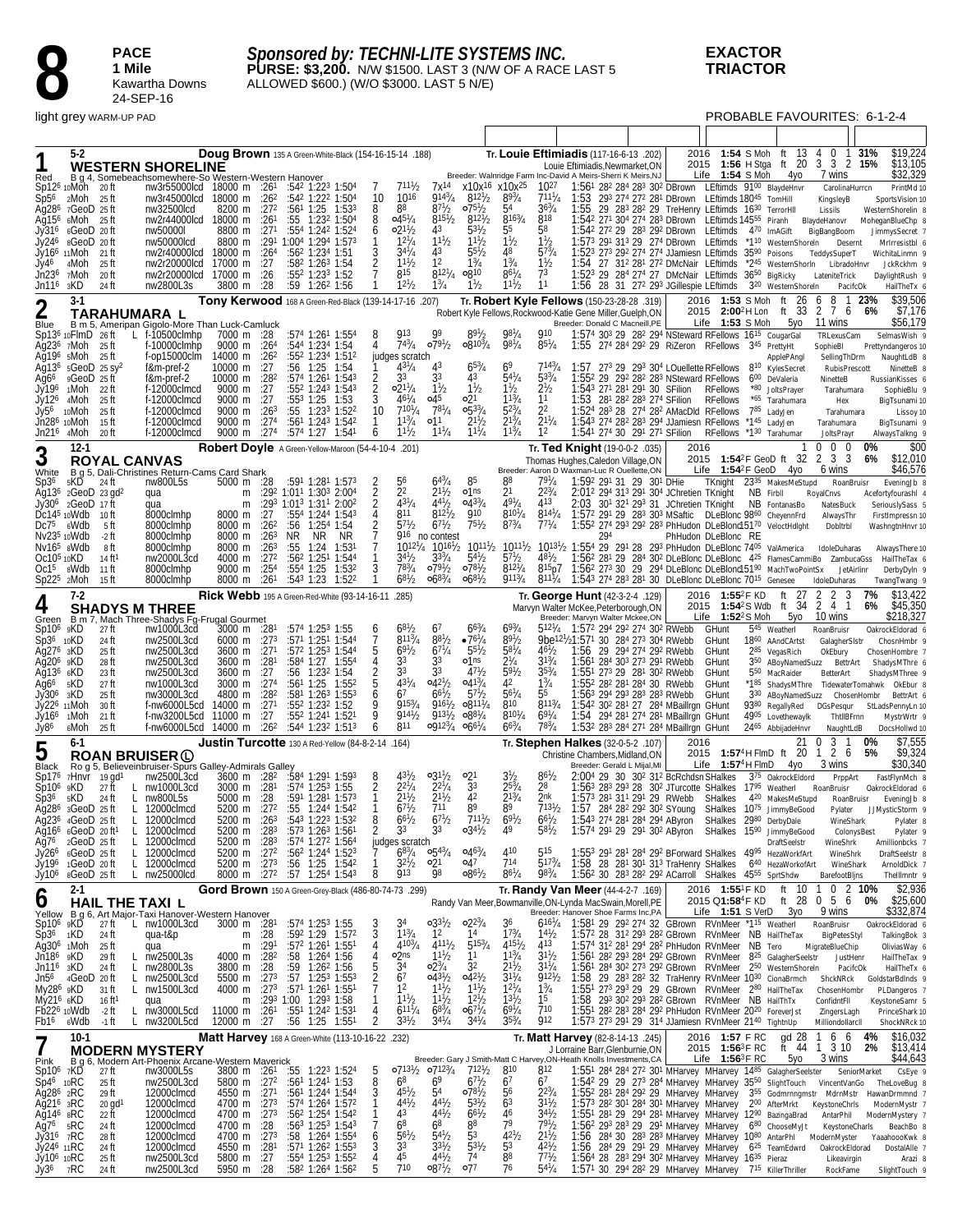

#### *Sponsored by: TECHNI-LITE SYSTEMS INC.* **PURSE: \$3,200.** N/W \$1500. LAST 3 (N/W OF A RACE LAST 5 ALLOWED \$600.) (W/O \$3000. LAST 5 N/E)

PROBABLE FAVOURITES: 6-1-2-4

| Red                                                                                                                                                                                                                  | $5-2$                                                                                                                                                                                    |                                                                                                            | <b>WESTERN SHORELINE</b><br>B g 4, Somebeachsomewhere-So Western-Western Hanover<br>Moh 20 ft mw3r55000lcd 18000 m :261 :542 1:223 1:504                                                                                | Doug Brown 135 A Green-White-Black (154-16-15-14 .188)                                                                                                                                                                             |                                                 |                                                                                                                                                                                                                                                                                                                                                  |                            |                                                                                     |                                                                                                                                           |                                                                                                                                                                  |                                                                                                                                                                         | Tr. Louie Eftimiadis (117-16-6-13 .202)<br>Breeder: Walnridge Farm Inc-David A Meirs-Sherri K Meirs, NJ                                                                                         |                                                                                                                                                    | Louie Eftimiadis, Newmarket, ON                                                                                    |     |                             |                                                                                                                                                                                                                                                                                                                                                                                                                                                                                                                                                                                                  | 2016 1:54 S Moh ft 13<br>Life $1:54$ S Moh                                          | 4yo                                                                                                                     | 4 0 1 31%<br>2015 1:56 H Stga ft 20 3 3 2 15%<br>7 wins                                                                                                                                                                                                                                                                                                                                             |                                                                            | \$19,224<br>\$13,105<br>\$32,329                                                                                                                                                                                                  |
|----------------------------------------------------------------------------------------------------------------------------------------------------------------------------------------------------------------------|------------------------------------------------------------------------------------------------------------------------------------------------------------------------------------------|------------------------------------------------------------------------------------------------------------|-------------------------------------------------------------------------------------------------------------------------------------------------------------------------------------------------------------------------|------------------------------------------------------------------------------------------------------------------------------------------------------------------------------------------------------------------------------------|-------------------------------------------------|--------------------------------------------------------------------------------------------------------------------------------------------------------------------------------------------------------------------------------------------------------------------------------------------------------------------------------------------------|----------------------------|-------------------------------------------------------------------------------------|-------------------------------------------------------------------------------------------------------------------------------------------|------------------------------------------------------------------------------------------------------------------------------------------------------------------|-------------------------------------------------------------------------------------------------------------------------------------------------------------------------|-------------------------------------------------------------------------------------------------------------------------------------------------------------------------------------------------|----------------------------------------------------------------------------------------------------------------------------------------------------|--------------------------------------------------------------------------------------------------------------------|-----|-----------------------------|--------------------------------------------------------------------------------------------------------------------------------------------------------------------------------------------------------------------------------------------------------------------------------------------------------------------------------------------------------------------------------------------------------------------------------------------------------------------------------------------------------------------------------------------------------------------------------------------------|-------------------------------------------------------------------------------------|-------------------------------------------------------------------------------------------------------------------------|-----------------------------------------------------------------------------------------------------------------------------------------------------------------------------------------------------------------------------------------------------------------------------------------------------------------------------------------------------------------------------------------------------|----------------------------------------------------------------------------|-----------------------------------------------------------------------------------------------------------------------------------------------------------------------------------------------------------------------------------|
| Sp12 <sup>6</sup><br>Sp5 <sup>6</sup><br>Jy31°<br>Jy246<br>Jy46<br>Jn236<br>Jn116                                                                                                                                    | 10Moh 20 ft<br>$2M$ oh $25$ ft<br>Ag28 <sup>6</sup> 7GeoD 25ft<br>Ag15 <sup>6</sup> 6Moh 25 ft<br>$6 \text{Geo}$ D 20 ft<br>8GeoD 20ft<br>Jy16 <sup>6</sup> 11Moh<br>4Moh<br>7Moh<br>зKD | 21 ft<br>25 ft<br>20 ft<br>24 ft                                                                           | nw3r45000lcd 18000 m :26 <sup>2</sup><br>nw32500lcd<br>nw2r44000lcd 18000 m :261<br>nw50000l<br>nw50000lcd<br>nw2r40000lcd 18000 m :264<br>nw2r20000lcd<br>nw2r20000lcd<br>nw2800L3s                                    | 8200 m :27 <sup>2</sup><br>8800 m :27 <sup>1</sup><br>8800 m : 291 1:004 1:294 1:573<br>17000 m<br>17000 m<br>3800 m :28                                                                                                           | :27<br>:26                                      | :542 1:222 1:504<br>$:56^1$ 1:25 1:53 <sup>3</sup><br>:55<br>:554 1:242 1:524<br>:562 1:234 1:51<br>:58 <sup>2</sup> 1:26 <sup>3</sup> 1:54<br>:552 1:233 1:52<br>$:59$ 1:26 <sup>2</sup> 1:56                                                                                                                                                   | 1:232 1:504                | 10<br>8<br>8<br>6<br>3                                                              | $711\frac{1}{2}$<br>1016<br>88<br>$045^{1}/4$<br>$02^{11}/2$<br>$12^{1}/4$<br>$34\frac{1}{4}$<br>$1^{11}h$<br>815<br>$12^{1}/2$           | 7x <sup>14</sup><br>$9^{143}/4$<br>$8^{71}/2$<br>$8^{15\frac{1}{2}}$<br>43<br>$11^{1}/2$<br>43<br>1 <sup>2</sup><br>$812^{1}/_{4}$<br>$1\frac{3}{4}$             | $8^{121}/2$<br>$075\frac{1}{2}$<br>$8^{12}$ <sup>1</sup> / <sub>2</sub><br>$5^{31}/2$<br>$11\frac{1}{2}$<br>$55\frac{1}{2}$<br>$1\frac{3}{4}$<br>∘810<br>$1\frac{1}{2}$ | x10x <sup>16</sup> x10x <sup>25</sup><br>$8^{93}/4$<br>54<br>$816^{3}/_{4}$<br>55<br>$1\frac{1}{2}$<br>48<br>$1\frac{3}{4}$<br>$86^{1}/4$<br>$11\frac{1}{2}$                                    | 1027<br>$7^{111}/_4$<br>$36^{3}/4$<br>818<br>58<br>$1\frac{1}{2}$<br>$57\frac{3}{4}$<br>$1\frac{1}{2}$<br>73<br>11                                 | 1:53                                                                                                               |     |                             | 1:561 282 284 283 302 DBrown LEftimds 9100 BlaydeHnvr<br>293 274 272 281 DBrown LEftimds 18045 TomHill<br>1:55 29 283 282 29 TreHenry LEftimds 1630 TerrorHII<br>1:542 272 29 283 292 DBrown LEftimds 470 ImAGift<br>1:573 291 313 29 274 DBrown LEftimds *110 WesternShoreIn<br>1:523 273 292 274 274 JJamiesn LEftimds 3590 Poisons<br>1:54 27 31 <sup>2</sup> 28 <sup>1</sup> 27 <sup>2</sup> DMcNair LEftimds *2 <sup>45</sup> WesternShorIn<br>1:523 29 284 274 27 DMcNair LEftimds 36 <sup>50</sup> BigRicky<br>1:56 28 31 272 293 JGillespie LEftimds 320 WesternShoreIn                  |                                                                                     |                                                                                                                         | KingsleyB<br>Lissils<br>1:542 271 304 274 283 DBrown LEftimds 14555 Piranh BlaydeHanovr<br>BigBangBoom<br>TeddysSuperT<br>LateniteTrick                                                                                                                                                                                                                                                             | CarolinaHurrcn<br>Desernt<br>LibradoHnvr<br>PacifcOk                       | PrintMd 10<br>SportsVision 10<br>WesternShorelin &<br>MoheganBlueChp &<br>JimmysSecret 7<br>MrIrresistbl 6<br>WichitaLinmn 9<br>JckRckhm 9<br>DaylightRush 9<br>HailTheTx 6                                                       |
|                                                                                                                                                                                                                      | $3-1$                                                                                                                                                                                    |                                                                                                            | TARAHUMARA L                                                                                                                                                                                                            | Tony Kerwood 168 A Green-Red-Black (139-14-17-16 .207)                                                                                                                                                                             |                                                 |                                                                                                                                                                                                                                                                                                                                                  |                            |                                                                                     |                                                                                                                                           |                                                                                                                                                                  |                                                                                                                                                                         | Tr. Robert Kyle Fellows (150-23-28-28 .319)<br>Robert Kyle Fellows, Rockwood-Katie Gene Miller, Guelph, ON                                                                                      |                                                                                                                                                    |                                                                                                                    |     |                             |                                                                                                                                                                                                                                                                                                                                                                                                                                                                                                                                                                                                  | 2016 1:53 S Moh ft<br>2015 2:00 <sup>2</sup> H Lon                                  | ft 33                                                                                                                   | 8<br>26<br>6<br>76<br>2                                                                                                                                                                                                                                                                                                                                                                             | $\overline{1}$<br>23%                                                      | \$39,506<br>\$7,176<br>6%                                                                                                                                                                                                         |
| Blue<br>Ag6 <sup>6</sup><br>Jy196<br>Jy126<br>Jy56                                                                                                                                                                   | $Sp136$ 10 Flm $D$ 26 ft<br>Ag23 <sup>6</sup> 7Moh 25 ft<br>$Aq196$ sMoh 25 ft<br>Ag13 <sup>6</sup> $5GeoD$ 25 sy <sup>2</sup><br>9GeoD 25 ft<br>1Moh<br>4Moh<br>10Moh                   | -22 ft<br>25 ft<br>25 ft                                                                                   | B m 5, Ameripan Gigolo-More Than Luck-Camluck<br>$L$ f-10500clmhp<br>f-10000clmhp<br>f-op15000clm<br>f&m-pref-2<br>f&m-pref-2<br>f-12000clmcd<br>f-12000clmcd<br>f-12000clmcd                                           | 7000 m :28<br>9000 m : 264<br>14000 m :26 <sup>2</sup><br>10000 m :27<br>10000 m :282<br>9000 m<br>9000 m :27<br>9000 m $:263$                                                                                                     | :27                                             | :574 1:261 1:554<br>:544 1:234 1:54<br>:552 1:234 1:512<br>:56 1:25 1:54<br>:574 1:261 1:543<br>$:55^2$ 1:24 <sup>3</sup> 1:54 <sup>3</sup><br>:553 1:25 1:53<br>:55                                                                                                                                                                             | 1:233 1:522                | 8<br>2<br>$\overline{2}$<br>10                                                      | <b>913</b><br>$74^{3}/_{4}$<br>judges scratch<br>$43^{1}/_{4}$<br>33<br>$02^{11}/4$<br>$46^{1}/_{4}$<br>$710^{1}/_{4}$<br>$1^{13}/4$      | <b>Q</b> 9<br>$079^{1/2}$<br>43<br>33<br>$1\frac{1}{2}$<br>045<br>$78^{1}/_{4}$<br>01 <sup>1</sup>                                                               | $89\frac{1}{2}$<br>$0.810^{3}/_{4}$<br>$65\frac{3}{4}$<br>43<br>$1\frac{1}{2}$<br>21ه<br>$0.53^{3}/4$<br>$2^{11}/2$                                                     | $98^{1}/4$<br>$98^{1}/4$<br>69<br>$54^{1}/4$<br>$1\frac{1}{2}$<br>$1^{13}/4$<br>$52^{3}/4$                                                                                                      | 910<br>$85^{1}/4$<br>7143/4<br>$5^{33}/4$<br>$2\frac{1}{2}$<br>11<br>22<br>$2^{11}/4$                                                              | Breeder: Donald C Macneill, PE                                                                                     |     |                             | 1:574 303 29 282 294 NSteward RFellows 1615 CougarGal<br>1:55 274 284 292 29 RiZeron RFellows 345 PrettyHt<br>1:57 273 29 293 304 LOuellette RFellows 810 KylesSecret<br>1:552 29 292 282 283 NSteward RFellows<br>1:543 271 281 291 30 SFilion<br>1:53 281 282 283 274 SFilion<br>1:524 283 28 274 282 AMacDld RFellows                                                                                                                                                                                                                                                                         | Life $1:53$ S Moh<br>RFellows<br><b>RFellows</b>                                    | 5уо<br>ApplePAngl<br>600 DeValeria<br>*80 JoltsPrayer<br>*65 Tarahumara<br>785 LadyJen                                  | 11 wins<br>TRLexusCam<br>SophieBI<br>NinetteB<br>Hex                                                                                                                                                                                                                                                                                                                                                | SellingThDrm<br>RubisPrescott<br>Tarahumara<br>Tarahumara                  | \$56,179<br>SelmasWish 9<br>Prettyndangeros 10<br>NaughtLdB 8<br>NinetteB &<br>RussianKisses 6<br>SophieBlu 9<br>BigTsunami 10<br>Lissoy 10                                                                                       |
| Jn216                                                                                                                                                                                                                | Jn286 10Moh<br>4Moh                                                                                                                                                                      | 15 ft<br>20 ft                                                                                             | f-12000clmcd<br>f-12000clmcd                                                                                                                                                                                            | 9000 m<br>9000 m                                                                                                                                                                                                                   | :27 <sup>4</sup><br>:274                        | $:56^1$ 1:24 <sup>3</sup> 1:54 <sup>2</sup><br>:574 1:27 1:541                                                                                                                                                                                                                                                                                   |                            | 6                                                                                   | $11^{1}/_{2}$                                                                                                                             | $11^{1}/_{4}$                                                                                                                                                    | $11^{1}/4$                                                                                                                                                              | $2^{13}/4$<br>$1^{13}/4$                                                                                                                                                                        | 12                                                                                                                                                 |                                                                                                                    |     |                             | 1:543 274 282 283 294 JJamiesn RFellows *145 LadyJen<br>1:541 274 30 291 271 SFilion                                                                                                                                                                                                                                                                                                                                                                                                                                                                                                             | RFellows                                                                            | *1 <sup>30</sup> Tarahumar                                                                                              | Tarahumara<br>JoltsPrayr                                                                                                                                                                                                                                                                                                                                                                            |                                                                            | BigTsunami 9<br>AlwaysTalkng 9                                                                                                                                                                                                    |
| $\mathbf 3$<br>White<br>Sp36                                                                                                                                                                                         | $12-1$<br>5KD                                                                                                                                                                            | <b>ROYAL CANVAS</b><br>24 II                                                                               | B g 5, Dali-Christines Return-Cams Card Shark<br>nw800L5s                                                                                                                                                               | Robert Doyle A Green-Yellow-Maroon (54-4-10-4 .201)<br>5000 m :28                                                                                                                                                                  |                                                 | :591 1:281 1:573<br>:292 1:01 <sup>1</sup> 1:30 <sup>3</sup> 2:00 <sup>4</sup>                                                                                                                                                                                                                                                                   |                            | $\frac{2}{2}$                                                                       | 56<br>2 <sup>2</sup>                                                                                                                      | $64^{3}/_{4}$<br>$2^{11}/2$                                                                                                                                      | 85<br>o1ns                                                                                                                                                              | 88<br>2 <sup>1</sup>                                                                                                                                                                            | $79^{1}/4$<br>$2^{23}/4$                                                                                                                           | Tr. Ted Knight (19-0-0-2 .035)<br>Thomas Hughes, Caledon Village, ON<br>Breeder: Aaron D Waxman-Luc R Ouellette,ON |     | 1:592 291 31 29 301 DHie    | 2:01 <sup>2</sup> 29 <sup>4</sup> 31 <sup>3</sup> 29 <sup>1</sup> 30 <sup>4</sup> JChretien TKnight                                                                                                                                                                                                                                                                                                                                                                                                                                                                                              | 2016<br>Life $1:54^2F$ GeoD                                                         | 4yo<br>TKnight 2335 MakesMeStupd                                                                                        | $\mathbf 0$<br>0<br>2015 1:54 <sup>2</sup> F GeoD ft 32 2 3 3<br>6 wins                                                                                                                                                                                                                                                                                                                             | 0<br>RoanBruisr                                                            | \$00<br>0%<br>\$12,010<br>6%<br>\$46,576<br>EveningJb 8                                                                                                                                                                           |
| Jy306<br>Dc7 <sup>5</sup>                                                                                                                                                                                            | $2$ GeoD $17$ ft<br>$Dc145$ 10 Wdb<br>6Wdb<br>Nv235 10Wdb                                                                                                                                | Ag13 <sup>6</sup> $2$ GeoD $23$ gd <sup>2</sup><br>10 ft<br>5 ft<br>-2 ft                                  | qua<br>qua<br>8000clmhp<br>8000clmhp<br>8000clmhp                                                                                                                                                                       | m<br>m<br>8000 m<br>8000 m<br>8000 m                                                                                                                                                                                               | :27<br>:26 <sup>2</sup><br>:26 <sup>3</sup>     | :293 1:013 1:311 2:002<br>:554 1:244 1:543<br>:56 1:254 1:54<br>NR.<br>NR                                                                                                                                                                                                                                                                        | -NR                        |                                                                                     | $43^{1}/4$<br>811<br>$5^{71}$ /2                                                                                                          | $44\frac{1}{2}$<br>$812\frac{1}{2}$<br>$67\frac{1}{2}$<br>916 no contest                                                                                         | $0.43^{3}/4$<br>910<br>$75\frac{1}{2}$                                                                                                                                  | $49^{1}/4$<br>$8^{10^{1}/4}$<br>$8^{73}/4$                                                                                                                                                      | 413<br>$814^{1}/_{4}$<br>$7^{71}/4$                                                                                                                |                                                                                                                    | 294 |                             | 2:03 301 321 293 31 JChretien TKnight<br>1:572 291 29 283 303 MSaftic DLeBlonc 9860 CheyennFrd<br>1:552 274 293 292 283 PhHudon DLeBlonc15170 VeloctHdlght                                                                                                                                                                                                                                                                                                                                                                                                                                       | PhHudon DLeBlonc RE                                                                 | NB Firbll<br>NB FontanasBo                                                                                              | RoyalCnvs<br>NatesBuck<br>AlwaysThr<br>Dobltrbl                                                                                                                                                                                                                                                                                                                                                     |                                                                            | Acefortyfourashl 4<br>SeriouslySass 5<br>FirstImpressn 10<br>WashngtnHnvr 10                                                                                                                                                      |
| $Oc105$ 10KD<br>$Sp225$ 2Moh                                                                                                                                                                                         | Nv16 <sup>5</sup> sWdb<br>$Oc15$ $8Wdb$<br>7-2                                                                                                                                           | 8 ft<br>14 ft <sup>1</sup><br>11 ft<br>15 ft                                                               | 8000clmhp<br>nw2000L3cd<br>8000clmhp<br>8000clmhp                                                                                                                                                                       | 8000 m :263<br>4000 m<br>9000 m<br>8000 m<br>Rick Webb 195 A Green-Red-White (93-14-16-11 .285)                                                                                                                                    | $:27^2$<br>:254<br>:261                         | :55<br>:56 <sup>2</sup> 1:25 <sup>1</sup> 1:544<br>$:554$ 1:25<br>:543 1:23 1:522                                                                                                                                                                                                                                                                | 1:24 1:531<br>1:532        | 3                                                                                   | $10^{12}\%$<br>34½<br>783/4<br>$68^{1}/_{2}$                                                                                              | $10^{16}$ <sup>1</sup> / <sub>2</sub><br>$3^{33}$ /4<br>$079^{1/2}$<br>$068^{3}/_{4}$                                                                            | $10^{11}$ <sup>1</sup> / <sub>2</sub><br>$5^{41}/2$<br>$078\frac{1}{2}$<br>$068\frac{1}{2}$                                                                             | 57 <sub>b</sub><br>$8^{12^{1}/4}$<br>$911^{3}/_{4}$                                                                                                                                             | $48^{1}/_{2}$<br>$8^{117}/4$                                                                                                                       | Tr. George Hunt (42-3-2-4 .129)                                                                                    |     |                             | 10111/2 10131/2 1:554 29 291 28 293 PhHudon DLeBlonc 7405 ValAmerica<br>815p7 1:562 273 30 29 294 DLeBlonc DLeBlonc15190 MachTwoPointSx<br>1:543 274 283 281 30 DLeBlonc DLeBlonc 7015 Genesee                                                                                                                                                                                                                                                                                                                                                                                                   | 2016 1:55 <sup>2</sup> F KD                                                         | ft $27$                                                                                                                 | IdoleDuharas<br>$1:562$ 28 <sup>1</sup> 29 28 <sup>4</sup> 30 <sup>2</sup> DLeBlonc DLeBlonc $425$ FlamesCammiBo ZambucaGss<br>IdoleDuharas<br>2<br>2                                                                                                                                                                                                                                               | JetAirlinr<br>3                                                            | Always There 10<br>HailTheTax 6<br>DerbyDyIn 9<br>TwangTwang 9<br>\$13,422<br>7%                                                                                                                                                  |
| 4                                                                                                                                                                                                                    |                                                                                                                                                                                          |                                                                                                            | <b>SHADYS M THREE</b>                                                                                                                                                                                                   |                                                                                                                                                                                                                                    |                                                 |                                                                                                                                                                                                                                                                                                                                                  |                            |                                                                                     |                                                                                                                                           |                                                                                                                                                                  |                                                                                                                                                                         |                                                                                                                                                                                                 |                                                                                                                                                    | Marvyn Walter McKee, Peterborough, ON<br>Breeder: Marvyn Walter Mckee,ON                                           |     |                             |                                                                                                                                                                                                                                                                                                                                                                                                                                                                                                                                                                                                  | 2015 1:54 <sup>2</sup> S Wdb<br>Life $1:52^2S$ Moh                                  | ft 34<br>5уо                                                                                                            | 2 4 1<br>10 wins                                                                                                                                                                                                                                                                                                                                                                                    |                                                                            | \$45,350<br>6%<br>\$218,327                                                                                                                                                                                                       |
| $Sp106$ $gKD$<br>Sp36 10KD<br>Ag27 <sup>6</sup> 3KD<br>Ağ20 <sup>6</sup> 9KD<br>Ag13 <sup>6</sup> 6KD<br>Ag6 <sup>6</sup><br>Jy306 3KD<br>Jy166<br>Jy86                                                              | 5KD<br>Jy226 11Moh<br>1Moh<br>ہMoh                                                                                                                                                       | 27 ft<br>24 ft<br>25 ft<br>28 ft<br>23 ft<br>27 ft<br>25 ft<br>30 ft<br>21 ft<br>25 ft                     | Green B m 7, Mach Three-Shadys Fg-Frugal Gourmet<br>nw1000L3cd<br>nw2500L3cd<br>nw2500L3cd<br>nw2500L3cd<br>nw2500L3cd<br>nw1000L3cd<br>nw3000L3cd<br>f-nw6000L5cd 14000 m :271<br>f-nw3200L5cd<br>f-nw6000L5cd 14000 m | 3000 m :281<br>6000 m :273<br>$3600 \text{ m}$ :27 <sup>1</sup><br>3600 m :281<br>3600 m :27<br>3000 m :27 <sup>4</sup><br>4800 m<br>11000 m                                                                                       | :282<br>:27<br>:26 <sup>2</sup>                 | :574 1:253 1:55<br>:571 1:251 1:544<br>:572 1:253 1:544<br>:584 1:27 1:554<br>:56 1:232 1:54<br>:56 <sup>1</sup> 1:25 1:55 <sup>2</sup><br>:581 1:263 1:553<br>:552 1:232 1:52<br>:552 1:241 1:521<br>:544 1:232 1:513                                                                                                                           |                            | 6<br>7<br>5<br>b<br>q<br>6                                                          | $68^{1}/_{2}$<br>$811^{3}/_{4}$<br>$69^{1}/_{2}$<br>33<br>33<br>$4^{31}/4$<br>67<br>$915\frac{3}{4}$<br>$914\frac{1}{2}$<br>811           | 67<br>$8^{81}/_2$<br>$67^{1}/4$<br>33<br>33<br>$0.4^{21}/2$<br>$66\frac{1}{2}$<br>$916^{1}/_{2}$<br>9131/2<br>0.9123/40661/4                                     | $66\frac{3}{4}$<br>$-76\frac{1}{4}$<br>$5^{51}/2$<br>o1ns<br>$47\frac{1}{2}$<br>$0.41^{3}/_{4}$<br>$57\frac{1}{2}$<br>$0.811^{1}/_{4}$<br>$0.88^{1/4}$                  | 693/4<br>$89^{1}/2$<br>$5^{81}/4$<br>$2^{1/4}$<br>$59\frac{1}{2}$<br>42<br>$56^{1}/4$<br>810<br>$8^{101}/4$<br>$66^{3}/4$                                                                       | $512^{1}/_{4}$<br>$46\frac{1}{2}$<br>$31^{3}/4$<br>$35^{3}/4$<br>$1\frac{3}{4}$<br>55<br>$811^{3}/_{4}$<br>$69^{1}/4$<br>783/4                     | 9be <sup>121</sup> /21:571 30 284 273 304 RWebb                                                                    |     |                             | 1:572 294 292 274 302 RWebb<br>1:56 29 294 274 292 RWebb<br>1:56 <sup>1</sup> 284 30 <sup>3</sup> 27 <sup>3</sup> 29 <sup>1</sup> RWebb<br>1:551 273 29 281 302 RWebb<br>1:55 <sup>2</sup> 28 <sup>2</sup> 28 <sup>1</sup> 28 <sup>4</sup> 30 RWebb<br>1:563 294 293 283 283 RWebb<br>1:542 302 281 27 284 MBaillrgn GHunt<br>1:54 294 281 274 281 MBaillrgn GHunt<br>1:53 <sup>2</sup> 28 <sup>3</sup> 284 271 284 MBaillrgn GHunt                                                                                                                                                              | GHunt<br>GHunt<br>GHunt<br>GHunt<br>GHunt<br>GHunt<br>GHunt                         | 545 Weatherl<br>1860 AAndCArtst<br>285 VegasRich<br>5 <sup>50</sup> MacRaider<br>4905 Lovethewaylk<br>2465 AbbijadeHnvr | RoanBruisr<br>GalagherSIstr<br>OkEbury<br>350 ABoyNamedSuzz BettrArt<br>BetterArt<br>330 ABoyNamedSuzz ChosenHombr<br>9380 RegallyRed DGsPesqur                                                                                                                                                                                                                                                     | ThtIIBFrnn<br>NaughtLdB                                                    | OakrockEldorad 6<br>ChosnHmbr 9<br>ChosenHombre 7<br>ShadysMThre 6<br>ShadysMThree 9<br>*185 ShadysMThre TidewaterTomahwk OkEbur 8<br>BettrArt 6<br>StLadsPennyLn 10<br>MystrWrtr 9<br>DocsHollwd 10                              |
| 5                                                                                                                                                                                                                    | $6 - 1$                                                                                                                                                                                  |                                                                                                            | <b>ROAN BRUISER (L)</b>                                                                                                                                                                                                 | <b>Justin Turcotte</b> 130 A Red-Yellow (84-8-2-14 .164)                                                                                                                                                                           |                                                 |                                                                                                                                                                                                                                                                                                                                                  |                            |                                                                                     |                                                                                                                                           |                                                                                                                                                                  |                                                                                                                                                                         |                                                                                                                                                                                                 |                                                                                                                                                    | Tr. Stephen Halkes (32-0-5-2 .107)<br>Christine Chambers.Midland.ON                                                |     |                             |                                                                                                                                                                                                                                                                                                                                                                                                                                                                                                                                                                                                  | 2016<br>2015 1:57 <sup>4</sup> H FlmD ft 20                                         |                                                                                                                         | 21<br>0<br>3<br>$2\overline{6}$<br>$\mathbf{1}$                                                                                                                                                                                                                                                                                                                                                     |                                                                            | \$7,555<br>0%<br>\$9,324<br>5%                                                                                                                                                                                                    |
| Black<br>Sp17 <sup>6</sup><br>Sp10 <sup>6</sup><br>Sp36<br>Aq16 <sup>6</sup><br>Aq76<br>Jy26 <sup>6</sup><br>Jy196                                                                                                   | 9KD.<br>5KD<br>$Aq286$ 3GeoD 25 ft<br>Ag2 $36$ 4GeoD 25 ft<br>6GeoD 20 ft <sup>1</sup><br>$2 \text{Geob}$ 25 ft<br>$6$ GeoD $25$ ft<br>1GeoD 20ft                                        | 7Hnvr 19 gd <sup>1</sup><br>27 ft<br>L<br>24 ft<br>L.<br>L<br>L<br>L<br>L                                  | Ro g 5, Believeinbruiser-Spurs Galley-Admirals Galley<br>nw2500L3cd<br>nw1000L3cd<br>nw800L5s<br>12000clmcd<br>L 12000clmcd<br>12000clmcd<br>12000clmcd<br>12000clmcd<br>L 12000clmcd                                   | 3600 m :28 <sup>2</sup><br>$3000 \text{ m}$ :28 <sup>1</sup><br>5000 m :28<br>5200 m $:272$<br>5200 m $:263$<br>5200 m :283<br>5200 m $:283$<br>5200 m $:272$<br>5200 m :273                                                       |                                                 | :584 1:291 1:593<br>$:574$ 1:25 <sup>3</sup> 1:55<br>:591 1:281 1:573<br>:55 1:244 1:542<br>:543 1:223 1:532<br>:573 1:263 1:561<br>:574 1:272 1:564<br>$:562 1:244 1:523$<br>:56 1:25 1:542                                                                                                                                                     |                            | 8<br>8                                                                              | $4^{31}/2$<br>$2^{21}$ /4<br>$2^{11}h$<br>$6^{71}h$<br>$66^{1}/2$<br>33<br>judges scratch<br>$6^{83/4}$<br>32 <sup>1</sup> / <sub>2</sub> | $03^{11}/2$<br>$2^{2^{1}/4}$<br>$2^{11}/2$<br>711<br>$67^{1}/2$<br>33<br>$0.54^{3}/4$<br>21ه                                                                     | 21ه<br>33<br>42<br>8 <sup>9</sup><br>$7^{111}$<br>$03^{4}$<br>$0.46^{3}/4$<br>o47                                                                                       | $3\frac{1}{2}$<br>$2^{53}/_4$<br>$2^{13}/4$<br>R <sup>9</sup><br>691/2<br>410<br>714                                                                                                            | $8^{6}$ <sup>1</sup> / <sub>2</sub><br>28<br>2nk<br>7131/2<br>$6^{61}/2$<br>58 /2<br>515<br>$517^{3}/_{4}$                                         |                                                                                                                    |     | Breeder: Gerald L Mijal, MI | 2:004 29 30 30 <sup>2</sup> 31 <sup>2</sup> BcRchdsn SHalkes<br>$1:563$ 28 <sup>3</sup> 29 <sup>3</sup> 28 30 <sup>2</sup> JTurcotte SHalkes 17 <sup>95</sup> Weatherl<br>1:573 281 311 291 29 RWebb<br>1:57 284 282 292 302 SYoung SHalkes 1075 JimmyBeGood<br>1:543 274 281 284 294 AByron SHalkes 2980 DerbyDale<br>1:574 291 29 291 302 AByron SHalkes 1590 JimmyBeGood<br>1:553 291 281 284 292 BForward SHalkes 4995 HezaWorkfArt<br>1:58 28 281 301 313 TraHenry SHalkes 640 HezaWorkofArt                                                                                                | Life $1:57^4$ H FlmD<br>SHalkes                                                     | 4γο<br>375 OakrockEldord<br>420 MakesMeStupd<br>DraftSeelstr                                                            | 3 wins<br>RoanBruisr<br>Pylater<br>WineShrk                                                                                                                                                                                                                                                                                                                                                         | PrppArt<br>RoanBruisr<br>WineShark<br>ColonysBest<br>WineShrk<br>WineShark | \$30,340<br>FastFlynMch 8<br>OakrockEldorad 6<br>EveningJb 8<br>JJMysticStorm 9<br>Pylater 8<br>Pylater 9<br>Amillionbcks 7<br>DraftSeelstr &<br>ArnoldDick 7                                                                     |
| Jy106                                                                                                                                                                                                                | 8GeoD 25ft                                                                                                                                                                               |                                                                                                            | $L$ nw25000 $cd$                                                                                                                                                                                                        | 8000 m :27 <sup>2</sup> :57 1:25 <sup>4</sup> 1:54 <sup>3</sup>                                                                                                                                                                    |                                                 |                                                                                                                                                                                                                                                                                                                                                  |                            | 8                                                                                   | 913                                                                                                                                       | 98                                                                                                                                                               | $08^{61}/2$                                                                                                                                                             | $8^{6^{1}/4}$                                                                                                                                                                                   | 983/4                                                                                                                                              |                                                                                                                    |     |                             | 1:56 <sup>2</sup> 30 28 <sup>3</sup> 28 <sup>2</sup> 29 <sup>2</sup> ACarroll SHalkes 45 <sup>55</sup> SprtShdw                                                                                                                                                                                                                                                                                                                                                                                                                                                                                  |                                                                                     |                                                                                                                         | BarefootBljns                                                                                                                                                                                                                                                                                                                                                                                       |                                                                            | Thelllmntr 9                                                                                                                                                                                                                      |
| O<br>$Sp106$ $9K\overline{D}$<br>$Sp36 \t1KD$<br>Jn186 9KD<br>$Jn116$ $3KD$<br>My286 9KD<br>My21 <sup>6</sup> 6KD<br>Fb16                                                                                            | $2 - 1$<br>$Ag306$ 1Moh<br>Jn5 <sup>6</sup> 4GeoD 20 ft<br>Fb22 <sup>6</sup> 10Wdb<br>ہWdb                                                                                               | 27 ft<br>24 ft<br>25 ft<br>29 ft<br>L<br>24 ft<br>L<br>31 ft<br>16 ft <sup>1</sup><br>-2 ft<br>-1 ft<br>L. | <b>HAIL THE TAXI L</b><br>Yellow B g 6, Art Major-Taxi Hanover-Western Hanover<br>L nw1000L3cd<br>qua-t&p<br>qua<br>nw2500L3s<br>L nw2800L3s<br>nw2500L3cd<br>L nw1500L3cd<br>qua<br>L nw3000L5cd<br>nw3200L5cd         | Gord Brown 150 A Green-Grey-Black (486-80-74-73 .299)<br>3000 m :281<br>m<br>4000 m<br>3800 m<br>5500 m $:273$<br>4000 m :273<br>m<br>11000 m :26 <sup>1</sup> :55 <sup>1</sup> 1:24 <sup>2</sup> 1:53 <sup>1</sup><br>12000 m :27 | $m \quad 28$<br>:291<br>:28 <sup>2</sup><br>:28 | :574 1:253 1:55<br>:592 1:29 1:572<br>:572 1:26 <sup>1</sup> 1:551<br>$:58$ 1:264 1:56<br>:59 1:26 <sup>2</sup> 1:56<br>:57<br>:571 1:261 1:551<br>:293 1:00 1:293 1:58<br>:56 1:25 1:551                                                                                                                                                        | $1:25^3$ 1:55 <sup>3</sup> | 3<br>$\overline{4}$<br>4<br>5<br>$\overline{a}$<br>$\overline{4}$<br>$\overline{2}$ | 34<br>$1^{13}/4$<br>$4^{103}/_4$<br>o2ns<br>34<br>67<br>12<br>$11^{1}/2$<br>$6^{111}/4$<br>$3^{31}/2$                                     | $03^{31}/2$<br>12<br>$4^{111}/2$<br>$11^{1/2}$<br>$02^{3}/4$<br>$04^{31}/2$<br>$11^{1}/2$<br>$11^{1}/2$<br>$6^{83}/4$<br>$3^{4^{1}}/4$                           | $02^{23}/4$<br>14<br>$5^{153}/4$<br>11<br>32<br>$\frac{64^{21}}{1^{11}}$<br>$12^{1/2}$<br>$06^{71}/4$<br>$34^{1}/4$                                                     | Randy Van Meer, Bowmanville, ON-Lynda MacSwain, Morell, PE<br>36<br>$1^{73}/4$<br>$4^{151}/2$<br>$1^{13}/4$<br>$2^{11}/2$<br>$3^{11}/4$<br>$12^{1}/4$<br>$13^{1}/2$<br>$6^{91}/4$<br>$35^{3}/4$ | $6^{16}$ <sup>/</sup> / <sub>4</sub><br>14 <sub>2</sub><br>413<br>$3^{11}/2$<br>$31^{1}/4$<br>$912^{1}/_{2}$<br>$1\frac{3}{4}$<br>15<br>710<br>912 | Tr. Randy Van Meer (44-4-2-7 .169)<br>Breeder: Hanover Shoe Farms Inc, PA                                          |     |                             | 1:581 29 292 274 32 GBrown RVnMeer *115 Weatherl<br>1:572 28 312 293 282 GBrown RVnMeer NB HailTheTax<br>1:574 312 281 294 282 PhHudon RVnMeer NB Tero<br>1:561 282 293 284 292 GBrown RVnMeer 825 GalagherSeelstr<br>1:561 284 302 273 292 GBrown RVnMeer 250 WesternShoreIn<br>1:58 29 28 <sup>3</sup> 28 <sup>2</sup> 32 TraHenry RVnMeer 10 <sup>30</sup> CionaBrmch<br>1:551 273 293 29 29 GBrown RVnMeer 280 HailTheTax<br>1:58 293 302 293 282 GBrown RVnMeer NB HailThTx<br>1:551 282 283 284 292 PhHudon RVnMeer 2020 ForeverJst<br>1:573 273 291 29 314 JJamiesn RVnMeer 2140 TightnUp | 2016 1:55 <sup>1</sup> F KD<br>2015 Q1:58 <sup>4</sup> F KD<br>Life 1:51 S VerD 3yo | ft 10                                                                                                                   | -1<br>ft 28 0 5 6<br>9 wins<br>RoanBruisr<br>BigPetesStyl<br>MigrateBlueChip<br>ShckNRck<br>ChosenHombr<br>ConfidntFII<br>ZingersLagh<br>Milliondollarcll                                                                                                                                                                                                                                           | $0 \t2 \t10\%$<br>JustHenr<br>PacifcOk                                     | \$2,936<br>\$25,600<br>0%<br>\$332,874<br>OakrockEldorad 6<br>TalkingBok 3<br>OliviasWay 6<br>HailTheTax 9<br>HailTheTx 6<br>GoldstarBdInds 9<br>PLDangeros 7<br>KeystoneSamr 5<br>PrinceShark 10<br>ShockNRck 10                 |
| 7                                                                                                                                                                                                                    | $10-1$                                                                                                                                                                                   |                                                                                                            | <b>MODERN MYSTERY</b>                                                                                                                                                                                                   | Matt Harvey 168 A Green-White (113-10-16-22 .232)                                                                                                                                                                                  |                                                 |                                                                                                                                                                                                                                                                                                                                                  |                            |                                                                                     |                                                                                                                                           |                                                                                                                                                                  |                                                                                                                                                                         |                                                                                                                                                                                                 |                                                                                                                                                    | Tr. Matt Harvey (82-8-14-13 .245)<br>J Lorraine Barr, Glenburnie, ON                                               |     |                             |                                                                                                                                                                                                                                                                                                                                                                                                                                                                                                                                                                                                  | 2016 1:57 F RC<br>2015 1:56 <sup>3</sup> F RC                                       | gd 28                                                                                                                   | 166<br>ft 44 1 3 10                                                                                                                                                                                                                                                                                                                                                                                 |                                                                            | \$16,032<br>4%<br>\$13,414<br>2%                                                                                                                                                                                                  |
| Pink<br>Sp10 <sup>6</sup> 7KD<br>Sp46 10RC<br>Ag28 <sup>6</sup> 2RC<br>$Ag216$ $_3RC$<br>$Aq146$ $8RC$<br>$A\ddot{q}76$ sRC<br>Jy31 <sup>6</sup> 7RC<br>Jy24 <sup>6</sup> 11RC<br>Jy106 10RC<br>Jy3 <sup>6</sup> 7RC |                                                                                                                                                                                          | 27 ft<br>25 ft<br>29 ft<br>20 gd <sup>1</sup><br>22 ft<br>24 ft<br>28 ft<br>24 ft<br>25 ft<br>24 ft        | B g 6, Modern Art-Phoenix Arcane-Western Maverick<br>nw3000L5s<br>nw2500L3cd<br>12000clmcd<br>12000clmcd<br>12000clmcd<br>12000clmcd<br>12000clmcd<br>12000clmcd<br>nw2500L3cd<br>nw2500L3cd                            | 3800 m :26 <sup>1</sup><br>5800 m :27 <sup>2</sup><br>4550 m :271<br>4700 m :27 <sup>3</sup><br>4700 m :27 <sup>3</sup><br>4700 m :28<br>4700 m :27 <sup>3</sup><br>4550 m :281<br>5800 m :27<br>5950 m :28                        |                                                 | :55 1:22 <sup>3</sup> 1:524<br>$:56^1$ 1:24 <sup>1</sup> 1:53<br>:561 1:244 1:544<br>:574 1:264 1:572<br>:56 <sup>2</sup> 1:25 <sup>4</sup> 1:54 <sup>2</sup><br>:563 1:253 1:543<br>$:58$ 1:26 <sup>4</sup> 1:55 <sup>4</sup><br>$:57^1$ 1:26 <sup>2</sup> 1:55 <sup>3</sup><br>:554 1:253 1:552<br>$:58^2$ 1:26 <sup>4</sup> 1:56 <sup>2</sup> |                            | 5<br>8<br>3<br>-1<br>7<br>6<br>3<br>4                                               | 6 <sup>8</sup><br>$45^{1}/2$<br>$4^{4^{1}}/2$<br>43<br>68<br>$56^{1}/2$<br>3 <sup>3</sup><br>45<br>710                                    | $07^{13}$ <sub>2</sub> $07^{123}$ / <sub>4</sub><br>69<br>54<br>$4^{4^{1}}/2$<br>$4^{4^{1}}/2$<br>68<br>$5^{41}/2$<br>$3^{31}/2$<br>$4^{4^{1}}/2$<br>$08^{71}/2$ | $7^{121}h$<br>$67^{1/2}$<br>$5^{31}/2$<br>$6^{61}/2$<br>88<br>5 <sup>3</sup><br>$5^{31}/2$<br>74<br>07 <sup>7</sup>                                                     | Breeder: Gary J Smith-Matt C Harvey, ON-Heath Knolls Investments, CA<br>810<br>67<br>56<br>6 <sup>3</sup><br>46<br>79<br>$4^{21}/2$<br>5 <sup>3</sup><br>88<br>76                               | 812<br>67<br>$2^{2^{3}/4}$<br>$3^{11}/2$<br>$3^{41}h$<br>$79^{1}/2$<br>$2^{11}h$<br>$4^{21}/2$<br>$7^{1}/2$<br>$5^{41}/4$                          |                                                                                                                    |     |                             | 1:551 284 284 272 301 MHarvey MHarvey 1485 Galagher Seelster<br>1:56 <sup>2</sup> 293 283 29 291 MHarvey MHarvey 680 ChooseMyJt<br>1:56 28 <sup>4</sup> 29 29 <sup>1</sup> 29 MHarvey MHarvey $6^{25}$ TeamEdwrd<br>1:564 28 283 294 302 MHarvey MHarvey 1635 Pieraz<br>1:571 30 294 28 <sup>2</sup> 29 MHarvey MHarvey 7 <sup>15</sup> KillerThriller                                                                                                                                                                                                                                           | Life $1:56^3$ FRC                                                                   | 5y0                                                                                                                     | 3 wins<br>1:54 <sup>2</sup> 29 29 27 <sup>3</sup> 28 <sup>4</sup> MHarvey MHarvey 35 <sup>50</sup> SlightTouch VincentVanGo<br>1:573 282 301 284 301 MHarvey MHarvey 200 AfterMrkt KeystoneChrls<br>$1:551$ 28 <sup>1</sup> 29 29 <sup>4</sup> 28 <sup>1</sup> MHarvey MHarvey 12 <sup>90</sup> BazingaBrad AntarPhil<br>1:56 284 30 283 283 MHarvey MHarvey 1080 AntarPhl ModernMyster<br>RockFame | SeniorMarket<br>KeystoneCharls<br>OakrockEldorad<br>Likeavirgin            | \$44,643<br>CsEye 9<br>TheLoveBug 8<br>1:552 281 284 292 29 MHarvey MHarvey 355 Godmrnngmstr MdrnMstr HawanDrmmnd 7<br>ModernMystr 7<br>ModernMystery 7<br>BeachBo &<br>YaaahoooKwk 8<br>DostalAlle 7<br>Arazi 8<br>SlightTouch 9 |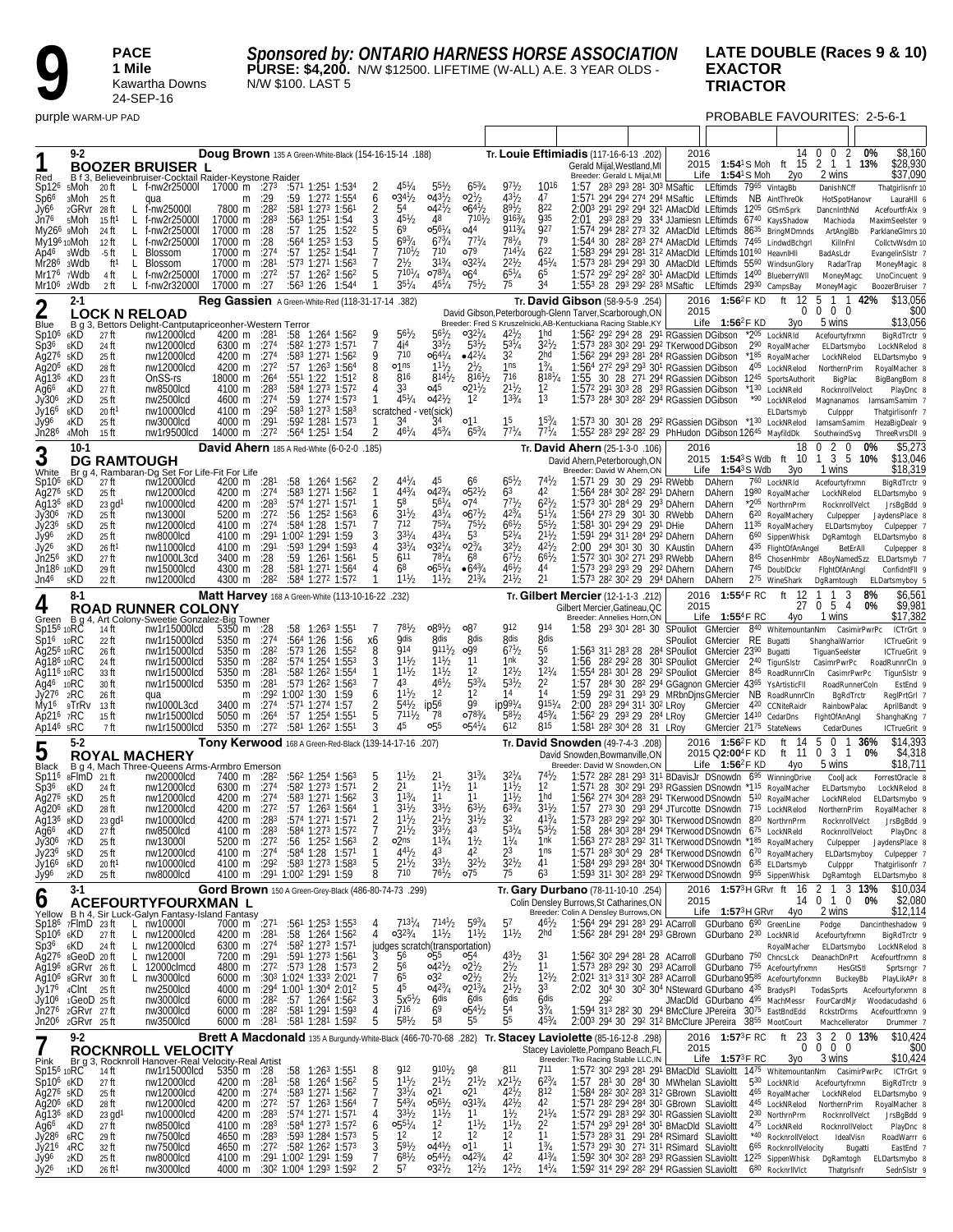*Sponsored by: ONTARIO HARNESS HORSE ASSOCIATION*

**PURSE: \$4,200.** N/W \$12500. LIFETIME (W-ALL) A.E. 3 YEAR OLDS - N/W \$100. LAST 5

#### **LATE DOUBLE (Races 9 & 10) EXACTOR TRIACTOR**

**9 PACE**<br>1 **Mile**<br>24-SEF

**1 Mile**

Kawartha Downs 24-SEP-16

purple WARM-UP PAD **PROBABLE FAVOURITES: 2-5-6-1** 

| Red                                                                                                                                                                                                     | 9-2                                                                                                                                                                                                 |                                                                                                                      | <b>BOOZER BRUISER L</b><br>B f 3, Believeinbruiser-Cocktail Raider-Keystone Raider                                                                                                                               | Doug Brown 135 A Green-White-Black (154-16-15-14 .188)                                                                                                                                                                                                                                                           |                                                                            |                                        |                                                                                                                                                                                                                                                                                                                                                                  |                                                   |                                                                                                                                                                                    |                                                                                                                                                       |                                                                                                                                                                                              |                                                                                                                                                   |                                                                                                                              | Tr. Louie Eftimiadis (117-16-6-13 .202)<br>Gerald Mijal, Westland, MI<br>Breeder: Gerald L Mijal, MI                                                                                                                                                                                                                                                                                                                                                                                                                                                                                                                                                                                                                                                                                                                                  |                                                    | 2016         | Life $1:54^{\circ}$ S Moh                                                                                                              | 14<br>2015 1:54 <sup>1</sup> S Moh ft 15<br>2γο                                                                                                                                                                                                                                          | 0<br>$\bm{0}$<br>$\overline{2}$<br>2 1 1 13%<br>2 wins                                                                                                               | 0%           | \$8,160<br>\$28,930<br>\$37,090                                                                                                                                                                                                   |
|---------------------------------------------------------------------------------------------------------------------------------------------------------------------------------------------------------|-----------------------------------------------------------------------------------------------------------------------------------------------------------------------------------------------------|----------------------------------------------------------------------------------------------------------------------|------------------------------------------------------------------------------------------------------------------------------------------------------------------------------------------------------------------|------------------------------------------------------------------------------------------------------------------------------------------------------------------------------------------------------------------------------------------------------------------------------------------------------------------|----------------------------------------------------------------------------|----------------------------------------|------------------------------------------------------------------------------------------------------------------------------------------------------------------------------------------------------------------------------------------------------------------------------------------------------------------------------------------------------------------|---------------------------------------------------|------------------------------------------------------------------------------------------------------------------------------------------------------------------------------------|-------------------------------------------------------------------------------------------------------------------------------------------------------|----------------------------------------------------------------------------------------------------------------------------------------------------------------------------------------------|---------------------------------------------------------------------------------------------------------------------------------------------------|------------------------------------------------------------------------------------------------------------------------------|---------------------------------------------------------------------------------------------------------------------------------------------------------------------------------------------------------------------------------------------------------------------------------------------------------------------------------------------------------------------------------------------------------------------------------------------------------------------------------------------------------------------------------------------------------------------------------------------------------------------------------------------------------------------------------------------------------------------------------------------------------------------------------------------------------------------------------------|----------------------------------------------------|--------------|----------------------------------------------------------------------------------------------------------------------------------------|------------------------------------------------------------------------------------------------------------------------------------------------------------------------------------------------------------------------------------------------------------------------------------------|----------------------------------------------------------------------------------------------------------------------------------------------------------------------|--------------|-----------------------------------------------------------------------------------------------------------------------------------------------------------------------------------------------------------------------------------|
| Sp12 <sup>6</sup><br>Sp6 <sup>6</sup><br>Jy66<br>Jn76<br>Ap46<br>Mr28 <sup>6</sup><br>Mr176<br>Mr10 <sup>6</sup>                                                                                        | 5Moh<br>зMoh<br>2GRvr 28ft<br>5Moh<br>My26 <sup>6</sup> 9Moh<br>My196 10Moh<br>3Wdb<br>3Wdb<br>7Wdb<br>2Wdb                                                                                         | 20 ft<br>-25 ft<br>15 ft1<br>24 ft<br>12 ft<br>-5 ft<br>ft <sup>1</sup><br>4 ft<br>2 ft                              | L f-nw2r25000I<br>qua<br>f-nw25000l<br>L.<br>f-nw2r25000l<br>L.<br>f-nw2r25000l<br>L<br>f-nw2r25000l<br>L.<br><b>Blossom</b><br>L.<br>L<br><b>Blossom</b><br>f-nw2r25000l<br>L<br>f-nw2r32000l<br>L.             | 17000 m :273 :571 1:251 1:534<br>m<br>7800 m<br>17000 m<br>17000 m<br>17000 m<br>17000 m<br>17000 m<br>17000 m<br>17000 m :27                                                                                                                                                                                    | :29<br>:282<br>:283<br>:28<br>:28<br>:274<br>:281<br>:272                  | :59<br>1:25<br>:57<br>:57 <sup>3</sup> | $1:272$ 1:55 <sup>4</sup><br>:581 1:273 1:561<br>$:563$ 1:251 1:54<br>1:52 <sup>2</sup><br>:564 1:253 1:53<br>$:57$ 1:25 <sup>2</sup> 1:541<br>$1:271$ 1:56 <sup>3</sup><br>$:57$ 1:26 <sup>2</sup> 1:56 <sup>2</sup><br>$:563$ 1:26 1:544                                                                                                                       | $\frac{6}{2}$<br>3<br>$\frac{5}{5}$<br>5          | $03^{4}$ <sup>1</sup> / <sub>2</sub><br>54<br>$45\frac{1}{2}$<br>69<br>$69^{3}/4$<br>$7^{10}$ <sup>1</sup> / <sub>2</sub><br>$2^{1/2}$<br>$710^{1}/_{4}$<br>$35\frac{1}{4}$        | $55\frac{1}{2}$<br>$043\frac{1}{2}$<br>$042^{1/2}$<br>48<br>$0.56^{1}/4$<br>67 <sup>3</sup> /4<br>710<br>$3^{13}/4$<br>$078\frac{3}{4}$<br>$45^{1}/4$ | $65\frac{3}{4}$<br>$02\frac{1}{2}$<br>$064\frac{1}{2}$<br>$7^{10}$ <sup>1</sup> / <sub>2</sub><br>04 <sup>4</sup><br>$77^{1}/4$<br>079<br>$0.32^{1/4}$<br>06 <sup>4</sup><br>$75\frac{1}{2}$ | 97 <sub>2</sub><br>$43^{1}/_{2}$<br>$89^{1}/2$<br>$916^{3}/_{4}$<br>9113/4<br>$78^{1}/_{4}$<br>$714^{1}/_{4}$<br>$2^{21}h$<br>$65^{1}/4$<br>75    | 1016<br>47<br>822<br>935<br>927<br>79<br>$6^{22}$<br>$45^{1}/4$<br>65<br>34                                                  | 1:57 283 293 281 303 MSaftic LEftimds 7965 VintagBb<br>1:571 294 294 274 294 MSaftic LEftimds<br>2:003 291 292 294 321 AMacDld LEftimds 1205 GtSmSprk<br>2:01 293 283 29 334 JJamiesn LEftimds 6740 KaysShadow<br>1:574 294 282 273 32 AMacDld LEftimds 86 <sup>35</sup> BringMDmnds<br>1:544 30 282 283 274 AMacDld LEftimds 7465 LindwdBchgrl<br>1:583 294 291 281 312 AMacDld LEftimds 10160 HeavnIHII<br>1:573 281 294 293 30 AMacDld LEftimds 5560 WindsunGlory<br>1:572 292 292 282 301 AMacDld LEftimds 1400 BlueberryWII<br>1:553 28 293 292 283 MSaftic LEftimds 2930 CampsBay                                                                                                                                                                                                                                               |                                                    |              |                                                                                                                                        | NB AintThreOk                                                                                                                                                                                                                                                                            | DanishNCff<br>HotSpotHanovr<br>DancnInthNd<br>Machioda<br>ArtAnglBb<br>KillnFnl<br>BadAsLdr<br>RadarTrap<br>MoneyMagc<br>MoneyMagic                                  |              | Thatgirlisnfr 10<br>LauraHII 6<br>AcefourtfrAlx 9<br>MaximSeelster 9<br>ParklaneGImrs 10<br>CollctvWsdm 10<br>EvangelinSIstr 7<br>MoneyMagic 8<br>UnoCincuent 9<br>BoozerBruiser 7                                                |
| $\overline{2}$                                                                                                                                                                                          | $2 - 1$                                                                                                                                                                                             |                                                                                                                      | <b>LOCK N RELOAD</b>                                                                                                                                                                                             | Reg Gassien A Green-White-Red (118-31-17-14 .382)                                                                                                                                                                                                                                                                |                                                                            |                                        |                                                                                                                                                                                                                                                                                                                                                                  |                                                   |                                                                                                                                                                                    |                                                                                                                                                       |                                                                                                                                                                                              |                                                                                                                                                   |                                                                                                                              | Tr. David Gibson (58-9-5-9 .254)<br>David Gibson, Peterborough-Glenn Tarver, Scarborough, ON                                                                                                                                                                                                                                                                                                                                                                                                                                                                                                                                                                                                                                                                                                                                          |                                                    | 2015         | 2016 1:56 <sup>2</sup> F KD                                                                                                            | 12<br>ft                                                                                                                                                                                                                                                                                 | 5<br>1 1 42%<br>$0\quad 0$<br>0                                                                                                                                      |              | \$13.056<br>\$00                                                                                                                                                                                                                  |
| Blue<br>Sp10 <sup>6</sup><br>Sp36<br>Ag276<br>Ağ20 <sup>6</sup><br>Aq136<br>Ag6 <sup>6</sup><br>Jy306<br>Jy166<br>Jy96<br>Jn286                                                                         | 6KD<br>6KD<br>5KD<br>6KD<br>4KD<br>4KD<br>2KD<br>6KD<br>4KD<br>4Moh                                                                                                                                 | 27 ft<br>24 ft<br>25 ft<br>28 ft<br>23 ft<br>27 ft<br>25 ft<br>20 ft<br>25 ft<br>15 ft                               | B q 3, Bettors Delight-Cantputapriceonher-Western Terror<br>nw12000lcd<br>nw12000lcd<br>nw12000lcd<br>nw12000lcd<br>OnSS-rs<br>nw8500lcd<br>nw2500lcd<br>nw10000lcd<br>nw3000lcd<br>nw1r9500lcd                  | 4200 m :281<br>6300 m :274<br>4200 m :274<br>4200 m :272<br>18000 m<br>4100 m<br>4600 m :274<br>4100 m :292<br>4000 m<br>14000 m :272                                                                                                                                                                            | :264<br>:28 <sup>3</sup><br>:291                                           |                                        | $:58$ 1:264 1:562<br>:582 1:273 1:571<br>:58 <sup>3</sup> 1:27 <sup>1</sup> 1:56 <sup>2</sup><br>:57 1:263 1:564<br>$:55^1$ 1:22 1:512<br>:584 1:273 1:572<br>:59 1:274 1:573<br>:583 1:273 1:583<br>:592 1:281 1:573<br>:564 1:251 1:54                                                                                                                         | 9<br>9<br>8<br>8<br>4<br>$\overline{\mathbf{2}}$  | $56\frac{1}{2}$<br>4i <sup>4</sup><br>710<br>o1ns<br>816<br>33<br>$45^{1}/4$<br>scratched - vet(sick)<br>34<br>$46^{1}/_{4}$                                                       | $56\frac{1}{2}$<br>$3^{31}/2$<br>$66^{41}/4$<br>$11\frac{1}{2}$<br>$814\frac{1}{2}$<br>04 <sup>5</sup><br>$0.42^{1/2}$<br>34<br>$45^{3}/4$            | $03^{27}/4$<br>$53\frac{1}{2}$<br>$-4^{21}/4$<br>2 <sup>1</sup> / <sub>2</sub><br>$8^{16}$ <sup>1</sup> / <sub>2</sub><br>$02^{11}/2$<br>12<br>01 <sup>1</sup><br>$65\frac{3}{4}$            | $42\frac{1}{2}$<br>$53^{1}/4$<br>32<br>1ns<br>716<br>$2^{11}/2$<br>$13^{3}/_{4}$<br>15<br>$77^{1}/_4$                                             | 1hd<br>$3^{21}h$<br>2hd<br>$1\frac{3}{4}$<br>$8^{18^{1}/4}$<br>1 <sup>2</sup><br>1 <sup>3</sup><br>$77^{1}/4$                | Breeder: Fred S Kruszelnicki, AB-Kentuckiana Racing Stable, KY<br>1:562 292 294 28 291 RGassien DGibson *205 LockNRId<br>1:573 283 302 291 292 TKerwood DGibson<br>1:56 <sup>2</sup> 29 <sup>4</sup> 29 <sup>3</sup> 28 <sup>1</sup> 28 <sup>4</sup> RGassien DGibson<br>1:564 272 293 293 301 RGassien DGibson<br>1:55 30 28 271 294 RGassien DGibson 1245 SportsAuthorit<br>1:572 291 303 28 293 RGassien DGibson<br>1:573 284 303 282 294 RGassien DGibson<br>1:573 30 301 28 292 RGassien DGibson *130 LockNRelod<br>1:552 283 292 282 29 PhHudon DGibson 12645 MayfildDk                                                                                                                                                                                                                                                         |                                                    |              | Life $1:56^2$ FKD                                                                                                                      | Зуо<br>290 RoyalMacher<br>*185 RoyalMacher<br>405 LockNRelod<br>*1 <sup>30</sup> LockNReld<br>*90 LockNRelod<br>ELDartsmyb                                                                                                                                                               | 5 wins<br>Acefourtyfrxmn<br>ELDartsmybo<br>LockNRelod<br>NorthernPrim<br>BigPlac<br>RocknrollVeloct<br>Magnanamos<br>Culpppr<br>lamsamSamim<br>SouthwindSvg          |              | \$13,056<br>BigRdTrctr 9<br>LockNRelod 8<br>ELDartsmybo 9<br>RoyalMacher 8<br>BigBangBom 8<br>PlayDnc 8<br>lamsamSamim 7<br>Thatgirlisonfr 7<br>HezaBigDealr 9<br>ThreeRvrsDII 9                                                  |
| 3                                                                                                                                                                                                       | $10-1$                                                                                                                                                                                              |                                                                                                                      |                                                                                                                                                                                                                  | David Ahern 185 A Red-White (6-0-2-0 .185)                                                                                                                                                                                                                                                                       |                                                                            |                                        |                                                                                                                                                                                                                                                                                                                                                                  |                                                   |                                                                                                                                                                                    |                                                                                                                                                       |                                                                                                                                                                                              |                                                                                                                                                   |                                                                                                                              | Tr. David Ahern (25-1-3-0 .106)                                                                                                                                                                                                                                                                                                                                                                                                                                                                                                                                                                                                                                                                                                                                                                                                       |                                                    | 2016         |                                                                                                                                        | 18                                                                                                                                                                                                                                                                                       | $2\quad 0$<br>$\Omega$                                                                                                                                               | 0%           | \$5,273                                                                                                                                                                                                                           |
| White<br>Sp10 <sup>6</sup><br>Aq27 <sup>6</sup><br>Ağ136<br>Jy30 <sup>6</sup><br>Jy236<br>Jy96<br>Jy26<br>Jn25 <sup>6</sup><br>Jn186 10KD<br>Jn46                                                       | 6KD<br>5KD<br>8KD<br>7KD<br><sub>5</sub> KD<br>2KD<br>3KD<br>зKD<br><sub>5</sub> KD                                                                                                                 | 27 ft<br>25 ft<br>$23$ gd <sup>1</sup><br>25 ft<br>25 ft<br>25 ft<br>26 ft <sup>1</sup><br>27 ft<br>29 ft<br>22 ft   | <b>DG RAMTOUGH</b><br>Br q 4, Rambaran-Dq Set For Life-Fit For Life<br>nw12000lcd<br>nw12000lcd<br>nw10000lcd<br>nw13000l<br>nw12000lcd<br>nw8000lcd<br>nw11000lcd<br>nw1000L3cd<br>nw15000lcd<br>nw12000lcd     | 4200 m :281<br>4200 m :274<br>4200 m<br>5200 m<br>4100 m<br>4100 m<br>4100 m<br>3400 m<br>4300 m<br>4300 m                                                                                                                                                                                                       | :283<br>:272<br>:27 <sup>4</sup><br>:291<br>:28<br>:28<br>:28 <sup>2</sup> | :58 <sup>4</sup><br>1:28               | :58 1:264 1:562<br>:58 <sup>3</sup> 1:27 <sup>1</sup> 1:56 <sup>2</sup><br>:574 1:271 1:571<br>$:56$ 1:25 <sup>2</sup> 1:56 <sup>3</sup><br>1:57 <sup>1</sup><br>:291 1:002 1:291 1:59<br>:593 1:294 1:593<br>$:59$ 1:26 <sup>1</sup> 1:56 <sup>1</sup><br>:581 1:271 1:564<br>:584 1:272 1:572                                                                  | 6<br>4                                            | $44^{1}/4$<br>$4^{43}/4$<br>58<br>$3^{11}/2$<br>712<br>$33^{1}/4$<br>$3^{31}/4$<br>611<br>68<br>$1^{11}$ / <sub>2</sub>                                                            | 45<br>$0.4^{23}/4$<br>$56\frac{1}{4}$<br>$43^{1}/4$<br>$75^{3}/_{4}$<br>$43^{1}/4$<br>$03^{21}/4$<br>$78^{1}/_{4}$<br>$065^{1}/4$<br>$1^{11}/2$       | 66<br>$0.5^{21}/2$<br>o74<br>$067\frac{1}{2}$<br>$75\frac{1}{2}$<br>53<br>$02\frac{3}{4}$<br>68<br>$•64\frac{3}{4}$<br>$2^{13}/4$                                                            | $65\frac{1}{2}$<br>63<br>771 <sub>b</sub><br>$42^{3}/4$<br>$6^{61}/2$<br>$52^{1}/4$<br>$32^{1}/_{2}$<br>$6^{71}h$<br>$46\frac{1}{2}$<br>$2^{11}h$ | $74\frac{1}{2}$<br>42<br>$62^{1}/2$<br>$51\frac{1}{4}$<br>$55^{1}/2$<br>$2^{11}h$<br>$42^{1}/_{2}$<br>$6^{61}/2$<br>44<br>21 | David Ahern, Peterborough, ON<br>Breeder: David W Ahern, ON<br>1:571 29 30 29 291 RWebb<br>1:564 284 302 282 291 DAhern<br>1:573 301 284 29 293 DAhern<br>1:564 273 29 301 30 RWebb<br>1:58 <sup>1</sup> 30 <sup>1</sup> 29 <sup>4</sup> 29 29 <sup>1</sup> DHie<br>1:591 294 311 284 292 DAhern<br>2:00 294 301 30 30 KAustin<br>1:572 301 302 271 293 RWebb<br>1:573 293 293 29 292 DAhern<br>1:573 282 302 29 294 DAhern                                                                                                                                                                                                                                                                                                                                                                                                           |                                                    | Life         | $1:54^3S$ Wdb<br>DAhern<br>DAhern<br>DAhern<br>DAhern<br>DAhern<br>DAhern<br>DAhern<br><b>DAhern</b><br><b>DAhern</b><br><b>DAhern</b> | 2015 1:54 <sup>3</sup> S Wdb ft 10<br>Зγо<br>760 LockNRId<br>1980 RoyalMacher<br>*205 NorthrnPrm<br>6 <sup>20</sup> RoyalMachery<br>11 <sup>35</sup> RoyalMachery<br>6 <sup>60</sup> SippenWhisk<br>435 FlightOfAnAngel<br>845 ChosenHmbr ABoyNamedSzz<br>745 DoublDckr<br>275 WineShark | 3 5<br>1<br>1 wins<br>Acefourtyfrxmn<br>LockNRelod<br>RocknrollVelct<br>Culpepper<br>ELDartsmyboy<br>DgRamtogh<br>BetErAll<br>FightOfAnAngl<br>DgRamtough            | 10%          | \$13,046<br>\$18,319<br>BigRdTrctr 9<br>ELDartsmybo 9<br>JrsBgBdd 9<br>JaydensPlace 8<br>Culpepper 7<br>ELDartsmybo 8<br>Culpepper 8<br>ELDartsmyb 7<br>ConfidntFII 9<br>ELDartsmyboy 5                                           |
| 4                                                                                                                                                                                                       | $8-1$                                                                                                                                                                                               |                                                                                                                      | <b>ROAD RUNNER COLONY</b>                                                                                                                                                                                        | Matt Harvey 168 A Green-White (113-10-16-22 .232)                                                                                                                                                                                                                                                                |                                                                            |                                        |                                                                                                                                                                                                                                                                                                                                                                  |                                                   |                                                                                                                                                                                    |                                                                                                                                                       |                                                                                                                                                                                              |                                                                                                                                                   |                                                                                                                              | Tr. Gilbert Mercier (12-1-1-3. 212)<br>Gilbert Mercier, Gatineau, QC                                                                                                                                                                                                                                                                                                                                                                                                                                                                                                                                                                                                                                                                                                                                                                  |                                                    | 2016<br>2015 | 1:55 $4$ F RC                                                                                                                          | 12<br>ft<br>27                                                                                                                                                                                                                                                                           | 3<br>-1<br>$0\;\;5\;\;4$                                                                                                                                             | 8%<br>0%     | \$6,561<br>\$9,981                                                                                                                                                                                                                |
| Sp15 <sup>6</sup> 10RC<br>$Sp16$ 10RC<br>Ag25 <sup>6</sup> 10RC<br>Ag18 <sup>6</sup> 10RC<br>Ag11 <sup>6</sup> 10RC<br>Ag4 <sup>6</sup> 10RC<br>Jy276 2RC<br>Ap21 <sup>6</sup><br>Ap14 <sup>6</sup> 5RC | My16 9TrRv<br>7RC                                                                                                                                                                                   | 14 ft<br>22 ft<br>26 ft<br>24 ft<br>33 ft<br>30 ft<br>26 ft<br>13 ft<br>15 ft<br>7 ft                                | Green B g 4, Art Colony-Sweetie Gonzalez-Big Towner<br>nw1r15000lcd<br>nw1r15000lcd<br>nw1r15000lcd<br>nw1r15000lcd<br>nw1r15000lcd<br>nw1r15000lcd<br>qua<br>nw1000L3cd<br>nw1r15000lcd<br>nw1r15000lcd         | 5350 m $:28$<br>5350 m :274<br>5350 m :282<br>5350 m<br>5350 m<br>5350 m<br>m<br>3400 m :274<br>5050 m<br>5350 m                                                                                                                                                                                                 | :282<br>:281<br>:281<br>:26 <sup>4</sup><br>:272                           | :57 <sup>3</sup> 1:26                  | $:58$ 1:26 <sup>3</sup> 1:551<br>:564 1:26 1:56<br>1:55 <sup>2</sup><br>:574 1:254 1:553<br>:582 1:262 1:554<br>:573 1:262 1:563<br>:292 1:002 1:30 1:59<br>$:57^1$ 1:274 1:57<br>$:57$ 1:25 <sup>4</sup> 1:55 <sup>1</sup><br>:581 1:262 1:551                                                                                                                  | х6<br>$\frac{8}{3}$<br>6<br>2<br>$\frac{5}{3}$    | $78^{1}/2$<br><b>O</b> dis<br><b>914</b><br>$11^{1}/2$<br>$11^{1}/2$<br>43<br>$11\frac{1}{2}$<br>$54\frac{1}{2}$<br>$7^{111}$ /2<br>45                                             | $0.89^{1/2}$<br><b>Rdis</b><br>9111/2<br>$11^{1/2}$<br>$11\frac{1}{2}$<br>$46^{1}/_{2}$<br>12<br>ip56<br>78<br>0.55                                   | 087<br>8 <sub>dis</sub><br>0.099<br>11<br>12<br>$5^{3/4}$<br>12<br>99<br>0783/4<br>$0.54\frac{1}{4}$                                                                                         | 912<br><b>8dis</b><br>67 <sup>1</sup> b<br>1nk<br>$12^{1}/2$<br>$5^{31}/2$<br>14<br>$ip99^{1}/4$<br>$5^{81}$<br>612                               | 914<br>8dis<br>56<br>32<br>$12^{1}/4$<br>22<br>14<br>$915^{1}/_{4}$<br>$45^{3}/_{4}$<br>815                                  | Breeder: Annelies Horn, ON<br>1:58 293 301 281 30 SPouliot GMercier<br>1:56 <sup>3</sup> 31 <sup>1</sup> 28 <sup>3</sup> 28 28 <sup>4</sup> SPouliot GMercier 23 <sup>90</sup> Bugatti<br>1:56 28 <sup>2</sup> 29 <sup>2</sup> 28 30 <sup>1</sup> SPouliot GMercier<br>1:554 281 301 28 292 SPouliot GMercier 845 RoadRunnrCln<br>1:57<br>1:59<br>2:00 283 294 311 302 LRoy<br>1:56 <sup>2</sup> 29 29 <sup>3</sup> 29 28 <sup>4</sup> LRoy<br>1:581 282 304 28 31 LRoy                                                                                                                                                                                                                                                                                                                                                               | 284 30 282 294 GGagnon GMercier 4365 YsArtisticFII | SPouliot     | Life 1:554F RC<br>GMercier<br>GMercier 14 <sup>10</sup> CedarDns<br>GMercier 2175 StateNews                                            | 4yo<br>840 WhitemountanNm<br>RE Bugatti<br>2 <sup>40</sup> TigunSIstr<br>292 31 293 29 MRbnDjnsGMercier NB RoadRunnrCIn<br>GMercier 420 CCNiteRaidr                                                                                                                                      | 1 wins<br>ShanghaiWarrior<br>TiguanSeelster<br>CasimrPwrPc<br>CasimrPwrPc<br>RoadRunnerColn<br>BgRdTrctr<br>RainbowPalac<br>FightOfAnAngl<br>CedarDunes              | CasimirPwrPc | \$17,382<br>ICTrGrt 9<br>ICTrueGrit 9<br>ICTrueGrit 9<br>RoadRunnrCln 9<br>TigunSIstr 9<br>EstEnd 9<br>ReglPrtGrl 7<br>AprilBandt 9<br>ShanghaKng 7<br>ICTrueGrit 9                                                               |
| 5                                                                                                                                                                                                       | $5-2$                                                                                                                                                                                               |                                                                                                                      |                                                                                                                                                                                                                  | <b>Tony Kerwood</b> 168 A Green-Red-Black (139-14-17-16 .207)                                                                                                                                                                                                                                                    |                                                                            |                                        |                                                                                                                                                                                                                                                                                                                                                                  |                                                   |                                                                                                                                                                                    |                                                                                                                                                       |                                                                                                                                                                                              |                                                                                                                                                   |                                                                                                                              | Tr. David Snowden (49-7-4-3 .208)                                                                                                                                                                                                                                                                                                                                                                                                                                                                                                                                                                                                                                                                                                                                                                                                     |                                                    |              | 2016 1:56 <sup>2</sup> F KD                                                                                                            | 14<br>ft                                                                                                                                                                                                                                                                                 | $\mathbf 0$<br>5<br>-1                                                                                                                                               | 36%          | \$14,393                                                                                                                                                                                                                          |
| Black<br>Sp11 <sup>6</sup><br>Sp36<br>Ag276 5KD<br>Aq20 <sup>6</sup> 6KD<br>Aq136 sKD<br>Ag66<br>Jy30 <sup>6</sup><br>Jy236<br>Jy166<br>Jy96                                                            | 8FlmD 21ft<br>6KD<br>4KD<br>7KD<br>5KD<br>6KD<br>2KD                                                                                                                                                | 24 ft<br>25 ft<br>28 ft<br>$23$ gd <sup>1</sup><br>27 ft<br>25 ft<br>25 ft<br>20 ft <sup>1</sup><br>25 ft            | <b>ROYAL MACHERY</b><br>B q 4, Mach Three-Queens Arms-Armbro Emerson<br>nw20000lcd<br>nw12000lcd<br>nw12000lcd<br>nw12000lcd<br>nw10000lcd<br>nw8500lcd<br>nw13000l<br>nw12000lcd<br>nw10000lcd<br>nw8000lcd     | 7400 m :28 <sup>2</sup><br>6300 m<br>4200 m<br>4200 m :27 <sup>2</sup><br>4200 m $:283$<br>4100 m<br>5200 m :27 <sup>2</sup><br>4100 m<br>4100 m<br>4100 m : 29 <sup>1</sup> 1:00 <sup>2</sup> 1:29 <sup>1</sup> 1:59                                                                                            | :27 <sup>4</sup><br>:274<br>:283<br>:27 <sup>4</sup><br>:292               |                                        | :56 <sup>2</sup> 1:25 <sup>4</sup> 1:56 <sup>3</sup><br>$:582$ 1:27 <sup>3</sup> 1:57 <sup>1</sup><br>:583 1:271 1:562<br>$:57$ 1:26 <sup>3</sup> 1:56 <sup>4</sup><br>:574 1:271 1:571<br>:584 1:273 1:572<br>:56 1:25 <sup>2</sup> 1:56 <sup>3</sup><br>$:58^4$ 1:28 1:571<br>:583 1:273 1:583                                                                 | $\frac{2}{3}$<br>2<br>1<br>5<br>8                 | $1^{11}$ / <sub>2</sub><br>2 <sup>1</sup><br>$11^{3}/4$<br>$3^{11}/2$<br>$1^{11}$ / <sub>2</sub><br>$2^{11}/2$<br>o2 <sub>ns</sub><br>$4^{41}$ / <sub>2</sub><br>$2^{11}/2$<br>710 | $1^{11}$ /2<br>11<br>$3^{31}/2$<br>$2^{11}$ / <sub>2</sub><br>$3^{3}/2$<br>$1^{13}/4$<br>43<br>$3^{31}/2$<br>$7^{61}/2$                               | $3^{13}/4$<br>1 <sup>1</sup><br>11<br>$63^{1/2}$<br>$3^{11}/2$<br>$1\frac{1}{2}$<br>42<br>$32^{1}/2$<br>07 <sup>5</sup>                                                                      | $3^{21}$ /4<br>$1^{11}$ /2<br>11h<br>$6^{33}/4$<br>32<br>$\bar{5}3^{1}/_{4}$<br>$1\frac{1}{4}$<br>23<br>$32^{1}/2$<br>75                          | 74 h<br>1 <sup>2</sup><br>1hd<br>$3^{11}h$<br>$4^{13}/_{4}$<br>$53\frac{1}{2}$<br>1nk<br>1ns<br>41<br>63                     | David Snowden, Bowmanville, ON<br>Breeder: David W Snowden, ON<br>1:57 <sup>2</sup> 28 <sup>2</sup> 28 <sup>1</sup> 29 <sup>3</sup> 31 <sup>1</sup> BDavisJr DSnowdn $6^{95}$ WinningDrive<br>1:57 <sup>1</sup> 28 30 <sup>2</sup> 29 <sup>1</sup> 29 <sup>3</sup> RGassien DSnowdn *1 <sup>15</sup> RoyalMacher<br>1:56 <sup>2</sup> 274 304 283 291 TKerwood DSnowdn 5 <sup>10</sup> RoyalMacher<br>1:57 273 30 293 294 JTurcotte DSnowdn 7 <sup>15</sup> LockNRelod<br>1:573 283 292 292 301 TKerwood DSnowdn 820 NorthrnPrm<br>1:58<br>1:563 272 283 292 311 TKerwood DSnowdn *185 RoyalMachery<br>1:57 <sup>1</sup> 28 <sup>3</sup> 30 <sup>4</sup> 29 28 <sup>4</sup> TKerwood DSnowdn $6^{70}$ RoyalMachery<br>1:584 293 293 284 304 TKerwood DSnowdn 635 ELDartsmyb<br>1:593 311 302 283 292 TKerwood DSnowdn 955 SippenWhisk | 284 303 284 294 TKerwood DSnowdn 675 LockNReld     |              | 2015 Q2:00 <sup>4</sup> F KD<br>Life $1:56^2$ F KD                                                                                     | ft 11<br>4yo                                                                                                                                                                                                                                                                             | 0<br>31<br>5 wins<br>CoolJack<br>ELDartsmybo<br>LockNRelod<br>NorthernPrim<br>RocknrollVelct<br>RocknrollVeloct<br>Culpepper<br>ELDartsmyboy<br>Culpppr<br>DgRamtogh | 0%           | \$4,318<br>\$18,711<br>ForrestOracle 8<br>LockNRelod 8<br>ELDartsmybo 9<br>RoyalMacher 8<br>JrsBgBdd 9<br>PlayDnc &<br>JaydensPlace &<br>Culpepper <sub>7</sub><br>Thatgirlisonfr 7<br>ELDartsmybo 8                              |
| O                                                                                                                                                                                                       | $3-1$                                                                                                                                                                                               |                                                                                                                      | ACEFOURTYFOURXMAN L                                                                                                                                                                                              | Gord Brown 150 A Green-Grey-Black (486-80-74-73 .299)                                                                                                                                                                                                                                                            |                                                                            |                                        |                                                                                                                                                                                                                                                                                                                                                                  |                                                   |                                                                                                                                                                                    |                                                                                                                                                       |                                                                                                                                                                                              |                                                                                                                                                   |                                                                                                                              | Tr. Gary Durbano (78-11-10-10 .254)<br>Colin Densley Burrows, St Catharines, ON                                                                                                                                                                                                                                                                                                                                                                                                                                                                                                                                                                                                                                                                                                                                                       |                                                    | 2015         | 2016 1:57 <sup>3</sup> H GRvr ft                                                                                                       | -16<br>14                                                                                                                                                                                                                                                                                | 1 3 13%<br>2<br>0 1 0                                                                                                                                                | 0%           | \$10,034<br>\$2,080                                                                                                                                                                                                               |
| $Sp106$ 6KD<br>Sp36<br>Jy106<br>Jn276                                                                                                                                                                   | Sp18 <sup>6</sup> 7FlmD 23 ft<br>6KD<br>Ag276 sGeoD 20ft<br>Ag196 8GRvr 26ft<br>Ag10 <sup>6</sup> 8GRvr 30ft<br>Jy176 4Clnt 25ft<br>$1$ GeoD $25$ ft<br>2GRvr 27ft<br>Jn20 <sup>6</sup> 2GRvr 25 ft | 27 ft<br>24 ft                                                                                                       | Yellow B h 4, Sir Luck-Galyn Fantasy-Island Fantasy<br>L nw10000<br>nw12000lcd<br>L.<br>nw12000lcd<br>L<br>L.<br>nw12000l<br>12000clmcd<br>L.<br>L nw3000lcd<br>nw2500lcd<br>nw3000lcd<br>nw3000lcd<br>nw3500lcd | 7000 m :271<br>4200 m :281<br>6300 m :27 <sup>4</sup><br>7200 m :291<br>4800 m :27 <sup>2</sup> :57 <sup>3</sup> 1:28 1:57 <sup>3</sup><br>6000 m :30 <sup>3</sup> 1:02 <sup>4</sup> 1:33 <sup>3</sup> 2:02 <sup>1</sup><br>4000 m : 294 1:001 1:304 2:012<br>6000 m :28 <sup>2</sup><br>6000 m :28 <sup>2</sup> |                                                                            |                                        | $:56^1$ 1:25 <sup>3</sup> 1:55 <sup>3</sup><br>:58 1:264 1:562<br>$:582$ 1:27 <sup>3</sup> 1:57 <sup>1</sup><br>:591 1:273 1:561<br>$:57$ 1:264 1:562<br>:58 <sup>1</sup> 1:29 <sup>1</sup> 1:59 <sup>3</sup><br>6000 m :28 <sup>1</sup> :58 <sup>1</sup> 1:28 <sup>1</sup> 1:59 <sup>2</sup>                                                                    | 4<br>2<br>$\overline{1}$<br>5<br>3<br>4<br>5      | $7^{13}$ <sup>1</sup> / <sub>4</sub><br>$03^{23}/4$<br>56<br>56<br>65<br>45<br>$5x^{51}/2$<br>i716<br>$5^{81}/2$                                                                   | $7^{14}$ <sup>1</sup> / <sub>2</sub><br>$11^{1/2}$<br>о55<br>$04^{21}/2$<br>$\circ$ 32<br>$0.42^{3}/_{4}$<br>6 <sup>dis</sup><br>6 <sup>9</sup><br>58 | $59\frac{3}{4}$<br>$11\frac{1}{2}$<br>judges scratch(transportation)<br>იხ4<br>$02\frac{1}{2}$<br>$02\frac{1}{2}$<br>$02^{13}/4$<br>6dis<br>$0.54\frac{1}{2}$<br>55                          | 57<br>$11^{1}/2$<br>$43^{1}/_{2}$<br>$2^1h$<br>$2^1h$<br>$2^{11}/2$<br>6 <sup>dis</sup><br>5 <sup>4</sup><br>55                                   | $46\frac{1}{2}$<br>2hd<br>31<br>11<br>$1^{21}h$<br>33<br>6 <sub>dis</sub><br>$3^{3}/_{4}$<br>$45\frac{3}{4}$                 | Breeder: Colin A Densley Burrows, ON<br>1:564 294 291 283 291 ACarroll GDurbano 690 GreenLine<br>1:562 284 291 284 293 GBrown GDurbano 230 LockNRId<br>1:562 302 294 281 28 ACarroll GDurbano 750 ChncsLck<br>1:573 283 292 30 293 ACarroll GDurbano 755 Acefourtyfrxmn<br>2:021 313 313 302 283 ACarroll GDurbano 9585 Acefourtyforxmn<br>2:02 304 30 302 304 NSteward GDurbano 435 BradysPI TodasSprts<br>292<br>1:594 313 282 30 294 BMcClure JPereira 3075 EastBndEdd<br>2:003 294 30 292 312 BMcClure JPereira 3855 MootCourt                                                                                                                                                                                                                                                                                                    |                                                    |              | Life $1:573$ H GRvr                                                                                                                    | 4уо<br>RoyalMacher ELDartsmybo                                                                                                                                                                                                                                                           | 2 wins<br>Podge<br>Acefourtyfrxmn<br>DeanachDnPrt<br>HesGtStl<br>BuckeyBb<br>RckstrDrms<br>Machcellerator                                                            |              | \$12,114<br>Dancintheshadow 9<br>BigRdTrctr 9<br>LockNRelod 8<br>Acefourtfrxmn 8<br>Sprtsrngr 7<br>PlayLikAPr 8<br>Acefourtyforxmn 8<br>JMacDld GDurbano 495 MachMessr FourCardMjr Woodacudashd 6<br>Acefourtfrxmn 9<br>Drummer 7 |
| ┓                                                                                                                                                                                                       | 9-2                                                                                                                                                                                                 |                                                                                                                      | <b>ROCKNROLL VELOCITY</b>                                                                                                                                                                                        |                                                                                                                                                                                                                                                                                                                  |                                                                            |                                        |                                                                                                                                                                                                                                                                                                                                                                  |                                                   |                                                                                                                                                                                    |                                                                                                                                                       |                                                                                                                                                                                              |                                                                                                                                                   |                                                                                                                              | (85. 16-12-8) Tr. Stacey Laviolette (85-16-12-8) 289) Tr. Stacey Laviolette (85-16-12-8<br>Stacey Laviolette, Pompano Beach, FL                                                                                                                                                                                                                                                                                                                                                                                                                                                                                                                                                                                                                                                                                                       |                                                    | 2015         | 2016 1:57 <sup>3</sup> F RC                                                                                                            | 23<br>ft<br>$\Omega$                                                                                                                                                                                                                                                                     | 3<br>2 0 13%<br>0 <sub>0</sub><br>$\Omega$                                                                                                                           |              | \$10,424<br>\$00                                                                                                                                                                                                                  |
| Pink<br>Sp15 <sup>6</sup> 10RC<br>Sp10 <sup>6</sup> 6KD<br>Ag276 5KD<br>Ag20 <sup>6</sup> 6KD<br>Ag136 sKD<br>Ağ6 <sup>6</sup> 4KD<br>Jy28 <sup>6</sup><br>Jy216<br>Jy96<br>Jy26                        | 6RC<br>4RC<br>2KD<br>1KD                                                                                                                                                                            | 14 ft<br>27 ft<br>25 ft<br>28 ft<br>$23$ gd <sup>1</sup><br>27 ft<br>29 ft<br>32 ft<br>25 ft<br>$26$ ft <sup>1</sup> | Br g 3, Rocknroll Hanover-Real Velocity-Real Artist<br>nw1r15000lcd<br>nw12000lcd<br>nw12000lcd<br>nw12000lcd<br>nw10000lcd<br>nw8500lcd<br>nw7500lcd<br>nw7500lcd<br>nw8000lcd<br>nw3000lcd                     | 5350 m :28<br>4200 m :28 <sup>1</sup><br>4200 m :274<br>4200 m :27 <sup>2</sup><br>4200 m $:283$<br>4100 m<br>4650 m $:283$<br>4650 m<br>4100 m :291 1:00 <sup>2</sup> 1:291 1:59<br>4000 m                                                                                                                      | :283<br>:27 <sup>2</sup>                                                   | :58                                    | $:58$ 1:26 <sup>3</sup> 1:55 <sup>1</sup><br>1:26 <sup>4</sup> 1:56 <sup>2</sup><br>:583 1:271 1:562<br>$:57$ 1:26 <sup>3</sup> 1:56 <sup>4</sup><br>$:574$ 1:27 <sup>1</sup> 1:57 <sup>1</sup><br>:584 1:273 1:572<br>:593 1:284 1:573<br>$:58^2$ 1:26 <sup>2</sup> 1:57 <sup>3</sup><br>:30 <sup>2</sup> 1:00 <sup>4</sup> 1:29 <sup>3</sup> 1:59 <sup>2</sup> | 8<br>5<br>Ť<br>4<br>6<br>5<br>$\overline{3}$<br>2 | 912<br>$1^{11}h$<br>$3^{3^{1}/4}$<br>$5^{43}/4$<br>$3^{31}/2$<br>$0.55^{1}/4$<br>1 <sup>2</sup><br>$59^{1}/2$<br>$68\frac{1}{2}$<br>57                                             | $9^{101}/2$<br>$2^{11}/2$<br>∘21<br>$0.56^{1}/2$<br>$1^{11}/2$<br>12<br>1 <sup>2</sup><br>$04^{41}/2$<br>$0.54\frac{1}{2}$<br>$03^{21}/2$             | 98<br>$2^{11}/2$<br>o21<br>$03^{13}/4$<br>11<br>$11^{1}/2$<br>1 <sup>2</sup><br>01 <sup>1</sup><br>$04^{23}/4$<br>$12$ / <sub>2</sub>                                                        | 811<br>$x2^{11}/2$<br>$42^{1}/2$<br>$4^{21}/2$<br>$1\frac{1}{2}$<br>$1^{17}/2$<br>1 <sup>2</sup><br>11<br>42<br>$1^{21}/2$                        | 711<br>$6^{23}/4$<br>812<br>42<br>$2^{11}/4$<br>22<br>11<br>$1\frac{3}{4}$<br>$4^{13}/4$<br>$1^{41}/4$                       | Breeder: Tko Racing Stable LLC, IN<br>$1:572$ 30 <sup>2</sup> 29 <sup>3</sup> 28 <sup>1</sup> 29 <sup>1</sup> BMacDld SLavioltt $1475$ WhitemountanNm CasimirPwrPc<br>1:57 28 <sup>1</sup> 30 28 <sup>4</sup> 30 MWhelan SLavioltt<br>1:584 282 302 283 312 GBrown SLavioltt<br>1:57 <sup>1</sup> 28 <sup>2</sup> 29 <sup>4</sup> 28 <sup>4</sup> 30 <sup>1</sup> GBrown SLavioltt<br>1:572 291 283 292 301 RGassien SLavioltt<br>1:574 293 291 284 301 BMacDld SLavioltt<br>1:573 283 31 291 284 RSimard SLavioltt<br>1:573 291 30 271 311 RSimard SLavioltt<br>1:592 304 302 283 293 RGassien SLavioltt<br>1:59 <sup>2</sup> 31 <sup>4</sup> 29 <sup>2</sup> 28 <sup>2</sup> 29 <sup>4</sup> RGassien SLavioltt                                                                                                                     |                                                    |              | Life $1:57^3$ FRC                                                                                                                      | 3γο<br>530 LockNRId<br>465 RoyalMacher<br>445 LockNRelod<br>2 <sup>30</sup> NorthrnPrm<br>475 LockNReld<br>*40 RocknrollVeloct<br>6 <sup>65</sup> RocknrollVelocity<br>12 <sup>25</sup> SippenWhisk<br>680 RocknrllVlct                                                                  | 3 wins<br>Acefourtyfrxmn<br>LockNRelod<br>NorthernPrim<br>RocknrollVelct<br>RocknrollVeloct<br>IdealVisn<br>DgRamtogh<br>ThatgrIsnfr                                 | Bugatti      | \$10,424<br>ICTrGrt 9<br>BigRdTrctr 9<br>ELDartsmybo 9<br>RoyalMacher 8<br>JrsBgBdd 9<br>PlayDnc &<br>RoadWarrr 6<br>EastEnd 7<br>ELDartsmybo 8<br>SednSlstr 9                                                                    |